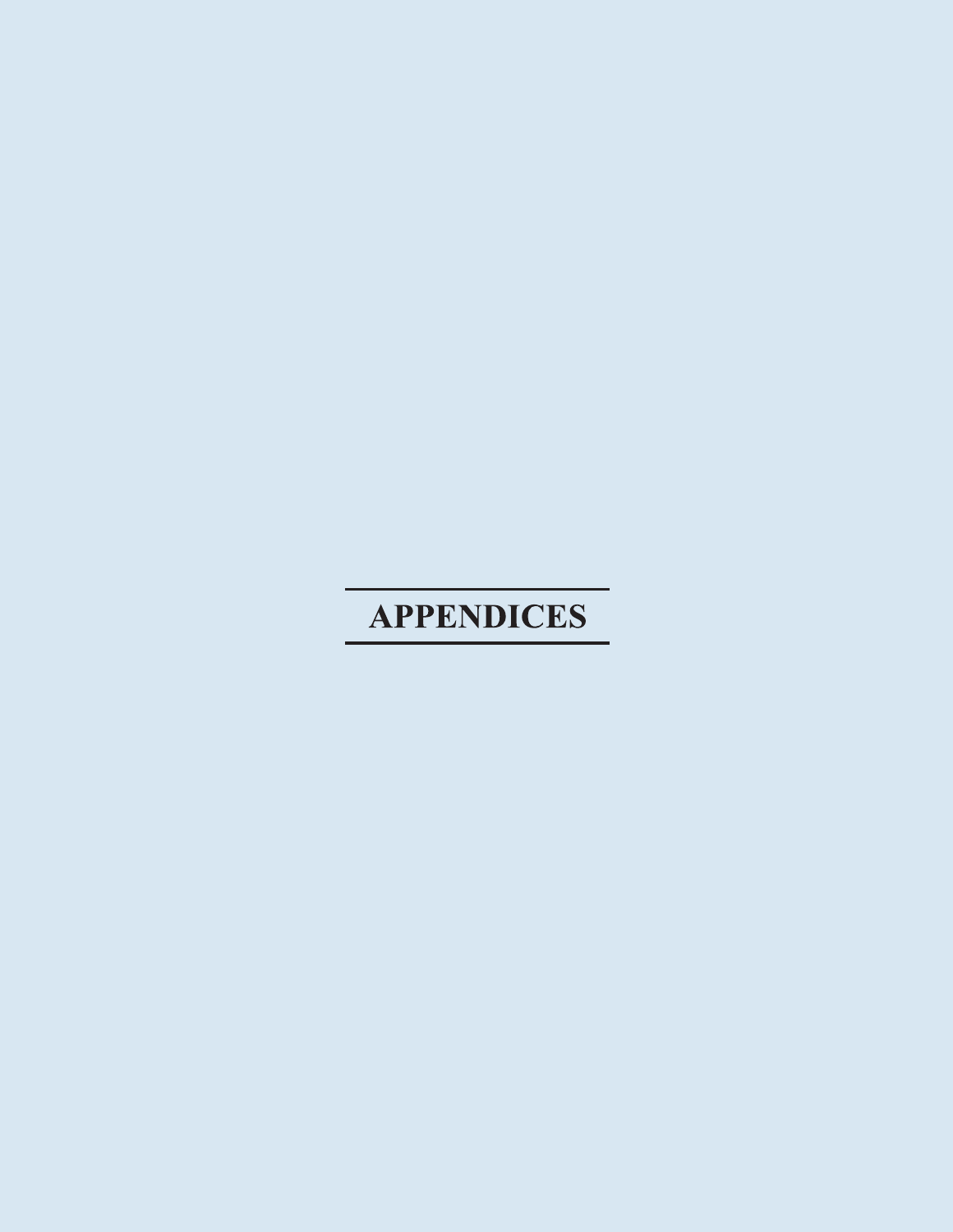# **APPENDICES**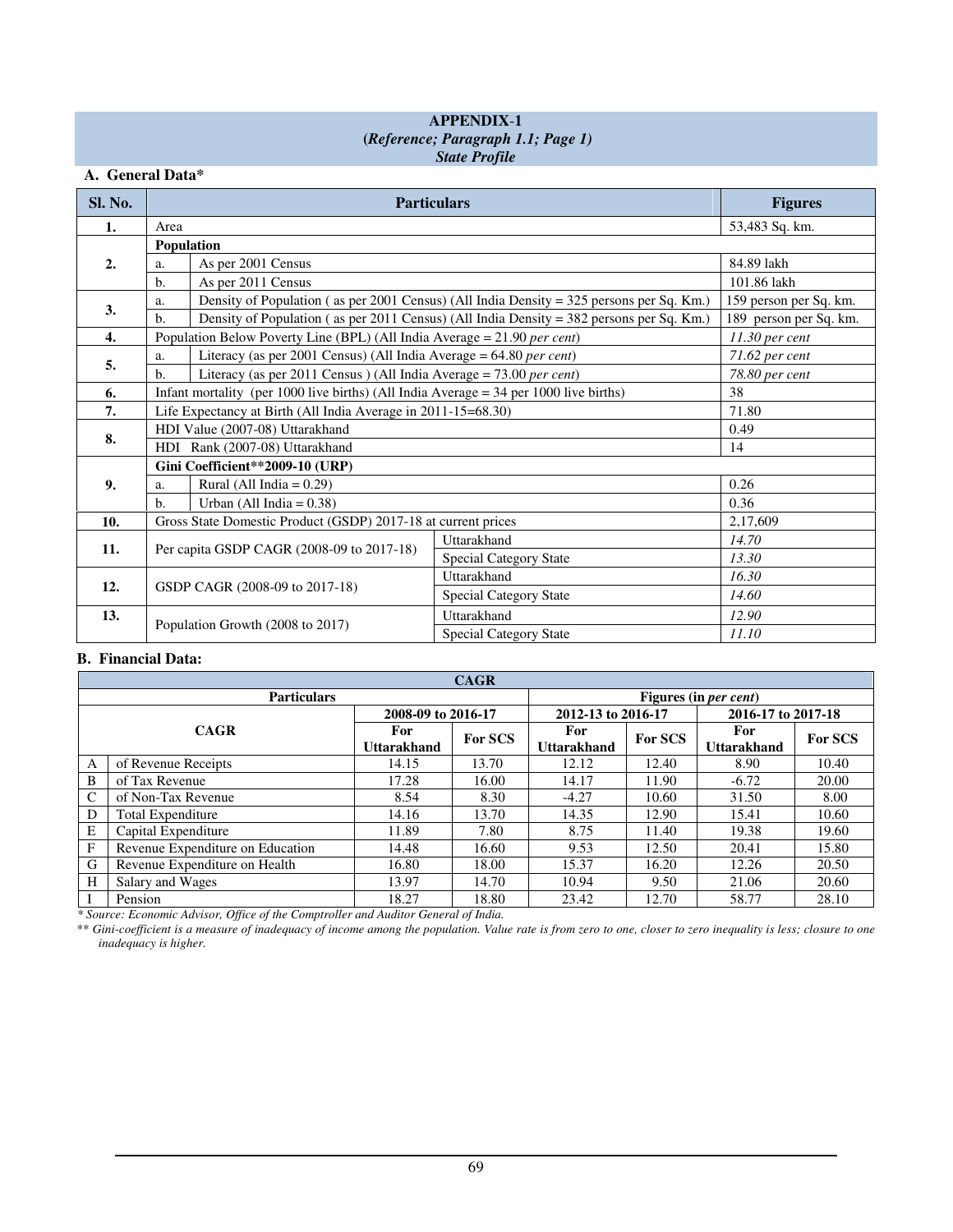### **APPENDIX**-**1 (***Reference; Paragraph 1.1; Page 1) State Profile*

### **A. General Data\***

| <b>Sl. No.</b>   |                | <b>Particulars</b>                                                                      |                                                                                          | <b>Figures</b>         |
|------------------|----------------|-----------------------------------------------------------------------------------------|------------------------------------------------------------------------------------------|------------------------|
| 1.               | Area           |                                                                                         |                                                                                          | 53,483 Sq. km.         |
|                  | Population     |                                                                                         |                                                                                          |                        |
| 2.               | a.             | As per 2001 Census                                                                      |                                                                                          | 84.89 lakh             |
|                  | $\mathbf{b}$ . | As per 2011 Census                                                                      |                                                                                          | 101.86 lakh            |
| 3.               | a.             |                                                                                         | Density of Population (as per 2001 Census) (All India Density = 325 persons per Sq. Km.) | 159 person per Sq. km. |
|                  | $b$ .          |                                                                                         | Density of Population (as per 2011 Census) (All India Density = 382 persons per Sq. Km.) | 189 person per Sq. km. |
| $\overline{4}$ . |                | Population Below Poverty Line (BPL) (All India Average = 21.90 per cent)                |                                                                                          | $11.30$ per cent       |
| 5.               | a.             | Literacy (as per 2001 Census) (All India Average = $64.80$ per cent)                    |                                                                                          | 71.62 per cent         |
|                  | $b$ .          | Literacy (as per 2011 Census) (All India Average = $73.00$ per cent)                    | 78.80 per cent                                                                           |                        |
| 6.               |                | Infant mortality (per 1000 live births) (All India Average $=$ 34 per 1000 live births) | 38                                                                                       |                        |
| 7.               |                | Life Expectancy at Birth (All India Average in 2011-15=68.30)                           | 71.80                                                                                    |                        |
| 8.               |                | HDI Value (2007-08) Uttarakhand                                                         | 0.49                                                                                     |                        |
|                  |                | HDI Rank (2007-08) Uttarakhand                                                          |                                                                                          | 14                     |
|                  |                | Gini Coefficient**2009-10 (URP)                                                         |                                                                                          |                        |
| 9.               | a.             | Rural (All India $= 0.29$ )                                                             | 0.26                                                                                     |                        |
|                  | $b$            | Urban (All India $= 0.38$ )                                                             | 0.36                                                                                     |                        |
| 10.              |                | Gross State Domestic Product (GSDP) 2017-18 at current prices                           |                                                                                          | 2,17,609               |
| 11.              |                | Per capita GSDP CAGR (2008-09 to 2017-18)                                               | Uttarakhand                                                                              | 14.70                  |
|                  |                |                                                                                         | <b>Special Category State</b>                                                            | 13.30                  |
| 12.              |                | GSDP CAGR (2008-09 to 2017-18)                                                          | Uttarakhand                                                                              | 16.30                  |
|                  |                |                                                                                         | <b>Special Category State</b>                                                            | 14.60                  |
| 13.              |                |                                                                                         | Uttarakhand                                                                              | 12.90                  |
|                  |                | Population Growth (2008 to 2017)                                                        | <b>Special Category State</b>                                                            | 11.10                  |

### **B. Financial Data:**

|               | <b>CAGR</b>                      |                           |                |                               |         |                           |         |  |  |
|---------------|----------------------------------|---------------------------|----------------|-------------------------------|---------|---------------------------|---------|--|--|
|               | <b>Particulars</b>               |                           |                | Figures (in <i>per cent</i> ) |         |                           |         |  |  |
|               |                                  | 2008-09 to 2016-17        |                | 2012-13 to 2016-17            |         | 2016-17 to 2017-18        |         |  |  |
| <b>CAGR</b>   |                                  | For<br><b>Uttarakhand</b> | <b>For SCS</b> | For<br>Uttarakhand            | For SCS | For<br><b>Uttarakhand</b> | For SCS |  |  |
| A             | of Revenue Receipts              | 14.15                     | 13.70          | 12.12                         | 12.40   | 8.90                      | 10.40   |  |  |
| B             | of Tax Revenue                   | 17.28                     | 16.00          | 14.17                         | 11.90   | $-6.72$                   | 20.00   |  |  |
| $\mathcal{C}$ | of Non-Tax Revenue               | 8.54                      | 8.30           | $-4.27$                       | 10.60   | 31.50                     | 8.00    |  |  |
| D             | <b>Total Expenditure</b>         | 14.16                     | 13.70          | 14.35                         | 12.90   | 15.41                     | 10.60   |  |  |
| E             | Capital Expenditure              | 11.89                     | 7.80           | 8.75                          | 11.40   | 19.38                     | 19.60   |  |  |
| F             | Revenue Expenditure on Education | 14.48                     | 16.60          | 9.53                          | 12.50   | 20.41                     | 15.80   |  |  |
| G             | Revenue Expenditure on Health    | 16.80                     | 18.00          | 15.37                         | 16.20   | 12.26                     | 20.50   |  |  |
| H             | Salary and Wages                 | 13.97                     | 14.70          | 10.94                         | 9.50    | 21.06                     | 20.60   |  |  |
|               | Pension                          | 18.27                     | 18.80          | 23.42                         | 12.70   | 58.77                     | 28.10   |  |  |

*\* Source: Economic Advisor, Office of the Comptroller and Auditor General of India.* 

\*\* *Gini-coefficient is a measure of inadequacy of income among the population. Value rate is from zero to one, closer to zero inequality is less; closure to one inadequacy is higher.*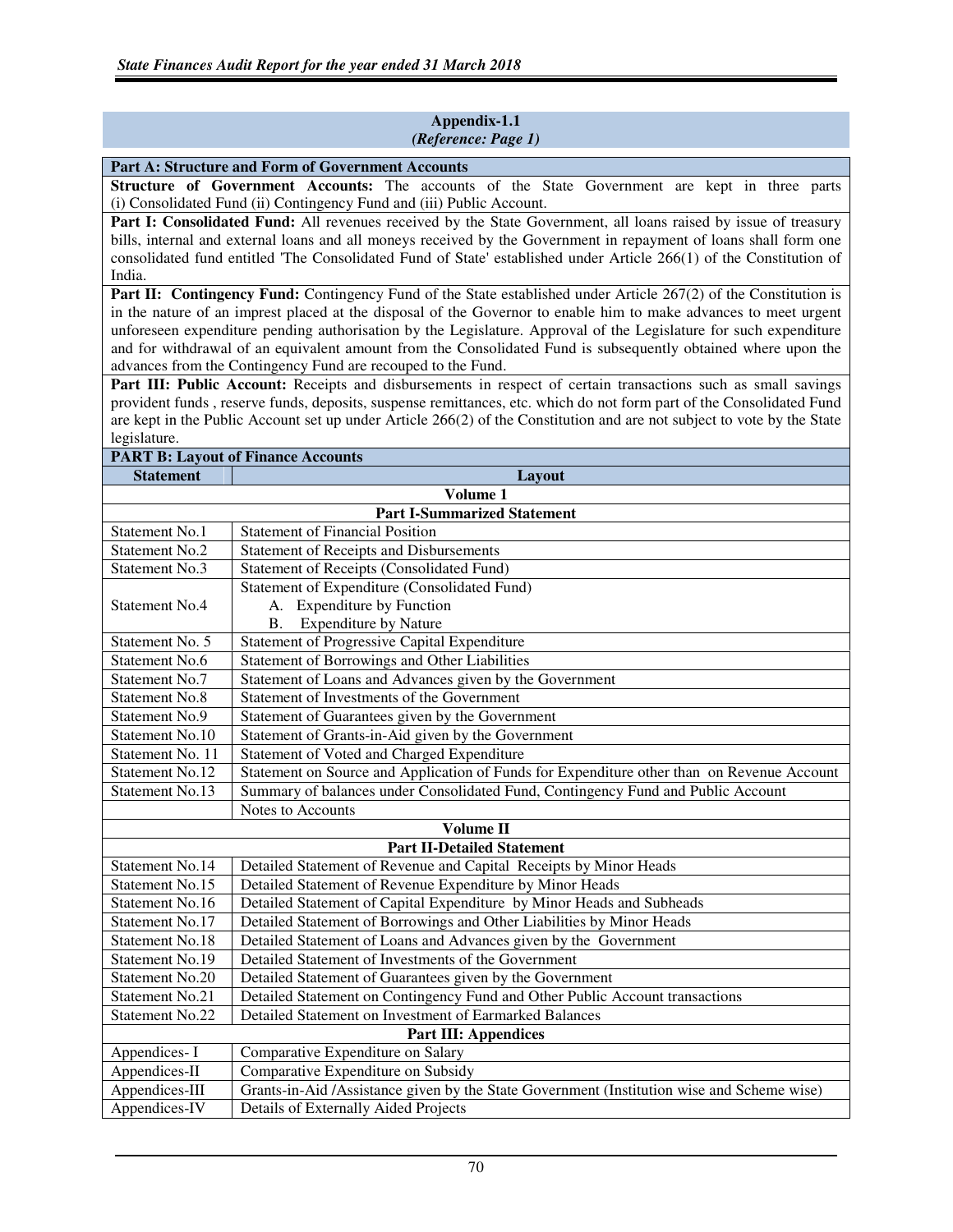### **Appendix-1.1**  *(Reference: Page 1)*

### **Part A: Structure and Form of Government Accounts**

**Structure of Government Accounts:** The accounts of the State Government are kept in three parts (i) Consolidated Fund (ii) Contingency Fund and (iii) Public Account.

**Part I: Consolidated Fund:** All revenues received by the State Government, all loans raised by issue of treasury bills, internal and external loans and all moneys received by the Government in repayment of loans shall form one consolidated fund entitled 'The Consolidated Fund of State' established under Article 266(1) of the Constitution of India.

**Part II: Contingency Fund:** Contingency Fund of the State established under Article 267(2) of the Constitution is in the nature of an imprest placed at the disposal of the Governor to enable him to make advances to meet urgent unforeseen expenditure pending authorisation by the Legislature. Approval of the Legislature for such expenditure and for withdrawal of an equivalent amount from the Consolidated Fund is subsequently obtained where upon the advances from the Contingency Fund are recouped to the Fund.

Part III: Public Account: Receipts and disbursements in respect of certain transactions such as small savings provident funds , reserve funds, deposits, suspense remittances, etc. which do not form part of the Consolidated Fund are kept in the Public Account set up under Article 266(2) of the Constitution and are not subject to vote by the State legislature.

| <b>PART B: Layout of Finance Accounts</b> |                                                                                            |  |  |  |  |  |  |
|-------------------------------------------|--------------------------------------------------------------------------------------------|--|--|--|--|--|--|
| <b>Statement</b>                          | Layout                                                                                     |  |  |  |  |  |  |
|                                           | Volume 1                                                                                   |  |  |  |  |  |  |
|                                           | <b>Part I-Summarized Statement</b>                                                         |  |  |  |  |  |  |
| Statement No.1                            | <b>Statement of Financial Position</b>                                                     |  |  |  |  |  |  |
| Statement No.2                            | <b>Statement of Receipts and Disbursements</b>                                             |  |  |  |  |  |  |
| Statement No.3                            | Statement of Receipts (Consolidated Fund)                                                  |  |  |  |  |  |  |
|                                           | Statement of Expenditure (Consolidated Fund)                                               |  |  |  |  |  |  |
| Statement No.4                            | A. Expenditure by Function                                                                 |  |  |  |  |  |  |
|                                           | <b>Expenditure by Nature</b><br><b>B.</b>                                                  |  |  |  |  |  |  |
| Statement No. 5                           | Statement of Progressive Capital Expenditure                                               |  |  |  |  |  |  |
| Statement No.6                            | Statement of Borrowings and Other Liabilities                                              |  |  |  |  |  |  |
| Statement No.7                            | Statement of Loans and Advances given by the Government                                    |  |  |  |  |  |  |
| Statement No.8                            | Statement of Investments of the Government                                                 |  |  |  |  |  |  |
| Statement No.9                            | Statement of Guarantees given by the Government                                            |  |  |  |  |  |  |
| Statement No.10                           | Statement of Grants-in-Aid given by the Government                                         |  |  |  |  |  |  |
| Statement No. 11                          | Statement of Voted and Charged Expenditure                                                 |  |  |  |  |  |  |
| Statement No.12                           | Statement on Source and Application of Funds for Expenditure other than on Revenue Account |  |  |  |  |  |  |
| Statement No.13                           | Summary of balances under Consolidated Fund, Contingency Fund and Public Account           |  |  |  |  |  |  |
|                                           | Notes to Accounts                                                                          |  |  |  |  |  |  |
|                                           | <b>Volume II</b>                                                                           |  |  |  |  |  |  |
|                                           | <b>Part II-Detailed Statement</b>                                                          |  |  |  |  |  |  |
| Statement No.14                           | Detailed Statement of Revenue and Capital Receipts by Minor Heads                          |  |  |  |  |  |  |
| Statement No.15                           | Detailed Statement of Revenue Expenditure by Minor Heads                                   |  |  |  |  |  |  |
| Statement No.16                           | Detailed Statement of Capital Expenditure by Minor Heads and Subheads                      |  |  |  |  |  |  |
| Statement No.17                           | Detailed Statement of Borrowings and Other Liabilities by Minor Heads                      |  |  |  |  |  |  |
| Statement No.18                           | Detailed Statement of Loans and Advances given by the Government                           |  |  |  |  |  |  |
| Statement No.19                           | Detailed Statement of Investments of the Government                                        |  |  |  |  |  |  |
| Statement No.20                           | Detailed Statement of Guarantees given by the Government                                   |  |  |  |  |  |  |
| Statement No.21                           | Detailed Statement on Contingency Fund and Other Public Account transactions               |  |  |  |  |  |  |
| Statement No.22                           | Detailed Statement on Investment of Earmarked Balances                                     |  |  |  |  |  |  |
|                                           | <b>Part III: Appendices</b>                                                                |  |  |  |  |  |  |
| Appendices-I                              | Comparative Expenditure on Salary                                                          |  |  |  |  |  |  |
| Appendices-II                             | Comparative Expenditure on Subsidy                                                         |  |  |  |  |  |  |
| Appendices-III                            | Grants-in-Aid /Assistance given by the State Government (Institution wise and Scheme wise) |  |  |  |  |  |  |
| Appendices-IV                             | Details of Externally Aided Projects                                                       |  |  |  |  |  |  |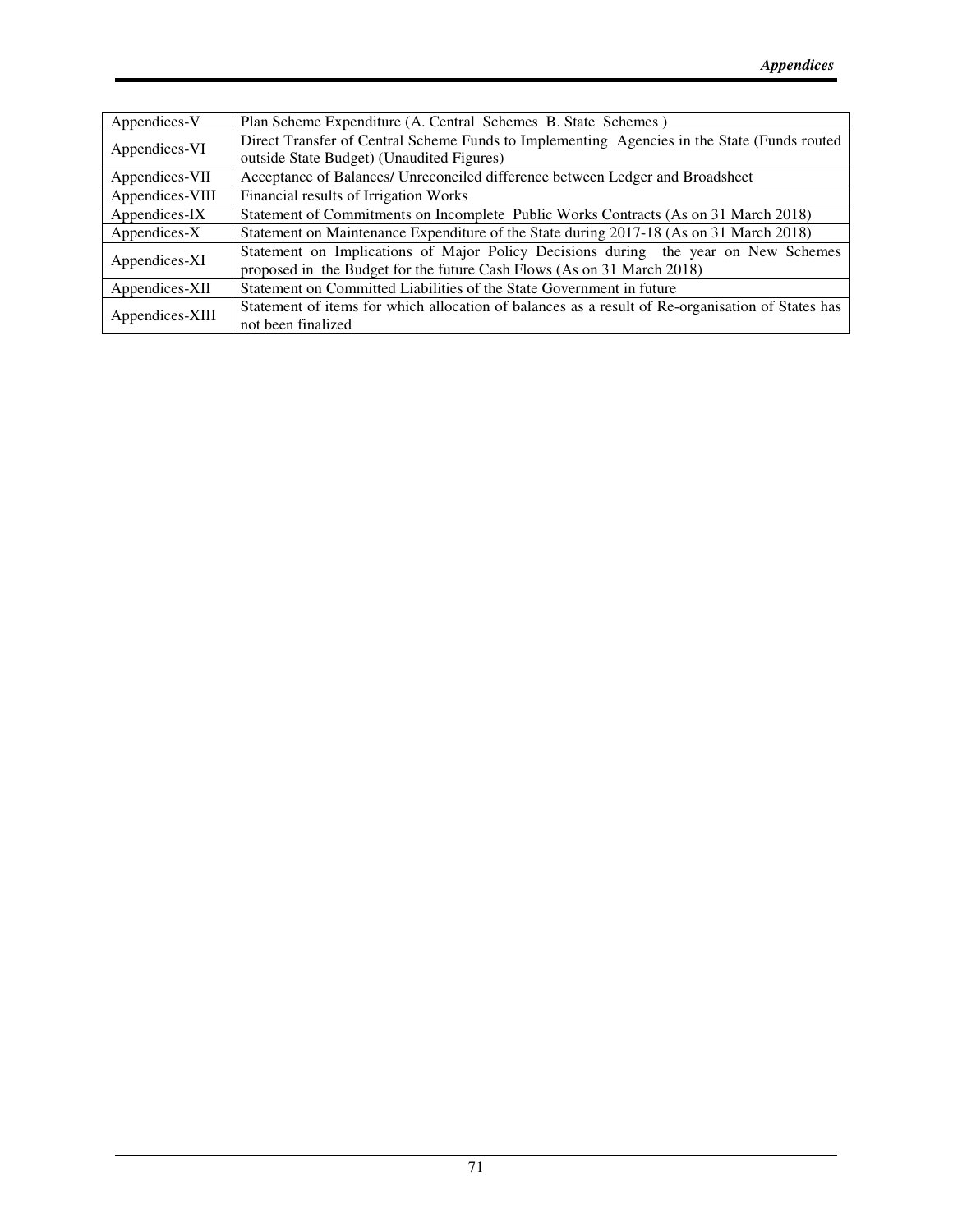| Appendices-V    | Plan Scheme Expenditure (A. Central Schemes B. State Schemes)                                    |
|-----------------|--------------------------------------------------------------------------------------------------|
|                 | Direct Transfer of Central Scheme Funds to Implementing Agencies in the State (Funds routed      |
| Appendices-VI   | outside State Budget) (Unaudited Figures)                                                        |
| Appendices-VII  | Acceptance of Balances/ Unreconciled difference between Ledger and Broadsheet                    |
| Appendices-VIII | Financial results of Irrigation Works                                                            |
| Appendices-IX   | Statement of Commitments on Incomplete Public Works Contracts (As on 31 March 2018)              |
| Appendices-X    | Statement on Maintenance Expenditure of the State during 2017-18 (As on 31 March 2018)           |
| Appendices-XI   | Statement on Implications of Major Policy Decisions during the year on New Schemes               |
|                 | proposed in the Budget for the future Cash Flows (As on 31 March 2018)                           |
| Appendices-XII  | Statement on Committed Liabilities of the State Government in future                             |
|                 | Statement of items for which allocation of balances as a result of Re-organisation of States has |
| Appendices-XIII | not been finalized                                                                               |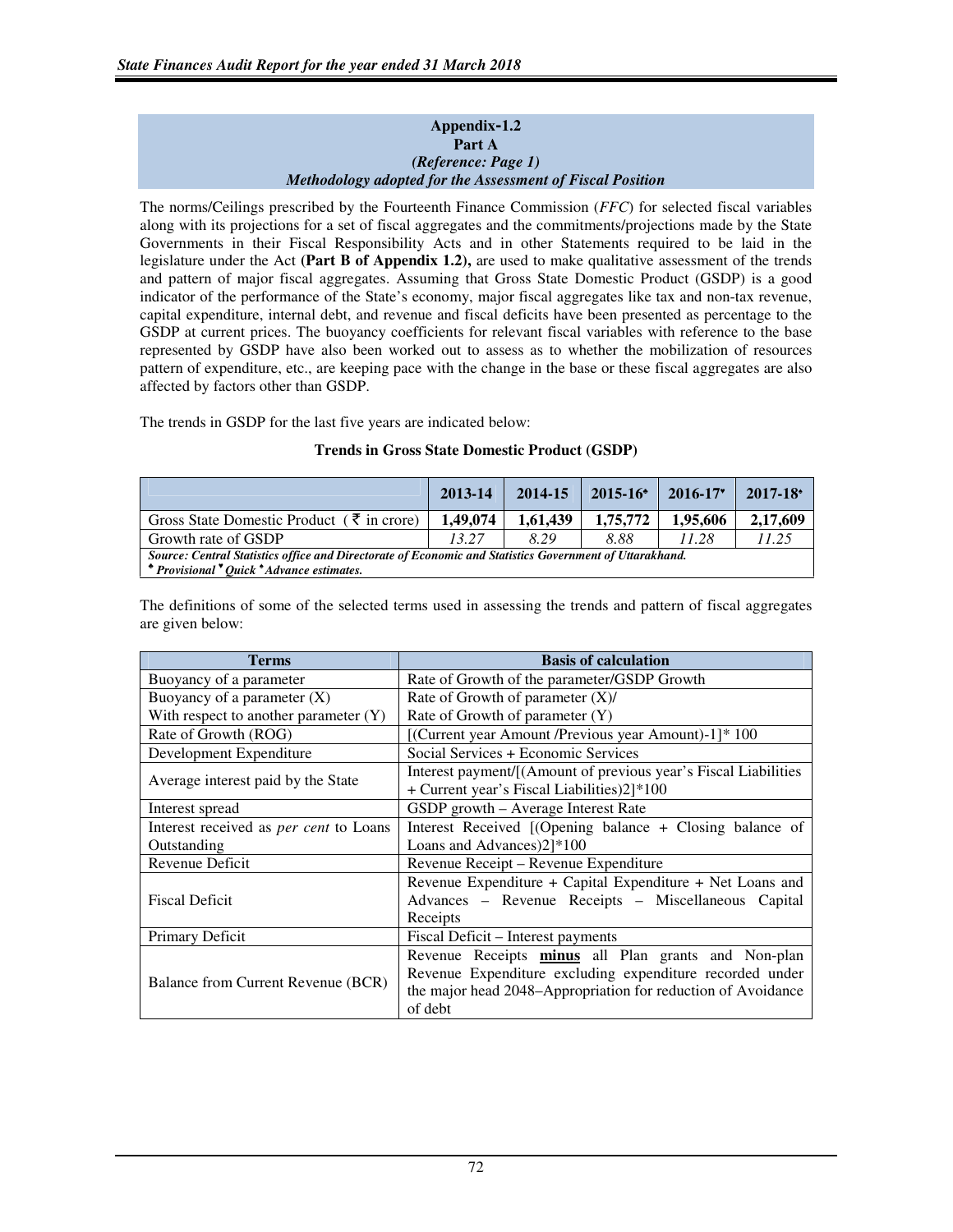### **Appendix-1.2 Part A**  *(Reference: Page 1) Methodology adopted for the Assessment of Fiscal Position*

The norms/Ceilings prescribed by the Fourteenth Finance Commission (*FFC*) for selected fiscal variables along with its projections for a set of fiscal aggregates and the commitments/projections made by the State Governments in their Fiscal Responsibility Acts and in other Statements required to be laid in the legislature under the Act **(Part B of Appendix 1.2),** are used to make qualitative assessment of the trends and pattern of major fiscal aggregates. Assuming that Gross State Domestic Product (GSDP) is a good indicator of the performance of the State's economy, major fiscal aggregates like tax and non-tax revenue, capital expenditure, internal debt, and revenue and fiscal deficits have been presented as percentage to the GSDP at current prices. The buoyancy coefficients for relevant fiscal variables with reference to the base represented by GSDP have also been worked out to assess as to whether the mobilization of resources pattern of expenditure, etc., are keeping pace with the change in the base or these fiscal aggregates are also affected by factors other than GSDP.

The trends in GSDP for the last five years are indicated below:

# **Trends in Gross State Domestic Product (GSDP)**

|                                                                                                                                                      | 2013-14  | 2014-15  | 2015-16 <sup>*</sup> | $\mid$ 2016-17* | $2017 - 18$ <sup>*</sup> |  |  |  |
|------------------------------------------------------------------------------------------------------------------------------------------------------|----------|----------|----------------------|-----------------|--------------------------|--|--|--|
| Gross State Domestic Product ( $\bar{\tau}$ in crore)                                                                                                | 1.49.074 | 1.61.439 | 1,75,772             | 1.95.606        | 2,17,609                 |  |  |  |
| Growth rate of GSDP                                                                                                                                  | 13.27    | 8.29     | 8.88                 | 11.28           | 11.25                    |  |  |  |
| Source: Central Statistics office and Directorate of Economic and Statistics Government of Uttarakhand.<br>* Provisional "Ouick * Advance estimates. |          |          |                      |                 |                          |  |  |  |

The definitions of some of the selected terms used in assessing the trends and pattern of fiscal aggregates are given below:

| <b>Terms</b>                            | <b>Basis of calculation</b>                                     |  |  |  |
|-----------------------------------------|-----------------------------------------------------------------|--|--|--|
| Buoyancy of a parameter                 | Rate of Growth of the parameter/GSDP Growth                     |  |  |  |
| Buoyancy of a parameter $(X)$           | Rate of Growth of parameter $(X)$ /                             |  |  |  |
| With respect to another parameter $(Y)$ | Rate of Growth of parameter (Y)                                 |  |  |  |
| Rate of Growth (ROG)                    | [(Current year Amount /Previous year Amount)-1]* 100            |  |  |  |
| Development Expenditure                 | Social Services + Economic Services                             |  |  |  |
| Average interest paid by the State      | Interest payment/[(Amount of previous year's Fiscal Liabilities |  |  |  |
|                                         | + Current year's Fiscal Liabilities)2]*100                      |  |  |  |
| Interest spread                         | GSDP growth – Average Interest Rate                             |  |  |  |
| Interest received as per cent to Loans  | Interest Received [(Opening balance + Closing balance of        |  |  |  |
| Outstanding                             | Loans and Advances)2]*100                                       |  |  |  |
| Revenue Deficit                         | Revenue Receipt - Revenue Expenditure                           |  |  |  |
|                                         | Revenue Expenditure + Capital Expenditure + Net Loans and       |  |  |  |
| <b>Fiscal Deficit</b>                   | Advances – Revenue Receipts – Miscellaneous Capital             |  |  |  |
|                                         | Receipts                                                        |  |  |  |
| Primary Deficit                         | Fiscal Deficit - Interest payments                              |  |  |  |
|                                         | Revenue Receipts minus all Plan grants and Non-plan             |  |  |  |
|                                         | Revenue Expenditure excluding expenditure recorded under        |  |  |  |
| Balance from Current Revenue (BCR)      | the major head 2048–Appropriation for reduction of Avoidance    |  |  |  |
|                                         | of debt                                                         |  |  |  |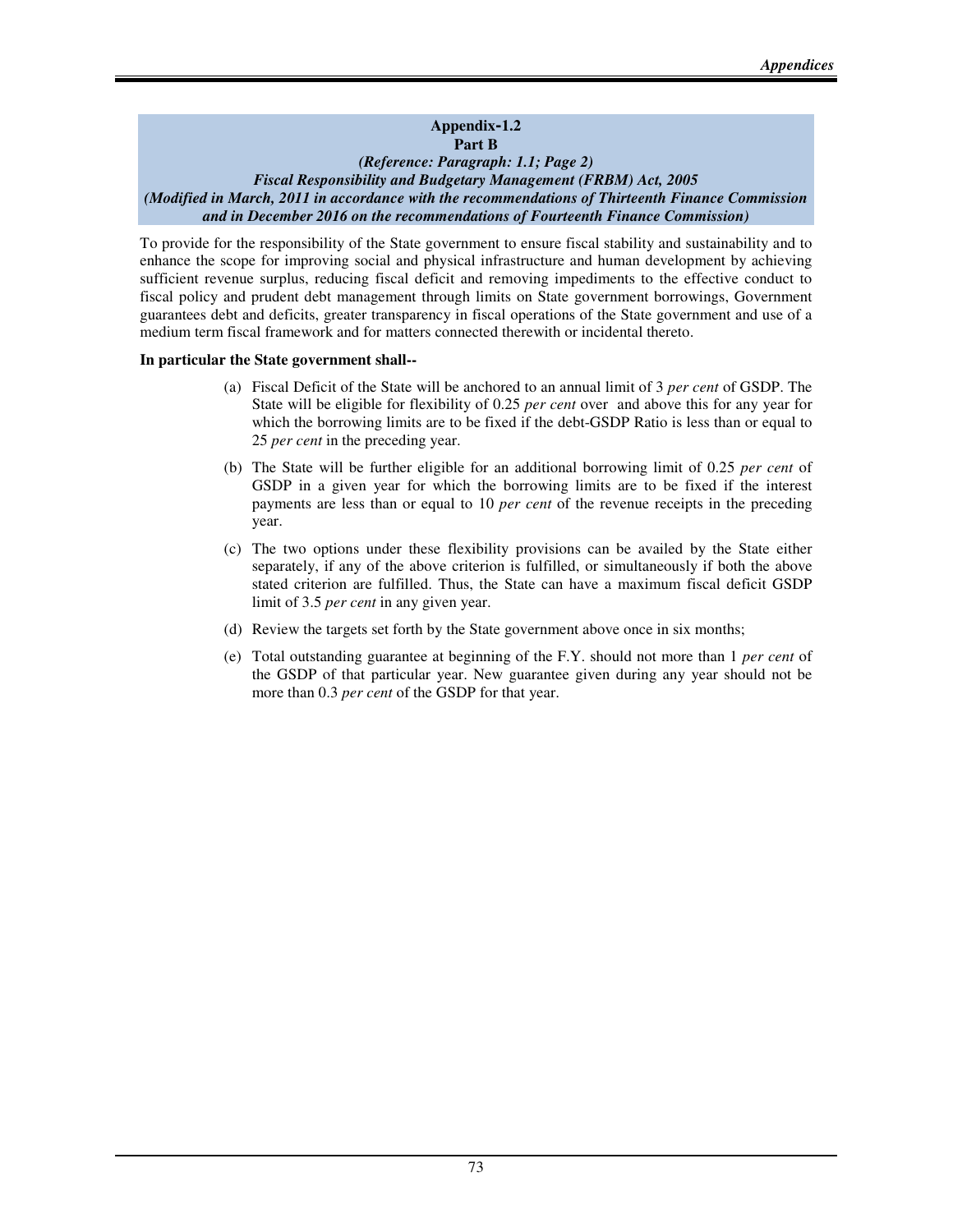### **Appendix-1.2 Part B**  *(Reference: Paragraph: 1.1; Page 2) Fiscal Responsibility and Budgetary Management (FRBM) Act, 2005 (Modified in March, 2011 in accordance with the recommendations of Thirteenth Finance Commission and in December 2016 on the recommendations of Fourteenth Finance Commission)*

To provide for the responsibility of the State government to ensure fiscal stability and sustainability and to enhance the scope for improving social and physical infrastructure and human development by achieving sufficient revenue surplus, reducing fiscal deficit and removing impediments to the effective conduct to fiscal policy and prudent debt management through limits on State government borrowings, Government guarantees debt and deficits, greater transparency in fiscal operations of the State government and use of a medium term fiscal framework and for matters connected therewith or incidental thereto.

### **In particular the State government shall--**

- (a) Fiscal Deficit of the State will be anchored to an annual limit of 3 *per cent* of GSDP. The State will be eligible for flexibility of 0.25 *per cent* over and above this for any year for which the borrowing limits are to be fixed if the debt-GSDP Ratio is less than or equal to 25 *per cent* in the preceding year.
- (b) The State will be further eligible for an additional borrowing limit of 0.25 *per cent* of GSDP in a given year for which the borrowing limits are to be fixed if the interest payments are less than or equal to 10 *per cent* of the revenue receipts in the preceding year.
- (c) The two options under these flexibility provisions can be availed by the State either separately, if any of the above criterion is fulfilled, or simultaneously if both the above stated criterion are fulfilled. Thus, the State can have a maximum fiscal deficit GSDP limit of 3.5 *per cent* in any given year.
- (d) Review the targets set forth by the State government above once in six months;
- (e) Total outstanding guarantee at beginning of the F.Y. should not more than 1 *per cent* of the GSDP of that particular year. New guarantee given during any year should not be more than 0.3 *per cent* of the GSDP for that year.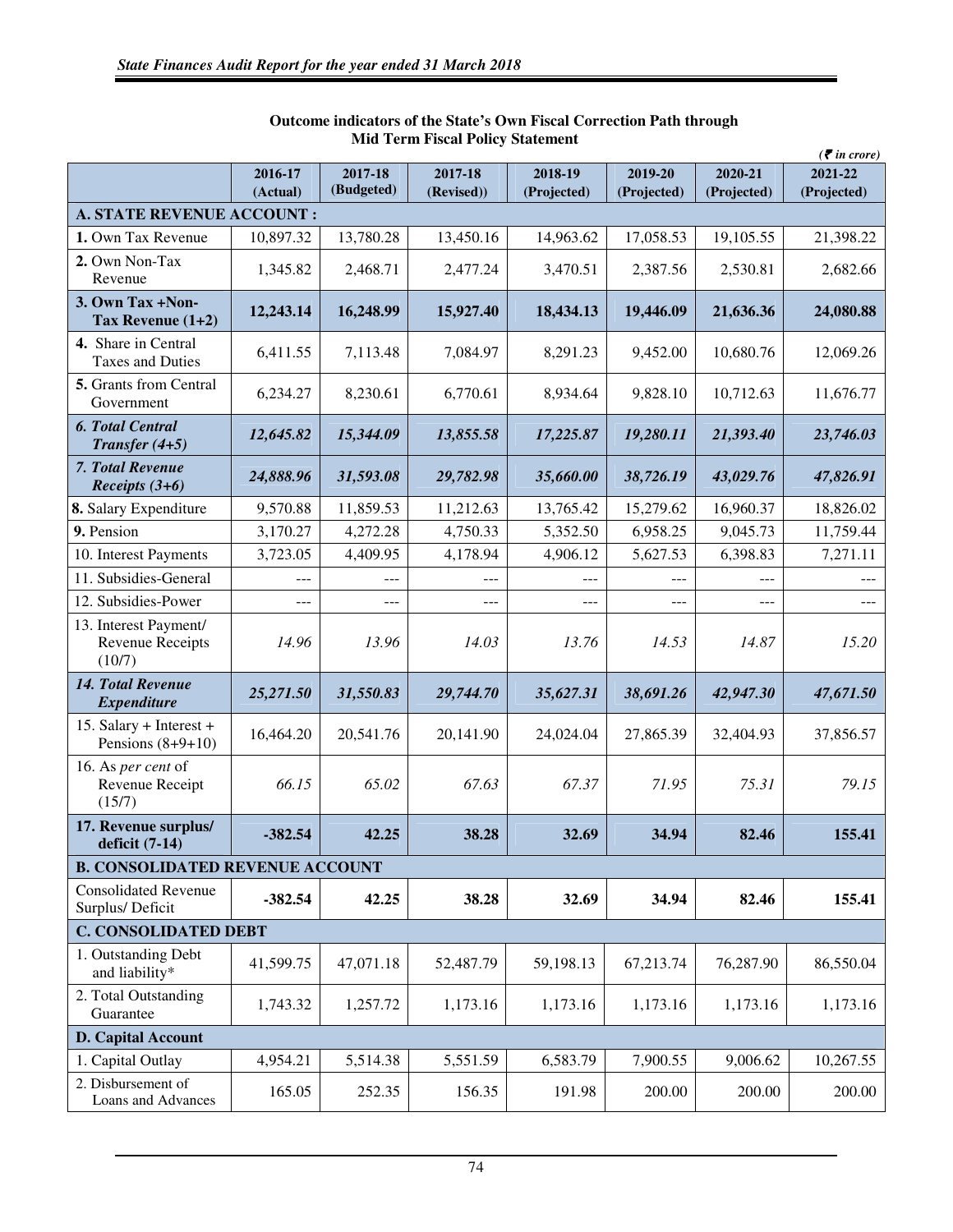|                                                     |                      |                       |                     |             |             |             | $(5$ in crore) |
|-----------------------------------------------------|----------------------|-----------------------|---------------------|-------------|-------------|-------------|----------------|
|                                                     | 2016-17              | 2017-18<br>(Budgeted) | 2017-18             | 2018-19     | 2019-20     | 2020-21     | 2021-22        |
|                                                     | (Actual)             |                       | (Revised))          | (Projected) | (Projected) | (Projected) | (Projected)    |
| A. STATE REVENUE ACCOUNT :                          |                      |                       |                     |             |             |             |                |
| 1. Own Tax Revenue                                  | 10,897.32            | 13,780.28             | 13,450.16           | 14,963.62   | 17,058.53   | 19,105.55   | 21,398.22      |
| 2. Own Non-Tax<br>Revenue                           | 1,345.82             | 2,468.71              | 2,477.24            | 3,470.51    | 2,387.56    | 2,530.81    | 2,682.66       |
| 3. Own Tax +Non-<br>Tax Revenue $(1+2)$             | 12,243.14            | 16,248.99             | 15,927.40           | 18,434.13   | 19,446.09   | 21,636.36   | 24,080.88      |
| 4. Share in Central<br><b>Taxes and Duties</b>      | 6,411.55             | 7,113.48              | 7,084.97            | 8,291.23    | 9,452.00    | 10,680.76   | 12,069.26      |
| 5. Grants from Central<br>Government                | 6,234.27             | 8,230.61              | 6,770.61            | 8,934.64    | 9,828.10    | 10,712.63   | 11,676.77      |
| <b>6. Total Central</b><br>Transfer $(4+5)$         | 12,645.82            | 15,344.09             | 13,855.58           | 17,225.87   | 19,280.11   | 21,393.40   | 23,746.03      |
| 7. Total Revenue<br>Receipts $(3+6)$                | 24,888.96            | 31,593.08             | 29,782.98           | 35,660.00   | 38,726.19   | 43,029.76   | 47,826.91      |
| 8. Salary Expenditure                               | 9,570.88             | 11,859.53             | 11,212.63           | 13,765.42   | 15,279.62   | 16,960.37   | 18,826.02      |
| 9. Pension                                          | 3,170.27             | 4,272.28              | 4,750.33            | 5,352.50    | 6,958.25    | 9,045.73    | 11,759.44      |
| 10. Interest Payments                               | 3,723.05             | 4,409.95              | 4,178.94            | 4,906.12    | 5,627.53    | 6,398.83    | 7,271.11       |
| 11. Subsidies-General                               | $\sim$ $\sim$ $\sim$ | $\qquad \qquad - -$   | $\qquad \qquad - -$ | ---         | ---         | $---$       | $---$          |
| 12. Subsidies-Power                                 | $\qquad \qquad - -$  | ---                   | ---                 | $---$       | ---         | ---         | ---            |
| 13. Interest Payment/<br>Revenue Receipts<br>(10/7) | 14.96                | 13.96                 | 14.03               | 13.76       | 14.53       | 14.87       | 15.20          |
| 14. Total Revenue<br><b>Expenditure</b>             | 25,271.50            | 31,550.83             | 29,744.70           | 35,627.31   | 38,691.26   | 42,947.30   | 47,671.50      |
| 15. Salary + Interest +<br>Pensions $(8+9+10)$      | 16,464.20            | 20,541.76             | 20,141.90           | 24,024.04   | 27,865.39   | 32,404.93   | 37,856.57      |
| 16. As per cent of<br>Revenue Receipt<br>(15/7)     | 66.15                | 65.02                 | 67.63               | 67.37       | 71.95       | 75.31       | 79.15          |
| 17. Revenue surplus/<br>deficit (7-14)              | $-382.54$            | 42.25                 | 38.28               | 32.69       | 34.94       | 82.46       | 155.41         |
| <b>B. CONSOLIDATED REVENUE ACCOUNT</b>              |                      |                       |                     |             |             |             |                |
| <b>Consolidated Revenue</b><br>Surplus/Deficit      | $-382.54$            | 42.25                 | 38.28               | 32.69       | 34.94       | 82.46       | 155.41         |
| <b>C. CONSOLIDATED DEBT</b>                         |                      |                       |                     |             |             |             |                |
| 1. Outstanding Debt<br>and liability*               | 41,599.75            | 47,071.18             | 52,487.79           | 59,198.13   | 67,213.74   | 76,287.90   | 86,550.04      |
| 2. Total Outstanding<br>Guarantee                   | 1,743.32             | 1,257.72              | 1,173.16            | 1,173.16    | 1,173.16    | 1,173.16    | 1,173.16       |
| <b>D. Capital Account</b>                           |                      |                       |                     |             |             |             |                |
| 1. Capital Outlay                                   | 4,954.21             | 5,514.38              | 5,551.59            | 6,583.79    | 7,900.55    | 9,006.62    | 10,267.55      |
| 2. Disbursement of<br>Loans and Advances            | 165.05               | 252.35                | 156.35              | 191.98      | 200.00      | 200.00      | 200.00         |

### **Outcome indicators of the State's Own Fiscal Correction Path through Mid Term Fiscal Policy Statement**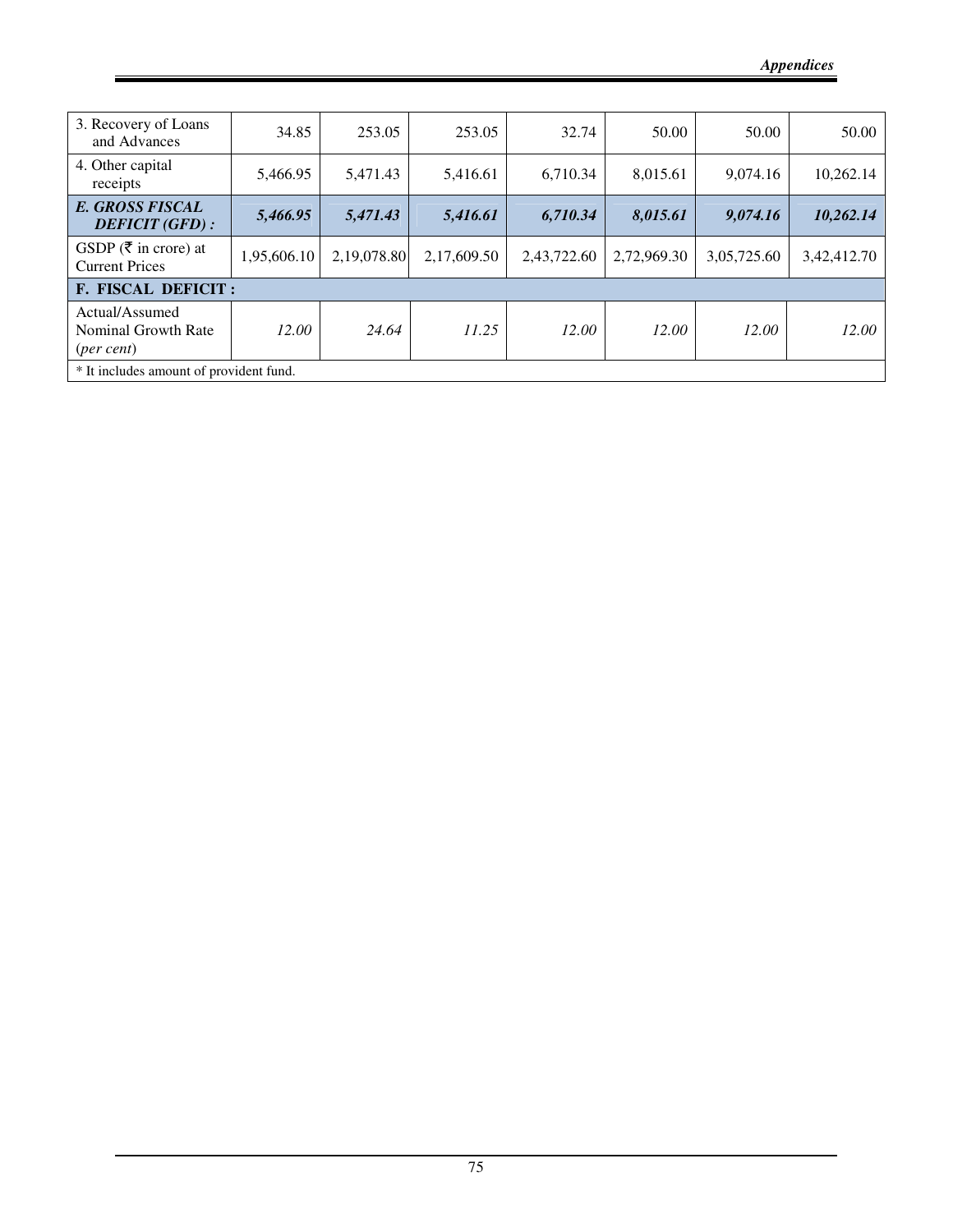| 3. Recovery of Loans<br>and Advances                         | 34.85       | 253.05      | 253.05      | 32.74       | 50.00       | 50.00       | 50.00       |  |  |
|--------------------------------------------------------------|-------------|-------------|-------------|-------------|-------------|-------------|-------------|--|--|
| 4. Other capital<br>receipts                                 | 5.466.95    | 5,471.43    | 5,416.61    | 6,710.34    | 8,015.61    | 9,074.16    | 10,262.14   |  |  |
| <b>E. GROSS FISCAL</b><br><b>DEFICIT (GFD):</b>              | 5,466.95    | 5,471.43    | 5,416.61    | 6,710.34    | 8,015.61    | 9,074.16    | 10,262.14   |  |  |
| GSDP ( $\bar{\tau}$ in crore) at<br><b>Current Prices</b>    | 1,95,606.10 | 2,19,078.80 | 2,17,609.50 | 2,43,722.60 | 2,72,969.30 | 3,05,725.60 | 3,42,412.70 |  |  |
| <b>F. FISCAL DEFICIT:</b>                                    |             |             |             |             |             |             |             |  |  |
| Actual/Assumed<br>Nominal Growth Rate<br>$(\text{per cent})$ | 12.00       | 24.64       | 11.25       | 12.00       | 12.00       | 12.00       | 12.00       |  |  |
| * It includes amount of provident fund.                      |             |             |             |             |             |             |             |  |  |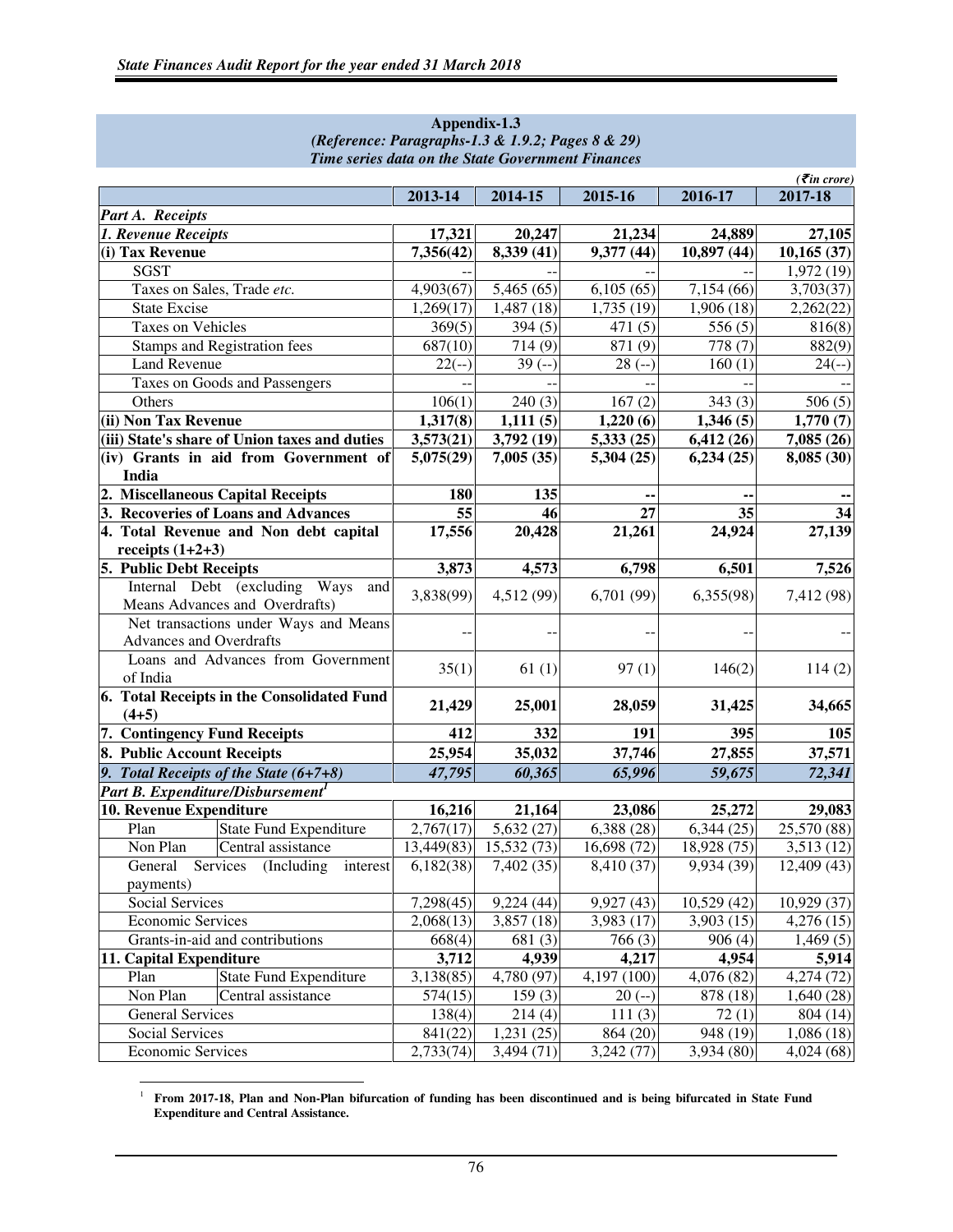|                                                                         |                          |                    |                         |                        | $( \bar{\mathbf{\mathcal{F}}}$ in crore) |
|-------------------------------------------------------------------------|--------------------------|--------------------|-------------------------|------------------------|------------------------------------------|
|                                                                         | 2013-14                  | 2014-15            | 2015-16                 | 2016-17                | 2017-18                                  |
| Part A. Receipts                                                        |                          |                    |                         |                        |                                          |
| 1. Revenue Receipts                                                     | 17,321                   | 20,247             | 21,234                  | 24,889                 | 27,105                                   |
| (i) Tax Revenue                                                         | 7,356(42)                | 8,339 (41)         | 9,377(44)               | 10,897 (44)            | 10,165(37)                               |
| <b>SGST</b>                                                             |                          |                    |                         |                        | $\overline{1,972(19)}$                   |
| Taxes on Sales, Trade etc.                                              | 4,903(67)                | 5,465(65)          | 6,105(65)               | 7,154(66)              | 3,703(37)                                |
| <b>State Excise</b>                                                     | 1,269(17)                | 1,487(18)          | $\overline{1,735}$ (19) | $\overline{1,906(18)}$ | 2,262(22)                                |
| <b>Taxes on Vehicles</b>                                                | 369(5)                   | 394(5)             | $\overline{471}$ (5)    | 556 $(5)$              | 816(8)                                   |
| Stamps and Registration fees                                            | 687(10)                  | 714 (9)            | 871 (9)                 | 778(7)                 | 882(9)                                   |
| Land Revenue                                                            | $22(-)$                  | $\overline{39}(-)$ | $\overline{28}$ (--)    | $\overline{160}$ (1)   | $24(-)$                                  |
| Taxes on Goods and Passengers                                           |                          |                    |                         |                        |                                          |
| Others                                                                  | 106(1)                   | 240(3)             | 167(2)                  | 343(3)                 | 506(5)                                   |
| (ii) Non Tax Revenue                                                    | 1,317(8)                 | 1,111(5)           | 1,220(6)                | 1,346(5)               | 1,770(7)                                 |
| (iii) State's share of Union taxes and duties                           | 3,573(21)                | 3,792 (19)         | 5,333 (25)              | 6,412(26)              | 7,085 (26)                               |
| (iv) Grants in aid from Government of                                   | 5,075(29)                | 7,005(35)          | 5,304 (25)              | 6,234(25)              | 8,085 (30)                               |
| India                                                                   |                          |                    |                         |                        |                                          |
| 2. Miscellaneous Capital Receipts                                       | 180                      | 135                |                         |                        |                                          |
| 3. Recoveries of Loans and Advances                                     | 55                       | 46                 | 27                      | 35                     | 34                                       |
| 4. Total Revenue and Non debt capital                                   | 17,556                   | 20,428             | 21,261                  | 24,924                 | 27,139                                   |
| receipts $(1+2+3)$                                                      |                          |                    |                         |                        |                                          |
| 5. Public Debt Receipts                                                 | 3,873                    | 4,573              | 6,798                   | 6,501                  | 7,526                                    |
| Internal Debt (excluding Ways<br>and<br>Means Advances and Overdrafts)  | 3,838(99)                | 4,512 (99)         | 6,701 (99)              | 6,355(98)              | 7,412 (98)                               |
| Net transactions under Ways and Means<br><b>Advances and Overdrafts</b> |                          |                    |                         |                        |                                          |
| Loans and Advances from Government<br>of India                          | 35(1)                    | 61(1)              | 97(1)                   | 146(2)                 | 114(2)                                   |
| 6. Total Receipts in the Consolidated Fund<br>$(4+5)$                   | 21,429                   | 25,001             | 28,059                  | 31,425                 | 34,665                                   |
| 7. Contingency Fund Receipts                                            | 412                      | 332                | 191                     | 395                    | 105                                      |
| 8. Public Account Receipts                                              | 25,954                   | 35,032             | 37,746                  | 27,855                 | 37,571                                   |
| 9. Total Receipts of the State $(6+7+8)$                                | 47,795                   | 60,365             | 65,996                  | 59,675                 | 72,341                                   |
| Part B. Expenditure/Disbursement <sup>1</sup>                           |                          |                    |                         |                        |                                          |
| 10. Revenue Expenditure                                                 | 16,216                   | 21,164             | 23,086                  | 25,272                 | 29,083                                   |
| Plan<br>State Fund Expenditure                                          | 2,767(17)                | 5,632(27)          | 6,388(28)               | 6,344(25)              | 25,570 (88)                              |
| Central assistance<br>Non Plan                                          | 13,449(83)               | 15,532(73)         | 16,698 (72)             | 18,928 (75)            | 3,513(12)                                |
| General Services (Including interest                                    | $\overline{6}$ , 182(38) | 7,402 (35)         | 8,410 (37)              | 9,934 (39)             | $\overline{12,409}$ (43)                 |
| payments)                                                               |                          |                    |                         |                        |                                          |
| Social Services                                                         | 7,298(45)                | 9,224(44)          | 9,927(43)               | 10,529(42)             | 10,929(37)                               |
| <b>Economic Services</b>                                                | 2,068(13)                | 3,857(18)          | 3,983 (17)              | 3,903(15)              | 4,276(15)                                |
| Grants-in-aid and contributions                                         | 668(4)                   | 681(3)             | 766(3)                  | 906(4)                 | 1,469(5)                                 |
| 11. Capital Expenditure                                                 | 3,712                    | 4,939              | 4,217                   | 4,954                  | 5,914                                    |
| Plan<br><b>State Fund Expenditure</b>                                   | 3,138(85)                | 4,780 (97)         | 4,197 (100)             | 4,076(82)              | 4,274 (72)                               |
| Non Plan<br>Central assistance                                          | 574(15)                  | 159(3)             | $20(-)$                 | 878 (18)               | 1,640(28)                                |
| <b>General Services</b>                                                 | 138(4)                   | 214(4)             | 111(3)                  | 72(1)                  | 804 (14)                                 |
| Social Services                                                         | 841(22)                  | 1,231(25)          | 864 (20)                | 948(19)                | 1,086(18)                                |
| <b>Economic Services</b>                                                | 2,733(74)                | 3,494(71)          | 3,242 (77)              | 3,934 (80)             | 4,024(68)                                |
|                                                                         |                          |                    |                         |                        |                                          |

**Appendix-1.3**  *(Reference: Paragraphs-1.3 & 1.9.2; Pages 8 & 29) Time series data on the State Government Finances* 

 $\frac{1}{1}$ 

**From 2017-18, Plan and Non-Plan bifurcation of funding has been discontinued and is being bifurcated in State Fund Expenditure and Central Assistance.**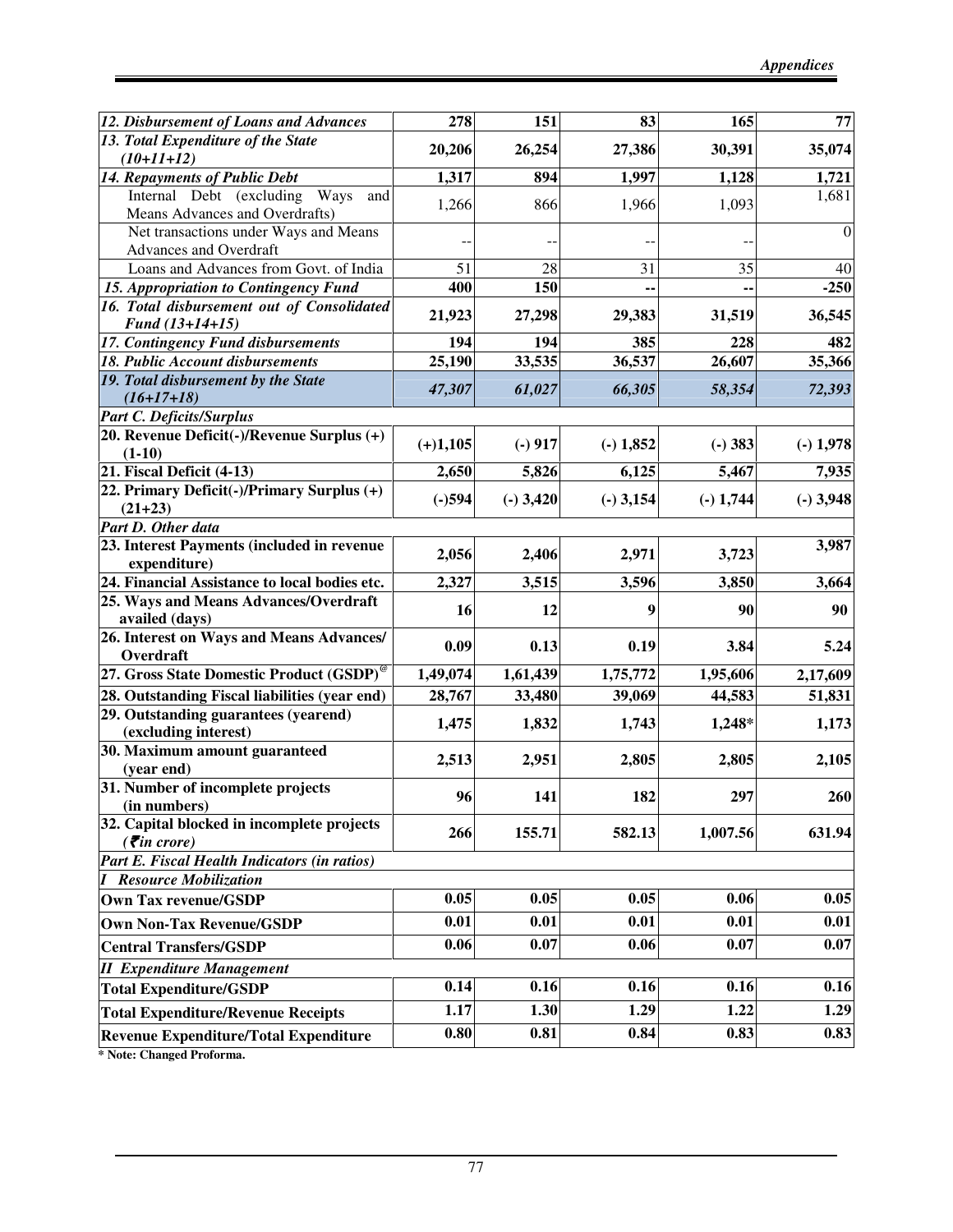| 12. Disbursement of Loans and Advances                                            | $\overline{278}$ | 151         | 83          | 165         | 77          |
|-----------------------------------------------------------------------------------|------------------|-------------|-------------|-------------|-------------|
| 13. Total Expenditure of the State                                                |                  |             |             |             |             |
| $(10+11+12)$                                                                      | 20,206           | 26,254      | 27,386      | 30,391      | 35,074      |
| 14. Repayments of Public Debt                                                     | 1,317            | 894         | 1,997       | 1,128       | 1,721       |
| Ways<br>Internal Debt (excluding<br>and<br>Means Advances and Overdrafts)         | 1,266            | 866         | 1,966       | 1,093       | 1,681       |
| Net transactions under Ways and Means<br>Advances and Overdraft                   |                  |             |             |             | $\theta$    |
| Loans and Advances from Govt. of India                                            | 51               | 28          | 31          | 35          | 40          |
| 15. Appropriation to Contingency Fund                                             | 400              | 150         |             |             | $-250$      |
| 16. Total disbursement out of Consolidated<br>Fund (13+14+15)                     | 21,923           | 27,298      | 29,383      | 31,519      | 36,545      |
| 17. Contingency Fund disbursements                                                | 194              | 194         | 385         | 228         | 482         |
| 18. Public Account disbursements                                                  | 25,190           | 33,535      | 36,537      | 26,607      | 35,366      |
| 19. Total disbursement by the State<br>$(16+17+18)$                               | 47,307           | 61,027      | 66,305      | 58,354      | 72,393      |
| Part C. Deficits/Surplus                                                          |                  |             |             |             |             |
| 20. Revenue Deficit(-)/Revenue Surplus (+)<br>$(1-10)$                            | $(+)1,105$       | $(-) 917$   | $(-) 1,852$ | $(-) 383$   | $(-) 1,978$ |
| 21. Fiscal Deficit (4-13)                                                         | 2,650            | 5,826       | 6,125       | 5,467       | 7,935       |
| 22. Primary Deficit(-)/Primary Surplus (+)<br>$(21+23)$                           | $(-)594$         | $(-)$ 3,420 | $(-)$ 3,154 | $(-) 1,744$ | $(-)$ 3,948 |
| Part D. Other data                                                                |                  |             |             |             |             |
| 23. Interest Payments (included in revenue<br>expenditure)                        | 2,056            | 2,406       | 2,971       | 3,723       | 3,987       |
| 24. Financial Assistance to local bodies etc.                                     | 2,327            | 3,515       | 3,596       | 3,850       | 3,664       |
| 25. Ways and Means Advances/Overdraft<br>availed (days)                           | 16               | 12          | 9           | 90          | 90          |
| 26. Interest on Ways and Means Advances/<br>Overdraft                             | 0.09             | 0.13        | 0.19        | 3.84        | 5.24        |
| 27. Gross State Domestic Product (GSDP) <sup>@</sup>                              | 1,49,074         | 1,61,439    | 1,75,772    | 1,95,606    | 2,17,609    |
| 28. Outstanding Fiscal liabilities (year end)                                     | 28,767           | 33,480      | 39,069      | 44,583      | 51,831      |
| 29. Outstanding guarantees (yearend)<br>(excluding interest)                      | 1,475            | 1,832       | 1,743       | 1,248*      | 1,173       |
| 30. Maximum amount guaranteed<br>(year end)                                       | 2,513            | 2,951       | 2,805       | 2,805       | 2,105       |
| 31. Number of incomplete projects<br>(in numbers)                                 | 96               | 141         | 182         | 297         | 260         |
| 32. Capital blocked in incomplete projects<br>$\left( \bar{\mathbf{z}}$ in crore) | 266              | 155.71      | 582.13      | 1,007.56    | 631.94      |
| <b>Part E. Fiscal Health Indicators (in ratios)</b>                               |                  |             |             |             |             |
| <b>Resource Mobilization</b>                                                      |                  |             |             |             |             |
| <b>Own Tax revenue/GSDP</b>                                                       | 0.05             | 0.05        | 0.05        | 0.06        | 0.05        |
| <b>Own Non-Tax Revenue/GSDP</b>                                                   | 0.01             | 0.01        | 0.01        | 0.01        | 0.01        |
| <b>Central Transfers/GSDP</b>                                                     | 0.06             | 0.07        | 0.06        | 0.07        | 0.07        |
| <b>II</b> Expenditure Management                                                  |                  |             |             |             |             |
| <b>Total Expenditure/GSDP</b>                                                     | 0.14             | 0.16        | 0.16        | 0.16        | 0.16        |
| <b>Total Expenditure/Revenue Receipts</b>                                         | 1.17             | 1.30        | 1.29        | 1.22        | 1.29        |
| <b>Revenue Expenditure/Total Expenditure</b>                                      | 0.80             | 0.81        | 0.84        | 0.83        | 0.83        |

**\* Note: Changed Proforma.**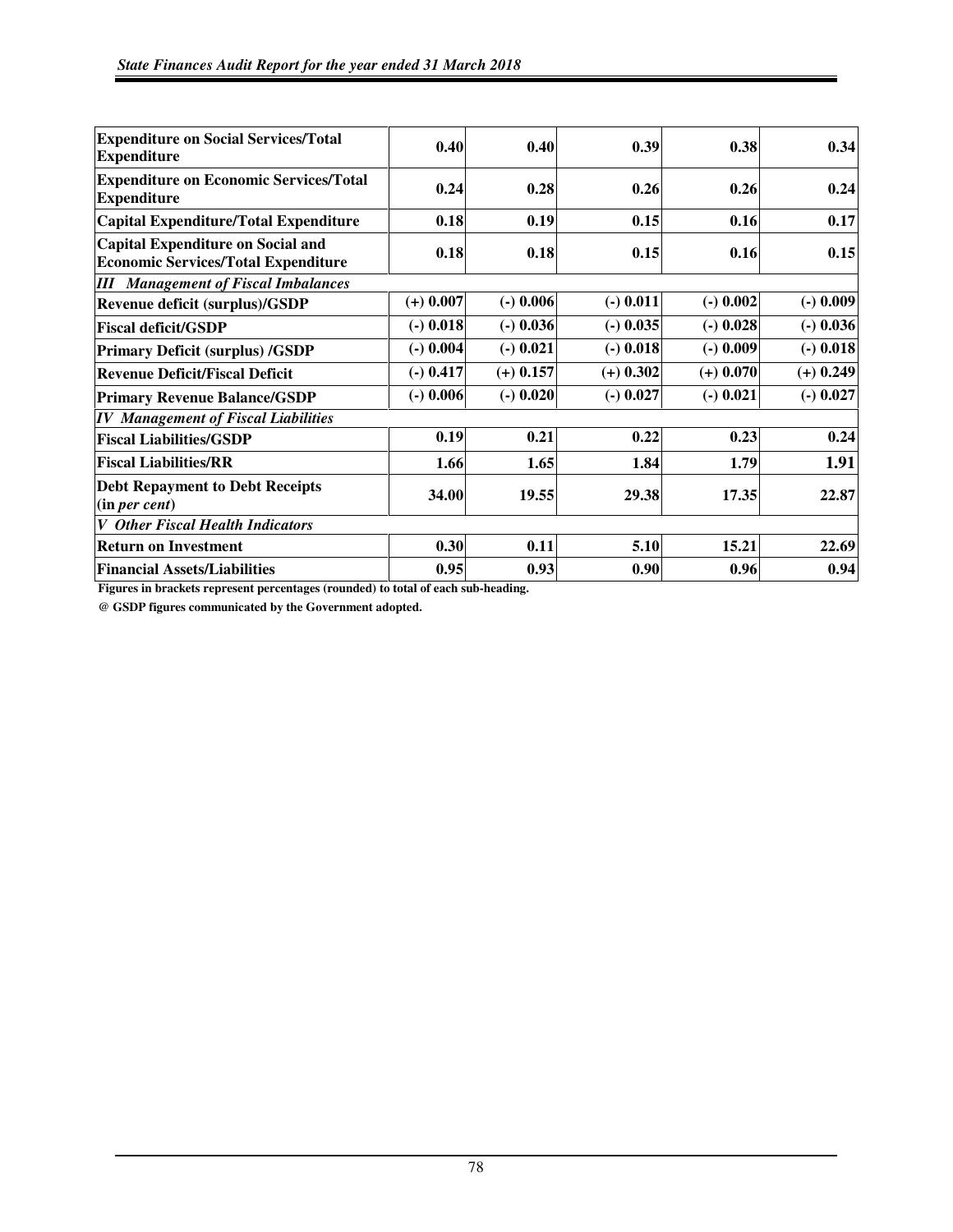| <b>Expenditure on Social Services/Total</b><br><b>Expenditure</b>                      | 0.40        | 0.40        | 0.39        | 0.38        | 0.34        |
|----------------------------------------------------------------------------------------|-------------|-------------|-------------|-------------|-------------|
| <b>Expenditure on Economic Services/Total</b><br><b>Expenditure</b>                    | 0.24        | 0.28        | 0.26        | 0.26        | 0.24        |
| Capital Expenditure/Total Expenditure                                                  | 0.18        | 0.19        | 0.15        | 0.16        | 0.17        |
| <b>Capital Expenditure on Social and</b><br><b>Economic Services/Total Expenditure</b> | 0.18        | 0.18        | 0.15        | 0.16        | 0.15        |
| <b>III</b> Management of Fiscal Imbalances                                             |             |             |             |             |             |
| Revenue deficit (surplus)/GSDP                                                         | $(+)$ 0.007 | $(-)$ 0.006 | $(-)$ 0.011 | $(-)$ 0.002 | $(-)$ 0.009 |
| <b>Fiscal deficit/GSDP</b>                                                             | $(-)$ 0.018 | $(-)$ 0.036 | $(-)$ 0.035 | $(-)$ 0.028 | $(-)$ 0.036 |
| <b>Primary Deficit (surplus) /GSDP</b>                                                 | $(-)$ 0.004 | $(-)$ 0.021 | $(-)$ 0.018 | $(-)$ 0.009 | $(-)$ 0.018 |
| <b>Revenue Deficit/Fiscal Deficit</b>                                                  | $(-) 0.417$ | $(+)$ 0.157 | $(+)$ 0.302 | $(+)$ 0.070 | $(+)$ 0.249 |
| <b>Primary Revenue Balance/GSDP</b>                                                    | $(-)$ 0.006 | $(-)$ 0.020 | $(-)$ 0.027 | $(-)$ 0.021 | $(-)$ 0.027 |
| <b>IV Management of Fiscal Liabilities</b>                                             |             |             |             |             |             |
| <b>Fiscal Liabilities/GSDP</b>                                                         | 0.19        | 0.21        | 0.22        | 0.23        | 0.24        |
| <b>Fiscal Liabilities/RR</b>                                                           | 1.66        | 1.65        | 1.84        | 1.79        | 1.91        |
| <b>Debt Repayment to Debt Receipts</b><br>(in per cent)                                | 34.00       | 19.55       | 29.38       | 17.35       | 22.87       |
| V Other Fiscal Health Indicators                                                       |             |             |             |             |             |
| <b>Return on Investment</b>                                                            | 0.30        | 0.11        | 5.10        | 15.21       | 22.69       |
| <b>Financial Assets/Liabilities</b>                                                    | 0.95        | 0.93        | 0.90        | 0.96        | 0.94        |

**Figures in brackets represent percentages (rounded) to total of each sub-heading.** 

**@ GSDP figures communicated by the Government adopted.**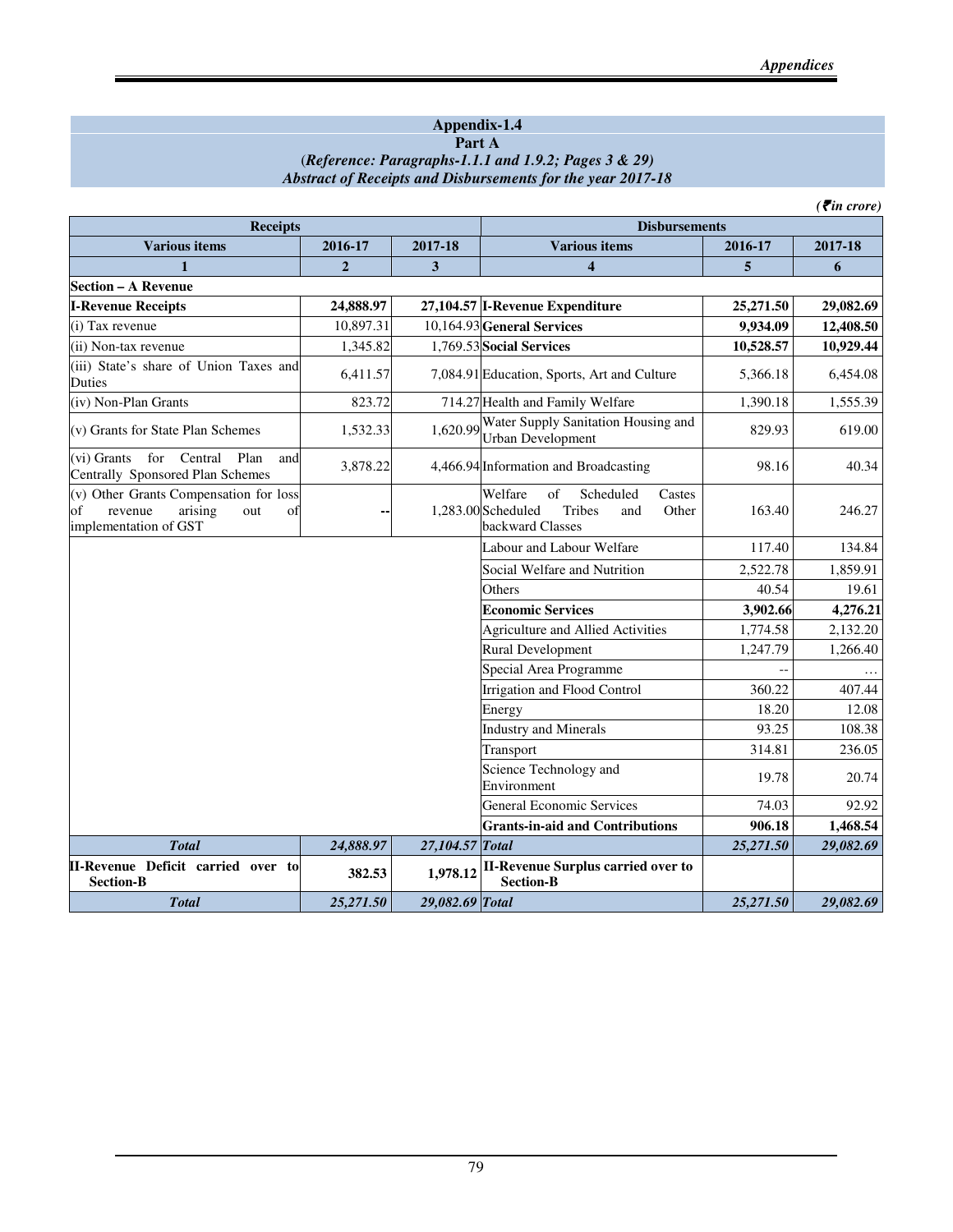### **Appendix-1.4 Part A** (*Reference: Paragraphs-1.1.1 and 1.9.2; Pages 3 & 29) Abstract of Receipts and Disbursements for the year 2017-18*

|                                                                                                          |                |                 |                                                                                                          |           | $( \bar{\mathfrak{F}}$ in crore) |
|----------------------------------------------------------------------------------------------------------|----------------|-----------------|----------------------------------------------------------------------------------------------------------|-----------|----------------------------------|
| <b>Receipts</b>                                                                                          |                |                 | <b>Disbursements</b>                                                                                     |           |                                  |
| <b>Various items</b>                                                                                     | 2016-17        | 2017-18         | <b>Various items</b>                                                                                     | 2016-17   | 2017-18                          |
| $\mathbf{1}$                                                                                             | $\overline{2}$ | 3               | $\overline{\mathbf{4}}$                                                                                  | 5         | 6                                |
| Section – A Revenue                                                                                      |                |                 |                                                                                                          |           |                                  |
| <b>I-Revenue Receipts</b>                                                                                | 24,888.97      |                 | 27,104.57 I-Revenue Expenditure                                                                          | 25,271.50 | 29,082.69                        |
| (i) Tax revenue                                                                                          | 10,897.31      |                 | 10,164.93 General Services                                                                               | 9,934.09  | 12,408.50                        |
| (ii) Non-tax revenue                                                                                     | 1,345.82       |                 | 1,769.53 Social Services                                                                                 | 10,528.57 | 10,929.44                        |
| (iii) State's share of Union Taxes and<br>Duties                                                         | 6,411.57       |                 | 7,084.91 Education, Sports, Art and Culture                                                              | 5,366.18  | 6,454.08                         |
| (iv) Non-Plan Grants                                                                                     | 823.72         |                 | 714.27 Health and Family Welfare                                                                         | 1,390.18  | 1,555.39                         |
| (v) Grants for State Plan Schemes                                                                        | 1,532.33       |                 | 1,620.99 Water Supply Sanitation Housing and<br>Urban Development                                        | 829.93    | 619.00                           |
| Central<br>$(vi)$ Grants for<br>Plan<br>and<br>Centrally Sponsored Plan Schemes                          | 3,878.22       |                 | 4,466.94 Information and Broadcasting                                                                    | 98.16     | 40.34                            |
| (v) Other Grants Compensation for loss<br>revenue<br>arising<br>of<br>out<br>of<br>implementation of GST |                |                 | Welfare<br>of<br>Scheduled<br>Castes<br>1,283.00 Scheduled<br>Tribes<br>Other<br>and<br>backward Classes | 163.40    | 246.27                           |
|                                                                                                          |                |                 | Labour and Labour Welfare                                                                                | 117.40    | 134.84                           |
|                                                                                                          |                |                 | Social Welfare and Nutrition                                                                             | 2,522.78  | 1,859.91                         |
|                                                                                                          |                |                 | Others                                                                                                   | 40.54     | 19.61                            |
|                                                                                                          |                |                 | <b>Economic Services</b>                                                                                 | 3,902.66  | 4,276.21                         |
|                                                                                                          |                |                 | Agriculture and Allied Activities                                                                        | 1,774.58  | 2,132.20                         |
|                                                                                                          |                |                 | Rural Development                                                                                        | 1,247.79  | 1,266.40                         |
|                                                                                                          |                |                 | Special Area Programme                                                                                   |           |                                  |
|                                                                                                          |                |                 | Irrigation and Flood Control                                                                             | 360.22    | 407.44                           |
|                                                                                                          |                |                 | Energy                                                                                                   | 18.20     | 12.08                            |
|                                                                                                          |                |                 | <b>Industry and Minerals</b>                                                                             | 93.25     | 108.38                           |
|                                                                                                          |                |                 | Transport                                                                                                | 314.81    | 236.05                           |
|                                                                                                          |                |                 | Science Technology and<br>Environment                                                                    | 19.78     | 20.74                            |
|                                                                                                          |                |                 | <b>General Economic Services</b>                                                                         | 74.03     | 92.92                            |
|                                                                                                          |                |                 | <b>Grants-in-aid and Contributions</b>                                                                   | 906.18    | 1,468.54                         |
| <b>Total</b>                                                                                             | 24,888.97      | 27,104.57 Total |                                                                                                          | 25,271.50 | 29,082.69                        |
| II-Revenue Deficit carried over to<br><b>Section-B</b>                                                   | 382.53         | 1,978.12        | <b>II-Revenue Surplus carried over to</b><br><b>Section-B</b>                                            |           |                                  |
| <b>Total</b>                                                                                             | 25,271.50      | 29,082.69 Total |                                                                                                          | 25,271.50 | 29.082.69                        |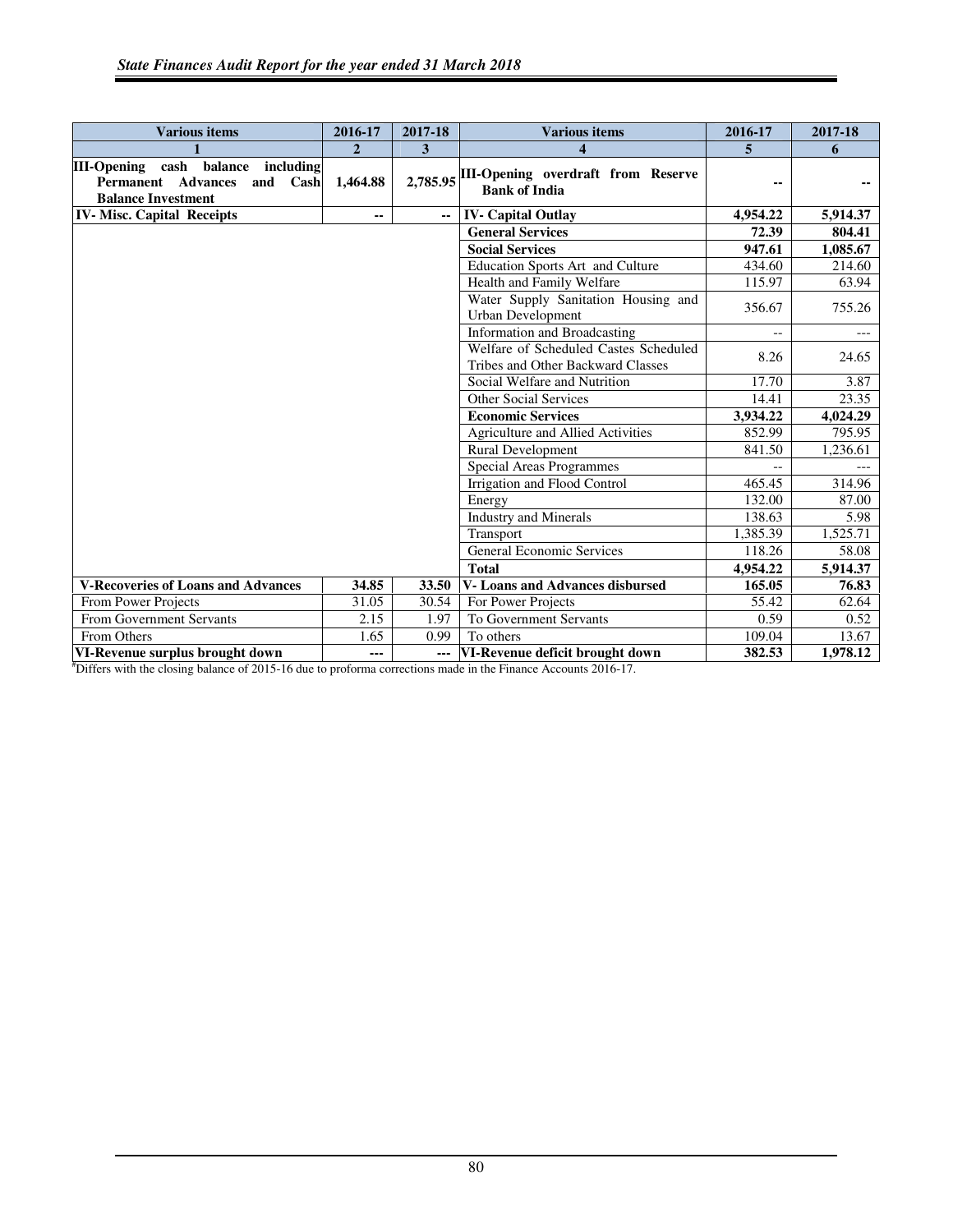| <b>Various items</b>                                                                                     | 2016-17        | 2017-18                      | <b>Various items</b>                                                       | 2016-17  | 2017-18  |
|----------------------------------------------------------------------------------------------------------|----------------|------------------------------|----------------------------------------------------------------------------|----------|----------|
|                                                                                                          | $\overline{2}$ | $\overline{\mathbf{3}}$      | $\overline{\mathbf{4}}$                                                    | 5        | 6        |
| III-Opening cash balance including<br><b>Permanent</b> Advances<br>and Cash<br><b>Balance Investment</b> | 1,464.88       | 2,785.95                     | III-Opening overdraft from Reserve<br><b>Bank of India</b>                 | ۰.       |          |
| <b>IV-Misc. Capital Receipts</b>                                                                         | н.             | н.                           | <b>IV- Capital Outlay</b>                                                  | 4,954.22 | 5,914.37 |
|                                                                                                          |                |                              | <b>General Services</b>                                                    | 72.39    | 804.41   |
|                                                                                                          |                |                              | <b>Social Services</b>                                                     | 947.61   | 1,085.67 |
|                                                                                                          |                |                              | Education Sports Art and Culture                                           | 434.60   | 214.60   |
|                                                                                                          |                |                              | Health and Family Welfare                                                  | 115.97   | 63.94    |
|                                                                                                          |                |                              | Water Supply Sanitation Housing and<br>Urban Development                   | 356.67   | 755.26   |
|                                                                                                          |                |                              | Information and Broadcasting                                               |          |          |
|                                                                                                          |                |                              | Welfare of Scheduled Castes Scheduled<br>Tribes and Other Backward Classes | 8.26     | 24.65    |
|                                                                                                          |                | Social Welfare and Nutrition |                                                                            | 17.70    | 3.87     |
|                                                                                                          |                |                              | <b>Other Social Services</b>                                               | 14.41    | 23.35    |
|                                                                                                          |                |                              | <b>Economic Services</b>                                                   | 3,934.22 | 4,024.29 |
|                                                                                                          |                |                              | Agriculture and Allied Activities                                          | 852.99   | 795.95   |
|                                                                                                          |                |                              | Rural Development                                                          | 841.50   | 1,236.61 |
|                                                                                                          |                |                              | Special Areas Programmes                                                   |          |          |
|                                                                                                          |                |                              | Irrigation and Flood Control                                               | 465.45   | 314.96   |
|                                                                                                          |                |                              | Energy                                                                     | 132.00   | 87.00    |
|                                                                                                          |                |                              | <b>Industry and Minerals</b>                                               | 138.63   | 5.98     |
|                                                                                                          |                |                              | Transport                                                                  | 1,385.39 | 1,525.71 |
|                                                                                                          |                |                              | <b>General Economic Services</b>                                           | 118.26   | 58.08    |
|                                                                                                          |                |                              | <b>Total</b>                                                               | 4,954.22 | 5,914.37 |
| <b>V-Recoveries of Loans and Advances</b>                                                                | 34.85          | 33.50                        | <b>V-Loans and Advances disbursed</b>                                      | 165.05   | 76.83    |
| From Power Projects                                                                                      | 31.05          | 30.54                        | For Power Projects                                                         | 55.42    | 62.64    |
| From Government Servants                                                                                 | 2.15           | 1.97                         | <b>To Government Servants</b>                                              | 0.59     | 0.52     |
| From Others                                                                                              | 1.65           | 0.99                         | To others                                                                  | 109.04   | 13.67    |
| VI-Revenue surplus brought down                                                                          | ---            | ---                          | VI-Revenue deficit brought down                                            | 382.53   | 1,978.12 |

#Differs with the closing balance of 2015-16 due to proforma corrections made in the Finance Accounts 2016-17.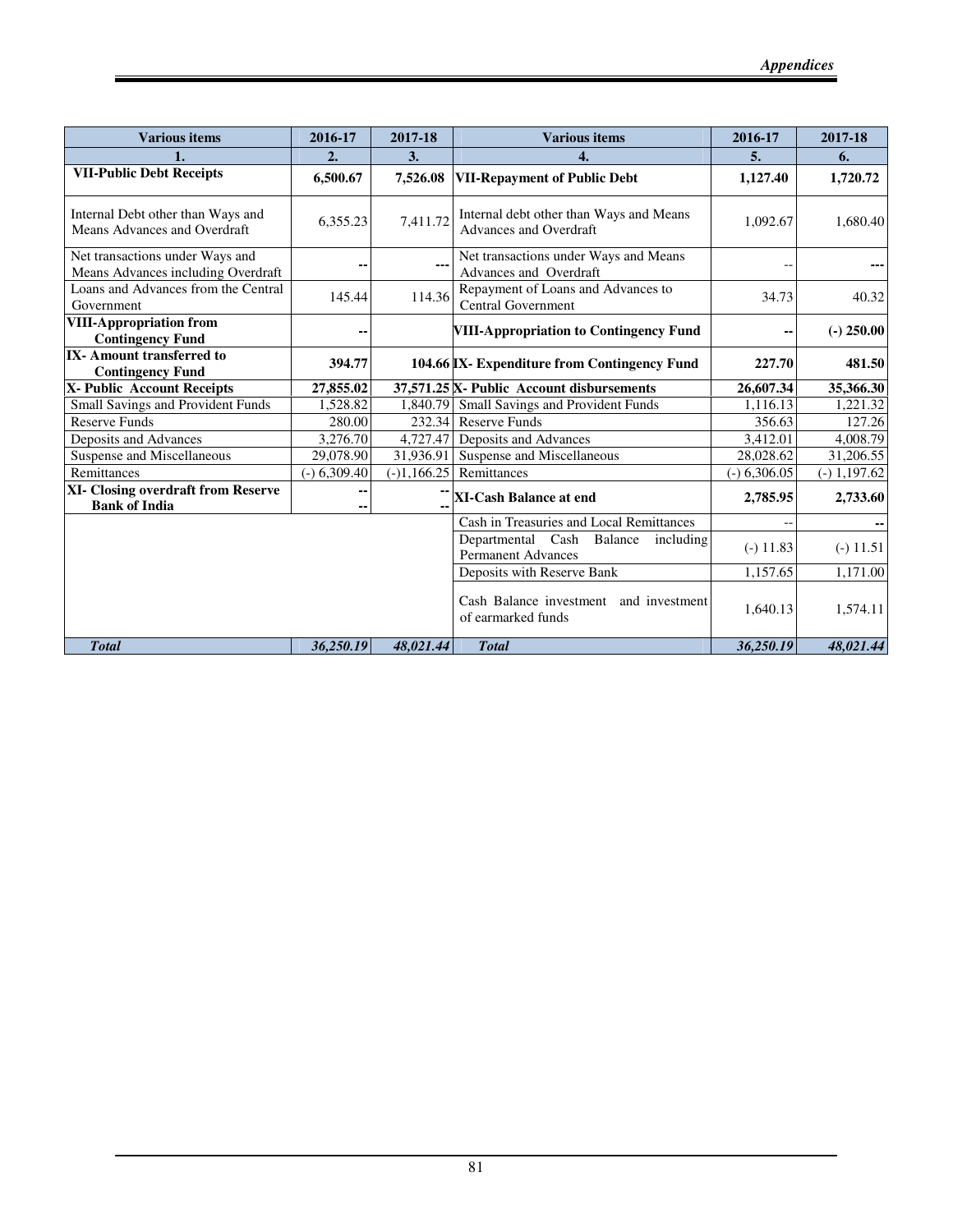| <b>Various items</b>                                                  | 2016-17        | 2017-18       | <b>Various items</b>                                                     | 2016-17        | 2017-18        |
|-----------------------------------------------------------------------|----------------|---------------|--------------------------------------------------------------------------|----------------|----------------|
| 1.                                                                    | 2.             | 3.            | 4.                                                                       | 5.             | 6.             |
| <b>VII-Public Debt Receipts</b>                                       | 6,500.67       | 7,526.08      | <b>VII-Repayment of Public Debt</b>                                      | 1,127.40       | 1,720.72       |
| Internal Debt other than Ways and<br>Means Advances and Overdraft     | 6,355.23       | 7,411.72      | Internal debt other than Ways and Means<br><b>Advances and Overdraft</b> | 1,092.67       | 1,680.40       |
| Net transactions under Ways and<br>Means Advances including Overdraft |                |               | Net transactions under Ways and Means<br>Advances and Overdraft          |                |                |
| Loans and Advances from the Central<br>Government                     | 145.44         | 114.36        | Repayment of Loans and Advances to<br><b>Central Government</b>          | 34.73          | 40.32          |
| <b>VIII-Appropriation from</b><br><b>Contingency Fund</b>             |                |               | <b>VIII-Appropriation to Contingency Fund</b>                            |                | $(-)$ 250.00   |
| <b>IX-Amount transferred to</b><br><b>Contingency Fund</b>            | 394.77         |               | 104.66 IX- Expenditure from Contingency Fund                             | 227.70         | 481.50         |
| X- Public Account Receipts                                            | 27,855.02      |               | 37,571.25 X- Public Account disbursements                                | 26,607.34      | 35,366.30      |
| Small Savings and Provident Funds                                     | 1,528.82       | 1.840.79      | Small Savings and Provident Funds                                        | 1,116.13       | 1,221.32       |
| <b>Reserve Funds</b>                                                  | 280.00         | 232.34        | <b>Reserve Funds</b>                                                     | 356.63         | 127.26         |
| Deposits and Advances                                                 | 3,276.70       | 4,727.47      | Deposits and Advances                                                    | 3,412.01       | 4,008.79       |
| Suspense and Miscellaneous                                            | 29,078.90      | 31,936.91     | Suspense and Miscellaneous                                               | 28,028.62      | 31,206.55      |
| Remittances                                                           | $(-) 6,309.40$ | $(-)1,166.25$ | Remittances                                                              | $(-) 6,306.05$ | $(-) 1,197.62$ |
| XI- Closing overdraft from Reserve<br><b>Bank of India</b>            | ۰.             |               | XI-Cash Balance at end                                                   | 2,785.95       | 2,733.60       |
|                                                                       |                |               | Cash in Treasuries and Local Remittances                                 |                |                |
|                                                                       |                |               | Departmental Cash<br>Balance<br>including<br><b>Permanent Advances</b>   | $(-)$ 11.83    | $(-)$ 11.51    |
|                                                                       |                |               | Deposits with Reserve Bank                                               | 1,157.65       | 1,171.00       |
|                                                                       |                |               | Cash Balance investment and investment<br>of earmarked funds             | 1,640.13       | 1,574.11       |
| <b>Total</b>                                                          | 36,250.19      | 48,021.44     | <b>Total</b>                                                             | 36,250.19      | 48,021.44      |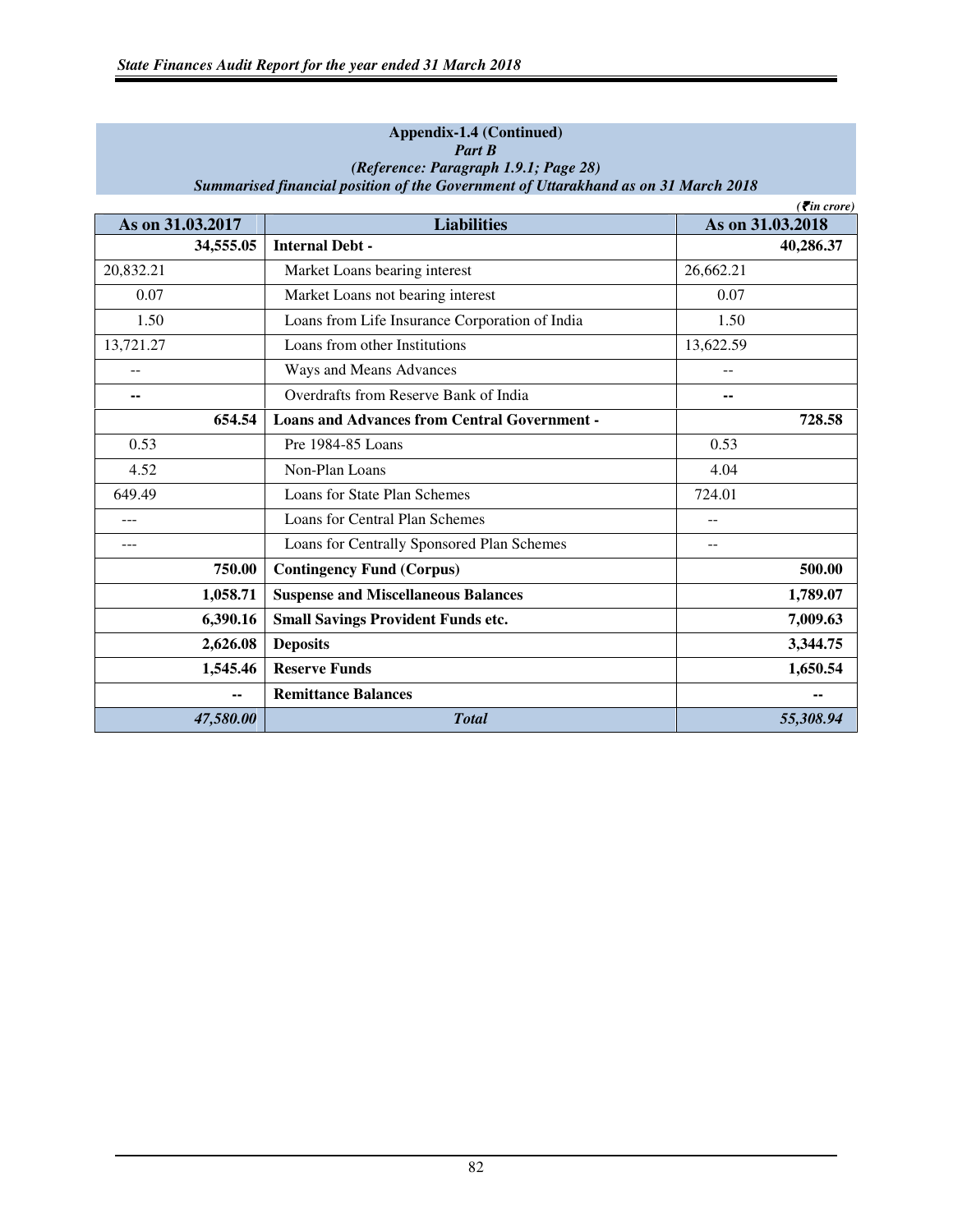| Appendix-1.4 (Continued)                                                           |
|------------------------------------------------------------------------------------|
| <b>Part B</b>                                                                      |
| (Reference: Paragraph 1.9.1; Page 28)                                              |
| Summarised financial position of the Government of Uttarakhand as on 31 March 2018 |

|                  |           |                                                     |           | $( \bar{\mathbf{z}}$ in crore) |
|------------------|-----------|-----------------------------------------------------|-----------|--------------------------------|
| As on 31.03.2017 |           | <b>Liabilities</b>                                  |           | As on 31.03.2018               |
|                  | 34,555.05 | <b>Internal Debt -</b>                              |           | 40,286.37                      |
| 20,832.21        |           | Market Loans bearing interest                       | 26,662.21 |                                |
| 0.07             |           | Market Loans not bearing interest                   | 0.07      |                                |
| 1.50             |           | Loans from Life Insurance Corporation of India      | 1.50      |                                |
| 13,721.27        |           | Loans from other Institutions                       | 13,622.59 |                                |
| $-$              |           | Ways and Means Advances                             | --        |                                |
| --               |           | Overdrafts from Reserve Bank of India               | --        |                                |
|                  | 654.54    | <b>Loans and Advances from Central Government -</b> |           | 728.58                         |
| 0.53             |           | Pre 1984-85 Loans                                   | 0.53      |                                |
| 4.52             |           | Non-Plan Loans                                      | 4.04      |                                |
| 649.49           |           | Loans for State Plan Schemes                        | 724.01    |                                |
| $---$            |           | Loans for Central Plan Schemes                      | --        |                                |
| ---              |           | Loans for Centrally Sponsored Plan Schemes          | --        |                                |
|                  | 750.00    | <b>Contingency Fund (Corpus)</b>                    |           | 500.00                         |
|                  | 1,058.71  | <b>Suspense and Miscellaneous Balances</b>          |           | 1,789.07                       |
|                  | 6,390.16  | <b>Small Savings Provident Funds etc.</b>           |           | 7,009.63                       |
|                  | 2,626.08  | <b>Deposits</b>                                     |           | 3,344.75                       |
|                  | 1,545.46  | <b>Reserve Funds</b>                                |           | 1,650.54                       |
|                  | --        | <b>Remittance Balances</b>                          |           | $\overline{\phantom{a}}$       |
|                  | 47,580.00 | <b>Total</b>                                        |           | 55,308.94                      |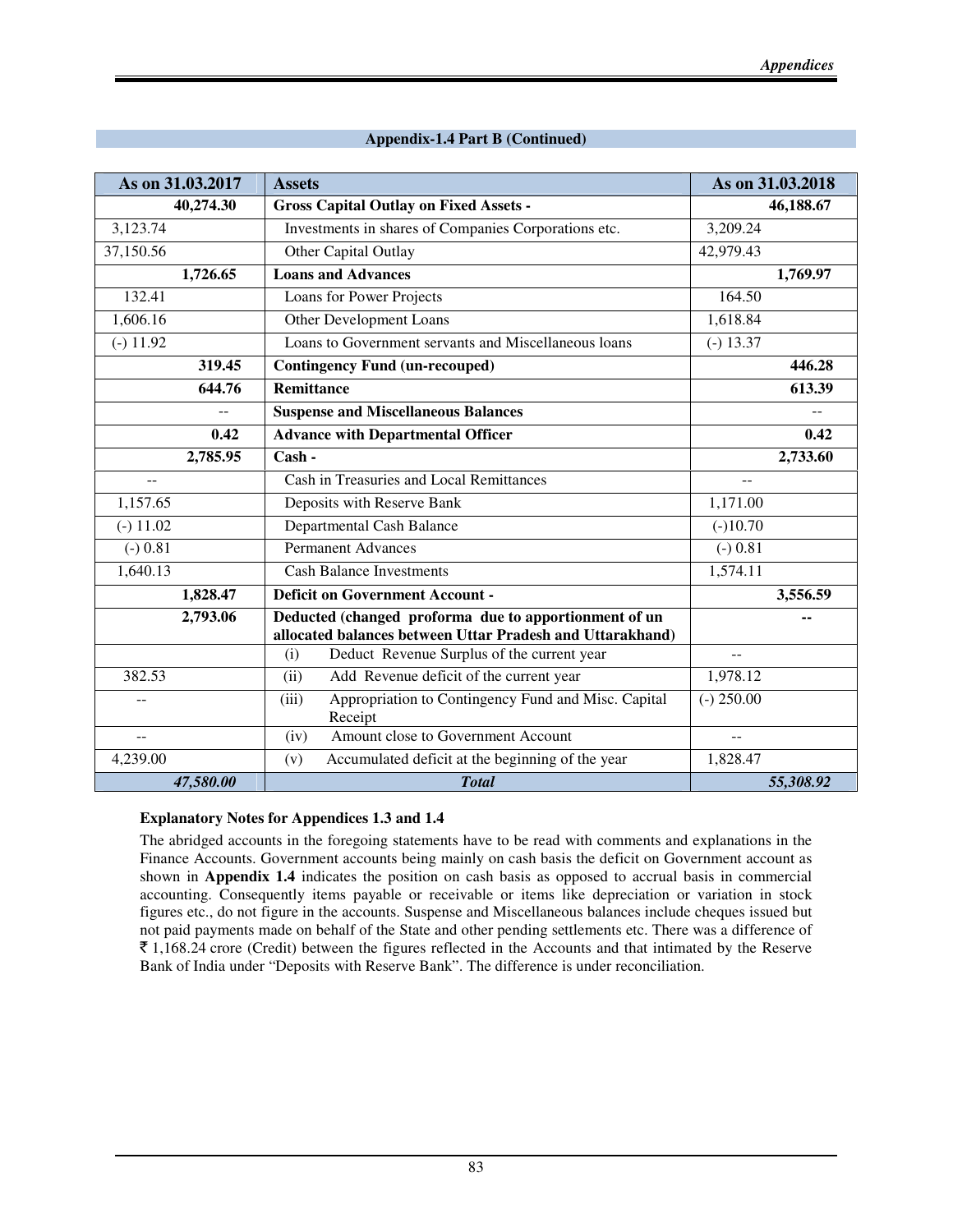| As on 31.03.2017         | <b>Assets</b>                                                                                                      | As on 31.03.2018 |  |
|--------------------------|--------------------------------------------------------------------------------------------------------------------|------------------|--|
| 40,274.30                | <b>Gross Capital Outlay on Fixed Assets -</b>                                                                      | 46,188.67        |  |
| 3,123.74                 | Investments in shares of Companies Corporations etc.                                                               | 3,209.24         |  |
| 37,150.56                | Other Capital Outlay                                                                                               | 42,979.43        |  |
| 1,726.65                 | <b>Loans and Advances</b>                                                                                          | 1,769.97         |  |
| 132.41                   | Loans for Power Projects                                                                                           | 164.50           |  |
| 1,606.16                 | Other Development Loans                                                                                            | 1,618.84         |  |
| $(-) 11.92$              | Loans to Government servants and Miscellaneous loans                                                               | $(-) 13.37$      |  |
| 319.45                   | <b>Contingency Fund (un-recouped)</b>                                                                              | 446.28           |  |
| 644.76                   | <b>Remittance</b>                                                                                                  | 613.39           |  |
|                          | <b>Suspense and Miscellaneous Balances</b>                                                                         |                  |  |
| 0.42                     | <b>Advance with Departmental Officer</b>                                                                           | 0.42             |  |
| 2,785.95                 | Cash -                                                                                                             | 2,733.60         |  |
| $\overline{\phantom{a}}$ | Cash in Treasuries and Local Remittances                                                                           | $-$              |  |
| 1,157.65                 | Deposits with Reserve Bank                                                                                         | 1,171.00         |  |
| $(-) 11.02$              | <b>Departmental Cash Balance</b>                                                                                   | $(-)10.70$       |  |
| $(-) 0.81$               | <b>Permanent Advances</b>                                                                                          | $(-) 0.81$       |  |
| 1,640.13                 | <b>Cash Balance Investments</b>                                                                                    | 1,574.11         |  |
| 1,828.47                 | <b>Deficit on Government Account -</b>                                                                             | 3,556.59         |  |
| 2,793.06                 | Deducted (changed proforma due to apportionment of un<br>allocated balances between Uttar Pradesh and Uttarakhand) |                  |  |
|                          | Deduct Revenue Surplus of the current year<br>(i)                                                                  | --               |  |
| 382.53                   | Add Revenue deficit of the current year<br>(ii)                                                                    | 1,978.12         |  |
|                          | Appropriation to Contingency Fund and Misc. Capital<br>(iii)<br>Receipt                                            | $(-)$ 250.00     |  |
| $\overline{\phantom{a}}$ | Amount close to Government Account<br>(iv)                                                                         | $\overline{a}$   |  |
| 4,239.00                 | Accumulated deficit at the beginning of the year<br>(v)                                                            | 1,828.47         |  |
| 47,580.00                | <b>Total</b>                                                                                                       | 55,308.92        |  |

### **Appendix-1.4 Part B (Continued)**

### **Explanatory Notes for Appendices 1.3 and 1.4**

The abridged accounts in the foregoing statements have to be read with comments and explanations in the Finance Accounts. Government accounts being mainly on cash basis the deficit on Government account as shown in **Appendix 1.4** indicates the position on cash basis as opposed to accrual basis in commercial accounting. Consequently items payable or receivable or items like depreciation or variation in stock figures etc., do not figure in the accounts. Suspense and Miscellaneous balances include cheques issued but not paid payments made on behalf of the State and other pending settlements etc. There was a difference of  $\bar{\tau}$  1,168.24 crore (Credit) between the figures reflected in the Accounts and that intimated by the Reserve Bank of India under "Deposits with Reserve Bank". The difference is under reconciliation.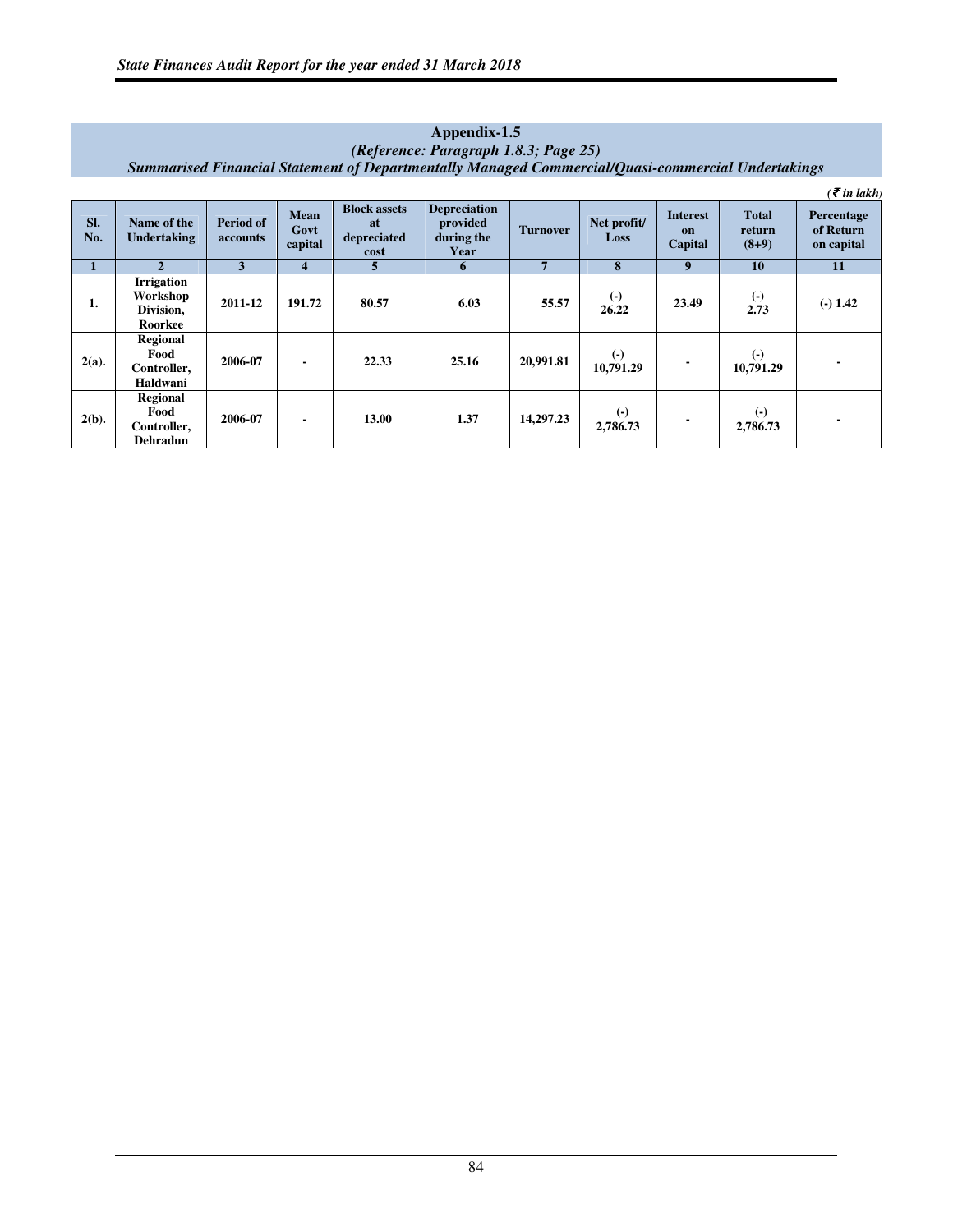|            |                                                       |                              |                         |                                                  |                                                       |                 |                            |                           |                                   | $\overline{\mathcal{F}}$ in lakh      |
|------------|-------------------------------------------------------|------------------------------|-------------------------|--------------------------------------------------|-------------------------------------------------------|-----------------|----------------------------|---------------------------|-----------------------------------|---------------------------------------|
| SI.<br>No. | Name of the<br>Undertaking                            | <b>Period of</b><br>accounts | Mean<br>Govt<br>capital | <b>Block assets</b><br>at<br>depreciated<br>cost | <b>Depreciation</b><br>provided<br>during the<br>Year | <b>Turnover</b> | Net profit/<br><b>Loss</b> | Interest<br>on<br>Capital | <b>Total</b><br>return<br>$(8+9)$ | Percentage<br>of Return<br>on capital |
| 1          | $\mathbf{2}$                                          | 3                            | 4                       | 5.                                               | 6                                                     | $\overline{7}$  | 8                          | $\boldsymbol{9}$          | 10                                | 11                                    |
| ı.         | <b>Irrigation</b><br>Workshop<br>Division,<br>Roorkee | 2011-12                      | 191.72                  | 80.57                                            | 6.03                                                  | 55.57           | $\left( -\right)$<br>26.22 | 23.49                     | $\left( -\right)$<br>2.73         | $(-) 1.42$                            |
| $2(a)$ .   | Regional<br>Food<br>Controller,<br>Haldwani           | 2006-07                      | $\blacksquare$          | 22.33                                            | 25.16                                                 | 20,991.81       | $(-)$<br>10,791.29         |                           | $(-)$<br>10,791.29                |                                       |
| $2(b)$ .   | Regional<br>Food<br>Controller,<br>Dehradun           | 2006-07                      | $\blacksquare$          | 13.00                                            | 1.37                                                  | 14,297.23       | $(-)$<br>2,786.73          |                           | $(-)$<br>2,786.73                 |                                       |

### **Appendix-1.5**  *(Reference: Paragraph 1.8.3; Page 25) Summarised Financial Statement of Departmentally Managed Commercial/Quasi-commercial Undertakings*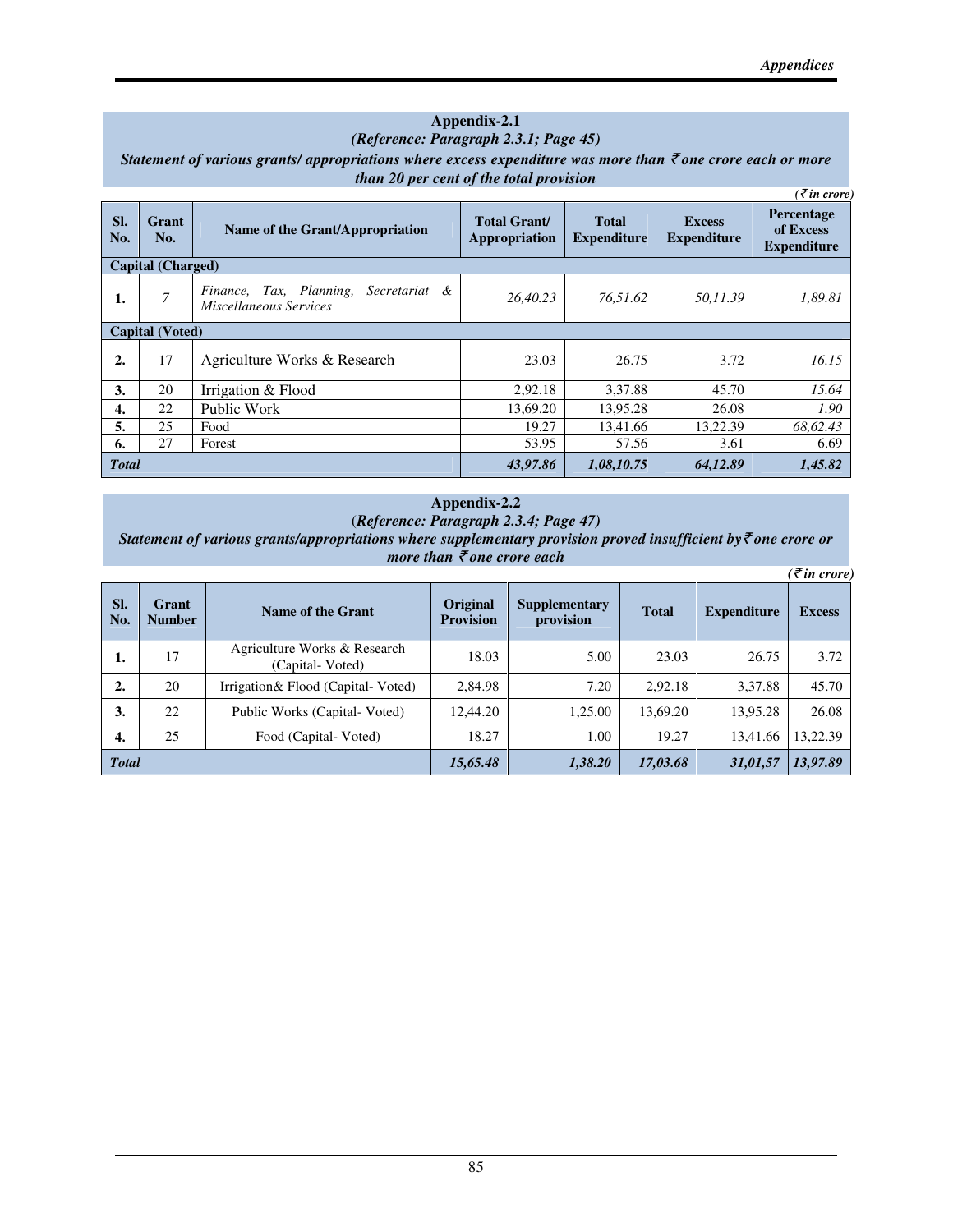### **Appendix-2.1**  *(Reference: Paragraph 2.3.1; Page 45)*

*Statement of various grants/ appropriations where excess expenditure was more than* ` *one crore each or more than 20 per cent of the total provision* 

|              |                          |                                                                    |                                             |                                    |                                     | $( \bar{\mathcal{F}}$ in crore)               |
|--------------|--------------------------|--------------------------------------------------------------------|---------------------------------------------|------------------------------------|-------------------------------------|-----------------------------------------------|
| SI.<br>No.   | Grant<br>No.             | Name of the Grant/Appropriation                                    | <b>Total Grant/</b><br><b>Appropriation</b> | <b>Total</b><br><b>Expenditure</b> | <b>Excess</b><br><b>Expenditure</b> | Percentage<br>of Excess<br><b>Expenditure</b> |
|              | <b>Capital</b> (Charged) |                                                                    |                                             |                                    |                                     |                                               |
| 1.           | 7                        | Finance, Tax, Planning,<br>Secretariat &<br>Miscellaneous Services | 26,40.23                                    | 76,51.62                           | 50,11.39                            | 1,89.81                                       |
|              | <b>Capital (Voted)</b>   |                                                                    |                                             |                                    |                                     |                                               |
| 2.           | 17                       | Agriculture Works & Research                                       | 23.03                                       | 26.75                              | 3.72                                | 16.15                                         |
| 3.           | 20                       | Irrigation & Flood                                                 | 2,92.18                                     | 3,37.88                            | 45.70                               | 15.64                                         |
| 4.           | 22                       | Public Work                                                        | 13.69.20                                    | 13,95.28                           | 26.08                               | 1.90                                          |
| 5.           | 25                       | Food                                                               | 19.27                                       | 13,41.66                           | 13,22.39                            | 68,62.43                                      |
| 6.           | 27                       | Forest                                                             | 53.95                                       | 57.56                              | 3.61                                | 6.69                                          |
| <b>Total</b> |                          |                                                                    | 43,97.86                                    | 1,08,10.75                         | 64,12.89                            | 1,45.82                                       |

**Appendix-2.2** 

(*Reference: Paragraph 2.3.4; Page 47) Statement of various grants/appropriations where supplementary provision proved insufficient by₹one crore or more than* ` *one crore each* 

|              |                        |                                                 |                              |                            |              |                    | $( \bar{\tau}$ in crore) |
|--------------|------------------------|-------------------------------------------------|------------------------------|----------------------------|--------------|--------------------|--------------------------|
| SI.<br>No.   | Grant<br><b>Number</b> | Name of the Grant                               | Original<br><b>Provision</b> | Supplementary<br>provision | <b>Total</b> | <b>Expenditure</b> | <b>Excess</b>            |
| ı.           | 17                     | Agriculture Works & Research<br>(Capital-Voted) | 18.03                        | 5.00                       | 23.03        | 26.75              | 3.72                     |
| 2.           | 20                     | Irrigation & Flood (Capital-Voted)              | 2.84.98                      | 7.20                       | 2,92.18      | 3.37.88            | 45.70                    |
| 3.           | 22                     | Public Works (Capital-Voted)                    | 12.44.20                     | 1,25.00                    | 13,69.20     | 13.95.28           | 26.08                    |
| 4.           | 25                     | Food (Capital-Voted)                            | 18.27                        | 1.00                       | 19.27        | 13,41.66           | 13,22.39                 |
| <b>Total</b> |                        |                                                 | 15,65.48                     | 1,38.20                    | 17,03.68     | 31,01,57           | 13,97.89                 |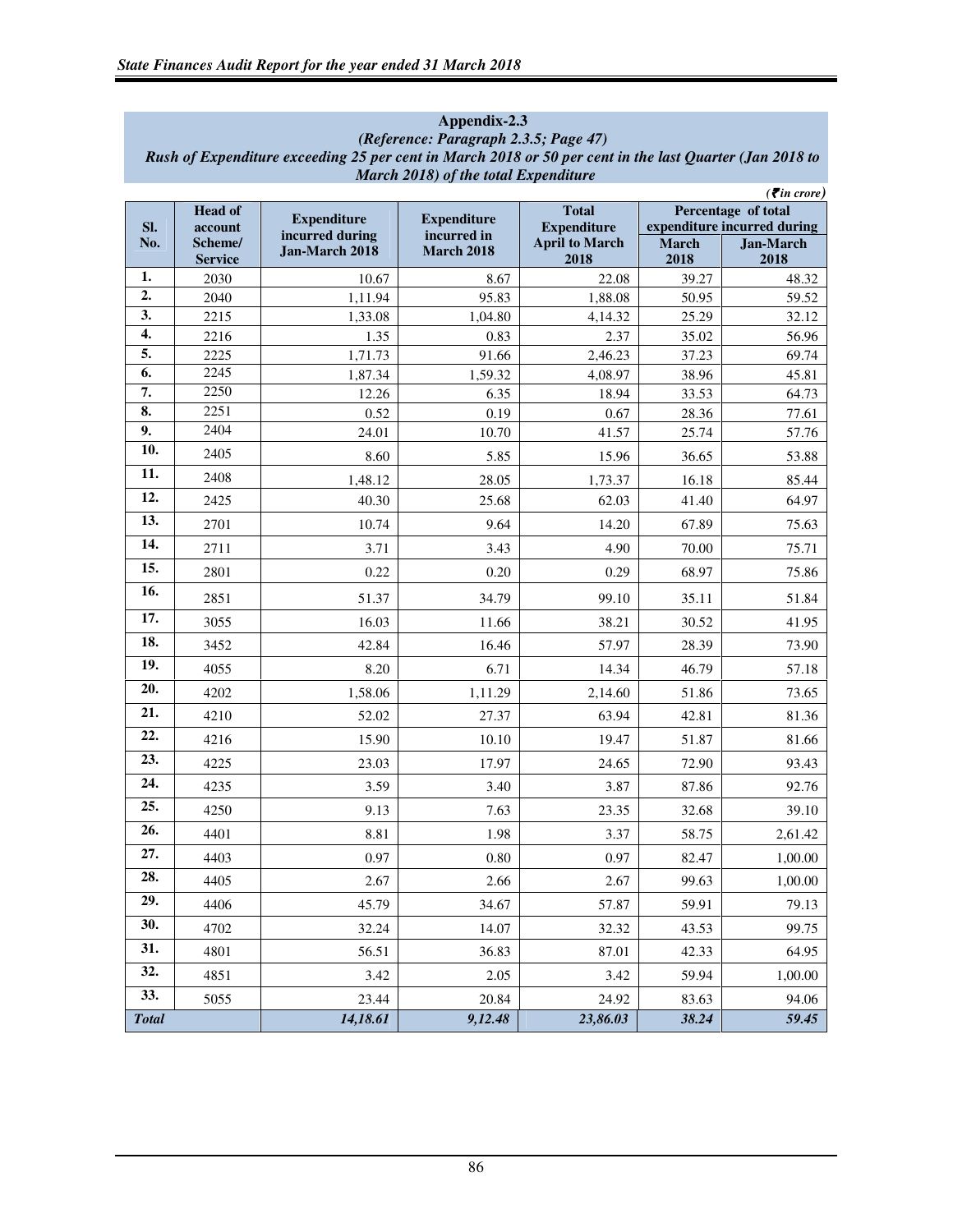|                   | $(5\pi)$ crore)           |                    |                    |                               |                      |                             |  |
|-------------------|---------------------------|--------------------|--------------------|-------------------------------|----------------------|-----------------------------|--|
|                   | <b>Head of</b>            | <b>Expenditure</b> | <b>Expenditure</b> | <b>Total</b>                  |                      | Percentage of total         |  |
| SI.               | account                   | incurred during    | incurred in        | <b>Expenditure</b>            |                      | expenditure incurred during |  |
| No.               | Scheme/<br><b>Service</b> | Jan-March 2018     | <b>March 2018</b>  | <b>April to March</b><br>2018 | <b>March</b><br>2018 | <b>Jan-March</b><br>2018    |  |
| 1.                | 2030                      | 10.67              | 8.67               | 22.08                         | 39.27                | 48.32                       |  |
| $\overline{2}$ .  | 2040                      | 1,11.94            | 95.83              | 1,88.08                       | 50.95                | 59.52                       |  |
| 3.                | 2215                      | 1,33.08            | 1,04.80            | 4,14.32                       | 25.29                | 32.12                       |  |
| 4.                | 2216                      | 1.35               | 0.83               | 2.37                          | 35.02                | 56.96                       |  |
| 5.                | 2225                      | 1,71.73            | 91.66              | 2,46.23                       | 37.23                | 69.74                       |  |
| 6.                | $22\overline{45}$         | 1,87.34            | 1,59.32            | 4,08.97                       | 38.96                | 45.81                       |  |
| 7.                | 2250<br>2251              | 12.26              | 6.35               | 18.94                         | 33.53                | 64.73                       |  |
| 8.<br>9.          | 2404                      | 0.52               | 0.19               | 0.67                          | 28.36                | 77.61                       |  |
| 10.               |                           | 24.01              | 10.70              | 41.57                         | 25.74                | 57.76                       |  |
| 11.               | 2405                      | 8.60               | 5.85               | 15.96                         | 36.65                | 53.88                       |  |
| 12.               | 2408                      | 1,48.12            | 28.05              | 1,73.37                       | 16.18                | 85.44                       |  |
|                   | 2425                      | 40.30              | 25.68              | 62.03                         | 41.40                | 64.97                       |  |
| 13.               | 2701                      | 10.74              | 9.64               | 14.20                         | 67.89                | 75.63                       |  |
| 14.               | 2711                      | 3.71               | 3.43               | 4.90                          | 70.00                | 75.71                       |  |
| 15.               | 2801                      | 0.22               | 0.20               | 0.29                          | 68.97                | 75.86                       |  |
| 16.               | 2851                      | 51.37              | 34.79              | 99.10                         | 35.11                | 51.84                       |  |
| 17.               | 3055                      | 16.03              | 11.66              | 38.21                         | 30.52                | 41.95                       |  |
| 18.               | 3452                      | 42.84              | 16.46              | 57.97                         | 28.39                | 73.90                       |  |
| 19.               | 4055                      | 8.20               | 6.71               | 14.34                         | 46.79                | 57.18                       |  |
| 20.               | 4202                      | 1,58.06            | 1,11.29            | 2,14.60                       | 51.86                | 73.65                       |  |
| 21.               | 4210                      | 52.02              | 27.37              | 63.94                         | 42.81                | 81.36                       |  |
| 22.               | 4216                      | 15.90              | 10.10              | 19.47                         | 51.87                | 81.66                       |  |
| 23.               | 4225                      | 23.03              | 17.97              | 24.65                         | 72.90                | 93.43                       |  |
| 24.               | 4235                      | 3.59               | 3.40               | 3.87                          | 87.86                | 92.76                       |  |
| 25.               | 4250                      | 9.13               | 7.63               | 23.35                         | 32.68                | 39.10                       |  |
| 26.               | 4401                      | 8.81               | 1.98               | 3.37                          | 58.75                | 2,61.42                     |  |
| $\overline{27}$ . | 4403                      | 0.97               | 0.80               | 0.97                          | 82.47                | 1,00.00                     |  |
| $\overline{28}$   | 4405                      | 2.67               | 2.66               | 2.67                          | 99.63                | 1,00.00                     |  |
| 29.               | 4406                      | 45.79              | 34.67              | 57.87                         | 59.91                | 79.13                       |  |
| 30.               | 4702                      | 32.24              | 14.07              | 32.32                         | 43.53                | 99.75                       |  |
| 31.               | 4801                      | 56.51              | 36.83              | 87.01                         | 42.33                | 64.95                       |  |
| 32.               | 4851                      | 3.42               | 2.05               | 3.42                          | 59.94                | 1,00.00                     |  |
| 33.               | 5055                      | 23.44              | 20.84              | 24.92                         | 83.63                | 94.06                       |  |
| <b>Total</b>      |                           | 14,18.61           | 9,12.48            | 23,86.03                      | 38.24                | 59.45                       |  |

### **Appendix-2.3**  *(Reference: Paragraph 2.3.5; Page 47) Rush of Expenditure exceeding 25 per cent in March 2018 or 50 per cent in the last Quarter (Jan 2018 to March 2018) of the total Expenditure*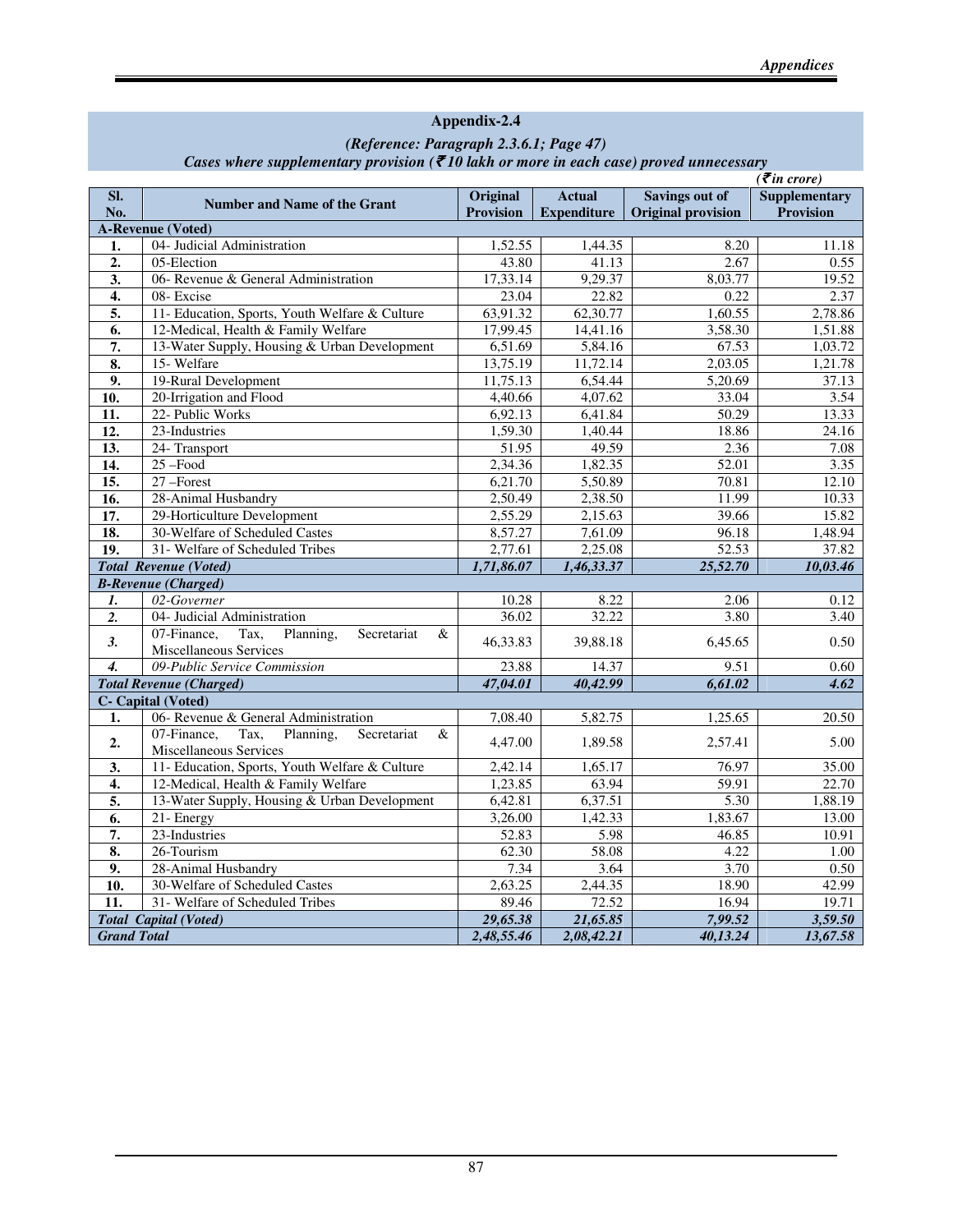|                           | (Reference: Paragraph 2.5.0.1; Page 47)<br>Cases where supplementary provision ( $\bar{\epsilon}$ 10 lakh or more in each case) proved unnecessary |                    |                    |                           |                                          |  |  |  |  |
|---------------------------|----------------------------------------------------------------------------------------------------------------------------------------------------|--------------------|--------------------|---------------------------|------------------------------------------|--|--|--|--|
|                           |                                                                                                                                                    |                    |                    |                           | $( \bar{\mathbf{\mathcal{F}}}$ in crore) |  |  |  |  |
| SI.                       | <b>Number and Name of the Grant</b>                                                                                                                | Original           | <b>Actual</b>      | <b>Savings out of</b>     | <b>Supplementary</b>                     |  |  |  |  |
| No.                       |                                                                                                                                                    | <b>Provision</b>   | <b>Expenditure</b> | <b>Original provision</b> | <b>Provision</b>                         |  |  |  |  |
|                           | <b>A-Revenue (Voted)</b>                                                                                                                           |                    |                    |                           |                                          |  |  |  |  |
| 1.                        | 04- Judicial Administration                                                                                                                        | 1,52.55            | 1,44.35            | 8.20                      | 11.18                                    |  |  |  |  |
| 2.                        | 05-Election                                                                                                                                        | 43.80              | 41.13              | 2.67                      | 0.55                                     |  |  |  |  |
| $\overline{3}$ .          | 06- Revenue & General Administration                                                                                                               | 17,33.14           | 9,29.37            | 8,03.77                   | 19.52                                    |  |  |  |  |
| $\overline{4}$ .          | 08-Excise                                                                                                                                          | 23.04              | 22.82              | 0.22                      | 2.37                                     |  |  |  |  |
| 5.                        | 11- Education, Sports, Youth Welfare & Culture                                                                                                     | 63,91.32           | 62,30.77           | 1,60.55                   | 2,78.86                                  |  |  |  |  |
| 6.                        | 12-Medical, Health & Family Welfare                                                                                                                | 17,99.45           | 14,41.16           | 3,58.30                   | 1,51.88                                  |  |  |  |  |
| 7.                        | 13-Water Supply, Housing & Urban Development                                                                                                       | 6,51.69            | 5,84.16            | 67.53                     | 1,03.72                                  |  |  |  |  |
| $\overline{\mathbf{8}}$ . | 15-Welfare                                                                                                                                         | 13,75.19           | 11,72.14           | 2,03.05                   | 1,21.78                                  |  |  |  |  |
| 9.                        | 19-Rural Development                                                                                                                               | 11,75.13           | 6,54.44            | 5,20.69                   | 37.13                                    |  |  |  |  |
| 10.                       | 20-Irrigation and Flood                                                                                                                            | 4.40.66<br>6,92.13 | 4.07.62            | 33.04                     | 3.54                                     |  |  |  |  |
| $\overline{11}$ .         | 22- Public Works                                                                                                                                   |                    | 6,41.84            | 50.29                     | 13.33                                    |  |  |  |  |
| $\overline{12}$ .         | 23-Industries<br>24- Transport                                                                                                                     | 1,59.30<br>51.95   | 1,40.44<br>49.59   | 18.86<br>2.36             | 24.16<br>7.08                            |  |  |  |  |
| 13.<br>14.                | $25 - Food$                                                                                                                                        | 2,34.36            | 1,82.35            | 52.01                     | 3.35                                     |  |  |  |  |
| 15.                       | 27-Forest                                                                                                                                          | 6,21.70            | 5,50.89            | 70.81                     | 12.10                                    |  |  |  |  |
| 16.                       | 28-Animal Husbandry                                                                                                                                | 2,50.49            | 2,38.50            | 11.99                     | 10.33                                    |  |  |  |  |
| 17.                       | 29-Horticulture Development                                                                                                                        | 2,55.29            | 2,15.63            | 39.66                     | 15.82                                    |  |  |  |  |
| $\overline{18}$ .         | 30-Welfare of Scheduled Castes                                                                                                                     | 8,57.27            | 7,61.09            | 96.18                     | 1,48.94                                  |  |  |  |  |
| 19.                       | 31- Welfare of Scheduled Tribes                                                                                                                    | 2,77.61            | 2,25.08            | 52.53                     | 37.82                                    |  |  |  |  |
|                           | <b>Total Revenue (Voted)</b>                                                                                                                       | 1,71,86.07         | 1,46,33.37         | 25,52.70                  | 10,03.46                                 |  |  |  |  |
|                           | <b>B-Revenue (Charged)</b>                                                                                                                         |                    |                    |                           |                                          |  |  |  |  |
| 1.                        | 02-Governer                                                                                                                                        | 10.28              | 8.22               | 2.06                      | 0.12                                     |  |  |  |  |
| $\overline{2}$ .          | 04- Judicial Administration                                                                                                                        | 36.02              | 32.22              | 3.80                      | 3.40                                     |  |  |  |  |
| 3.                        | Tax,<br>Planning,<br>07-Finance,<br>Secretariat<br>&                                                                                               | 46,33.83           | 39,88.18           | 6,45.65                   | 0.50                                     |  |  |  |  |
|                           | Miscellaneous Services                                                                                                                             |                    |                    |                           |                                          |  |  |  |  |
| $\boldsymbol{4}$          | 09-Public Service Commission                                                                                                                       | 23.88              | 14.37              | 9.51                      | 0.60                                     |  |  |  |  |
|                           | <b>Total Revenue (Charged)</b>                                                                                                                     | 47,04.01           | 40,42.99           | 6,61.02                   | 4.62                                     |  |  |  |  |
|                           | C- Capital (Voted)                                                                                                                                 |                    |                    |                           |                                          |  |  |  |  |
| 1.                        | 06- Revenue & General Administration                                                                                                               | 7,08.40            | 5,82.75            | 1,25.65                   | 20.50                                    |  |  |  |  |
| 2.                        | 07-Finance.<br>Tax,<br>Planning,<br>Secretariat<br>&<br>Miscellaneous Services                                                                     | 4,47.00            | 1,89.58            | 2,57.41                   | 5.00                                     |  |  |  |  |
| 3.                        | 11- Education, Sports, Youth Welfare & Culture                                                                                                     | 2,42.14            | 1,65.17            | 76.97                     | 35.00                                    |  |  |  |  |
| 4.                        | 12-Medical, Health & Family Welfare                                                                                                                | 1,23.85            | 63.94              | 59.91                     | 22.70                                    |  |  |  |  |
| 5.                        | 13-Water Supply, Housing & Urban Development                                                                                                       | 6,42.81            | 6,37.51            | $\overline{5.30}$         | 1,88.19                                  |  |  |  |  |
| 6.                        | 21- Energy                                                                                                                                         | 3,26.00            | 1,42.33            | 1,83.67                   | 13.00                                    |  |  |  |  |
| 7.                        | 23-Industries                                                                                                                                      | 52.83              | 5.98               | 46.85                     | 10.91                                    |  |  |  |  |
| 8.                        | 26-Tourism                                                                                                                                         | 62.30              | 58.08              | 4.22                      | 1.00                                     |  |  |  |  |
| 9.                        | 28-Animal Husbandry                                                                                                                                | 7.34               | 3.64               | 3.70                      | 0.50                                     |  |  |  |  |
| 10.                       | 30-Welfare of Scheduled Castes                                                                                                                     | 2,63.25            | 2,44.35            | 18.90                     | 42.99                                    |  |  |  |  |
| 11.                       | 31- Welfare of Scheduled Tribes                                                                                                                    | 89.46              | 72.52              | 16.94                     | 19.71                                    |  |  |  |  |
|                           | <b>Total Capital (Voted)</b>                                                                                                                       | 29,65.38           | 21,65.85           | 7,99.52                   | 3,59.50                                  |  |  |  |  |
| <b>Grand Total</b>        |                                                                                                                                                    | 2,48,55.46         | 2,08,42.21         | 40,13.24                  | 13,67.58                                 |  |  |  |  |

# **Appendix-2.4**  *(Reference: Paragraph 2.3.6.1; Page 47)*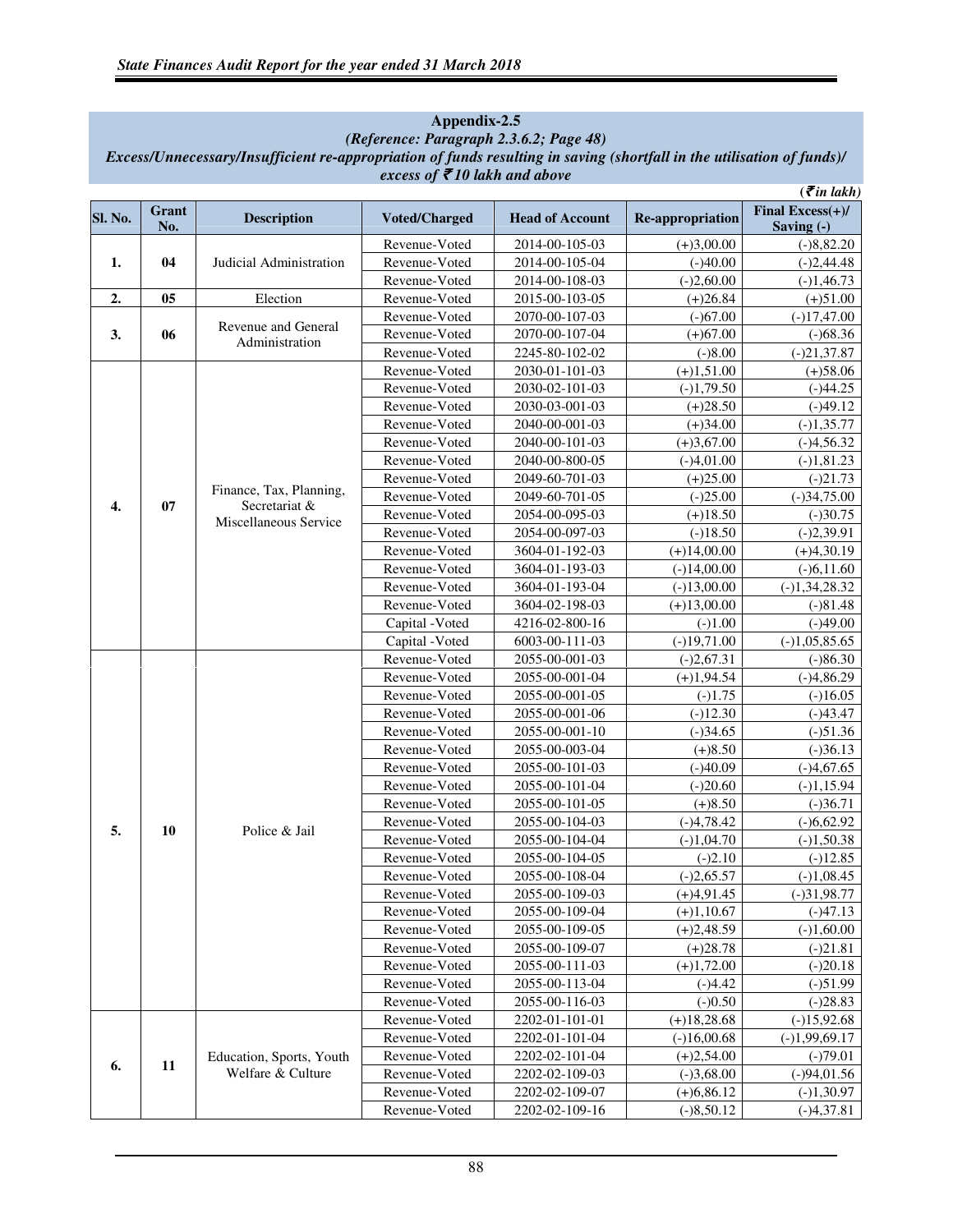## **Appendix-2.5**

*(Reference: Paragraph 2.3.6.2; Page 48) Excess/Unnecessary/Insufficient re-appropriation of funds resulting in saving (shortfall in the utilisation of funds)/ excess of ₹10 lakh and above* 

|         |              |                          |                      |                        |                  | $($ <i>₹in lakh</i> $)$          |
|---------|--------------|--------------------------|----------------------|------------------------|------------------|----------------------------------|
| Sl. No. | Grant<br>No. | <b>Description</b>       | <b>Voted/Charged</b> | <b>Head of Account</b> | Re-appropriation | Final $Excess(+)/$<br>Saving (-) |
|         |              |                          | Revenue-Voted        | 2014-00-105-03         | $(+)3,00.00$     | $(-)8,82.20$                     |
| 1.      | 04           | Judicial Administration  | Revenue-Voted        | 2014-00-105-04         | $(-)40.00$       | $(-)2,44.48$                     |
|         |              |                          | Revenue-Voted        | 2014-00-108-03         | $(-)2,60.00$     | $(-)1,46.73$                     |
| 2.      | 05           | Election                 | Revenue-Voted        | 2015-00-103-05         | $(+)26.84$       | $(+)51.00$                       |
|         |              | Revenue and General      | Revenue-Voted        | 2070-00-107-03         | $(-)67.00$       | $(-)17,47.00$                    |
| 3.      | 06           | Administration           | Revenue-Voted        | 2070-00-107-04         | $(+)67.00$       | $(-)68.36$                       |
|         |              |                          | Revenue-Voted        | 2245-80-102-02         | $(-)8.00$        | $(-)21,37.87$                    |
|         |              |                          | Revenue-Voted        | 2030-01-101-03         | $(+)1,51.00$     | $(+)58.06$                       |
|         |              |                          | Revenue-Voted        | 2030-02-101-03         | $(-)1,79.50$     | $(-)44.25$                       |
|         |              |                          | Revenue-Voted        | 2030-03-001-03         | $(+)28.50$       | $(-)49.12$                       |
|         |              |                          | Revenue-Voted        | 2040-00-001-03         | $(+)34.00$       | $(-)1,35.77$                     |
|         |              |                          | Revenue-Voted        | 2040-00-101-03         | $(+)3,67.00$     | $(-)4,56.32$                     |
|         |              |                          | Revenue-Voted        | 2040-00-800-05         | $(-)4,01.00$     | $(-)1,81.23$                     |
|         |              | Finance, Tax, Planning,  | Revenue-Voted        | 2049-60-701-03         | $(+)25.00$       | $(-)21.73$                       |
| 4.      | 07           | Secretariat &            | Revenue-Voted        | 2049-60-701-05         | $(-)25.00$       | $(-)34,75.00$                    |
|         |              | Miscellaneous Service    | Revenue-Voted        | 2054-00-095-03         | $(+)18.50$       | $(-)30.75$                       |
|         |              |                          | Revenue-Voted        | 2054-00-097-03         | $(-)18.50$       | $(-)2,39.91$                     |
|         |              |                          | Revenue-Voted        | 3604-01-192-03         | $(+)14,00.00$    | $(+)4,30.19$                     |
|         |              |                          | Revenue-Voted        | 3604-01-193-03         | $(-)14,00.00$    | $(-)6,11.60$                     |
|         |              |                          | Revenue-Voted        | 3604-01-193-04         | $(-)13,00.00$    | $(-)1,34,28.32$                  |
|         |              |                          | Revenue-Voted        | 3604-02-198-03         | $(+)13,00.00$    | $(-)81.48$                       |
|         |              |                          | Capital -Voted       | 4216-02-800-16         | $(-)1.00$        | $(-)49.00$                       |
|         |              |                          | Capital -Voted       | 6003-00-111-03         | $(-)19,71.00$    | $(-)1,05,85.65$                  |
|         |              |                          | Revenue-Voted        | 2055-00-001-03         | $(-)2,67.31$     | $(-)86.30$                       |
|         |              |                          | Revenue-Voted        | 2055-00-001-04         | $(+)1,94.54$     | $(-)4,86.29$                     |
|         |              |                          | Revenue-Voted        | 2055-00-001-05         | $(-)1.75$        | $(-)16.05$                       |
|         |              |                          | Revenue-Voted        | 2055-00-001-06         | $(-)12.30$       | $(-)43.47$                       |
|         |              |                          | Revenue-Voted        | 2055-00-001-10         | $(-)34.65$       | $(-)51.36$                       |
|         |              |                          | Revenue-Voted        | 2055-00-003-04         | $(+)8.50$        | $(-)36.13$                       |
|         |              |                          | Revenue-Voted        | 2055-00-101-03         | $(-)40.09$       | $(-)4,67.65$                     |
|         |              |                          | Revenue-Voted        | 2055-00-101-04         | $(-)20.60$       | $(-)1,15.94$                     |
|         |              |                          | Revenue-Voted        | 2055-00-101-05         | $(+)8.50$        | $(-)36.71$                       |
| 5.      | 10           | Police & Jail            | Revenue-Voted        | 2055-00-104-03         | $(-)4,78.42$     | $(-)6,62.92$                     |
|         |              |                          | Revenue-Voted        | 2055-00-104-04         | $(-)1,04.70$     | $(-)1,50.38$                     |
|         |              |                          | Revenue-Voted        | 2055-00-104-05         | $(-)2.10$        | $(-)12.85$                       |
|         |              |                          | Revenue-Voted        | 2055-00-108-04         | $(-)2,65.57$     | $(-)1,08.45$                     |
|         |              |                          | Revenue-Voted        | 2055-00-109-03         | $(+)4,91.45$     | $(-)31,98.77$                    |
|         |              |                          | Revenue-Voted        | 2055-00-109-04         | $(+)1,10.67$     | $(-)47.13$                       |
|         |              |                          | Revenue-Voted        | 2055-00-109-05         | $(+)2,48.59$     | $(-)1,60.00$                     |
|         |              |                          | Revenue-Voted        | 2055-00-109-07         | $(+)28.78$       | $(-)21.81$                       |
|         |              |                          | Revenue-Voted        | 2055-00-111-03         | $(+)1,72.00$     | $(-)20.18$                       |
|         |              |                          | Revenue-Voted        | 2055-00-113-04         | $(-)4.42$        | $(-)51.99$                       |
|         |              |                          | Revenue-Voted        | 2055-00-116-03         | $(-)0.50$        | $(-)28.83$                       |
|         |              |                          | Revenue-Voted        | 2202-01-101-01         | $(+)18,28.68$    | $(-)15,92.68$                    |
|         |              |                          | Revenue-Voted        | 2202-01-101-04         | $(-)16,00.68$    | $(-)1,99,69.17$                  |
| 6.      | 11           | Education, Sports, Youth | Revenue-Voted        | 2202-02-101-04         | $(+)2,54.00$     | $(-)79.01$                       |
|         |              | Welfare & Culture        | Revenue-Voted        | 2202-02-109-03         | $(-)3,68.00$     | $(-)94,01.56$                    |
|         |              |                          | Revenue-Voted        | 2202-02-109-07         | $(+)6,86.12$     | $(-)1,30.97$                     |
|         |              |                          | Revenue-Voted        | 2202-02-109-16         | $(-)8,50.12$     | $(-)4,37.81$                     |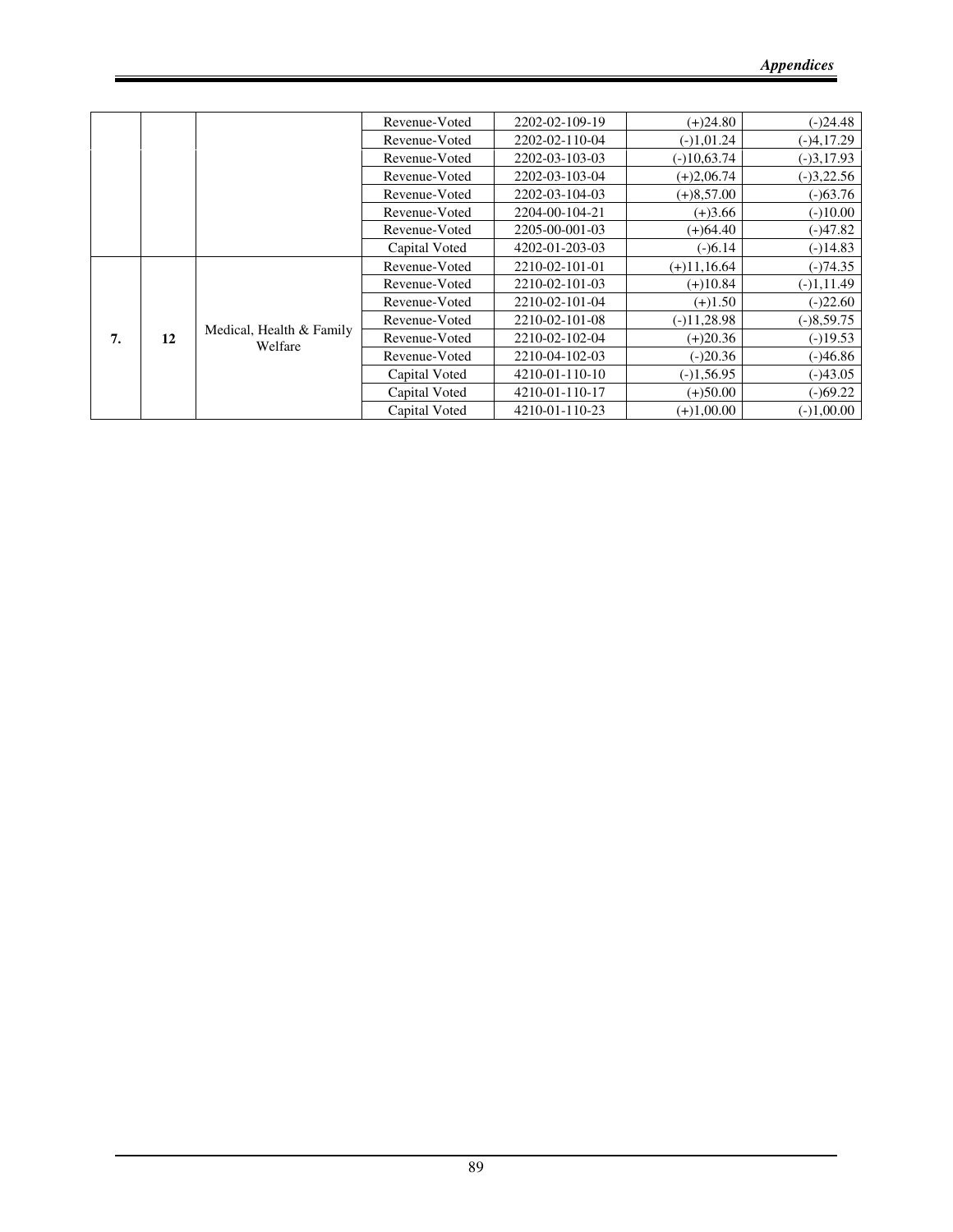|    |    |                          | Revenue-Voted | 2202-02-109-19 | $(+)24.80$    | $(-)24.48$    |
|----|----|--------------------------|---------------|----------------|---------------|---------------|
|    |    |                          | Revenue-Voted | 2202-02-110-04 | $(-)1,01.24$  | $(-)4,17.29$  |
|    |    |                          | Revenue-Voted | 2202-03-103-03 | $(-10,63.74)$ | $(-)3,17.93$  |
|    |    |                          | Revenue-Voted | 2202-03-103-04 | $(+)2,06.74$  | $(-)3,22.56$  |
|    |    |                          | Revenue-Voted | 2202-03-104-03 | $(+)8,57.00$  | $(-)63.76$    |
|    |    |                          | Revenue-Voted | 2204-00-104-21 | $(+)3.66$     | $(-10.00)$    |
|    |    |                          | Revenue-Voted | 2205-00-001-03 | $(+)64.40$    | $(-)47.82$    |
|    |    |                          | Capital Voted | 4202-01-203-03 | $(-)6.14$     | $(-)14.83$    |
|    |    | Medical, Health & Family | Revenue-Voted | 2210-02-101-01 | $(+)11,16.64$ | $(-)74.35$    |
|    |    |                          | Revenue-Voted | 2210-02-101-03 | $(+)10.84$    | $(-)1, 11.49$ |
|    |    |                          | Revenue-Voted | 2210-02-101-04 | $(+)1.50$     | $(-)22.60$    |
|    |    |                          | Revenue-Voted | 2210-02-101-08 | $(-)11,28.98$ | $(-)8,59.75$  |
| 7. | 12 |                          | Revenue-Voted | 2210-02-102-04 | $(+)20.36$    | $(-)19.53$    |
|    |    | Welfare                  | Revenue-Voted | 2210-04-102-03 | $(-)20.36$    | $(-)46.86$    |
|    |    |                          | Capital Voted | 4210-01-110-10 | $(-)1,56.95$  | $(-)43.05$    |
|    |    |                          | Capital Voted | 4210-01-110-17 | $(+)50.00$    | $(-)69.22$    |
|    |    |                          | Capital Voted | 4210-01-110-23 | $(+)1,00.00$  | $(-)1,00.00$  |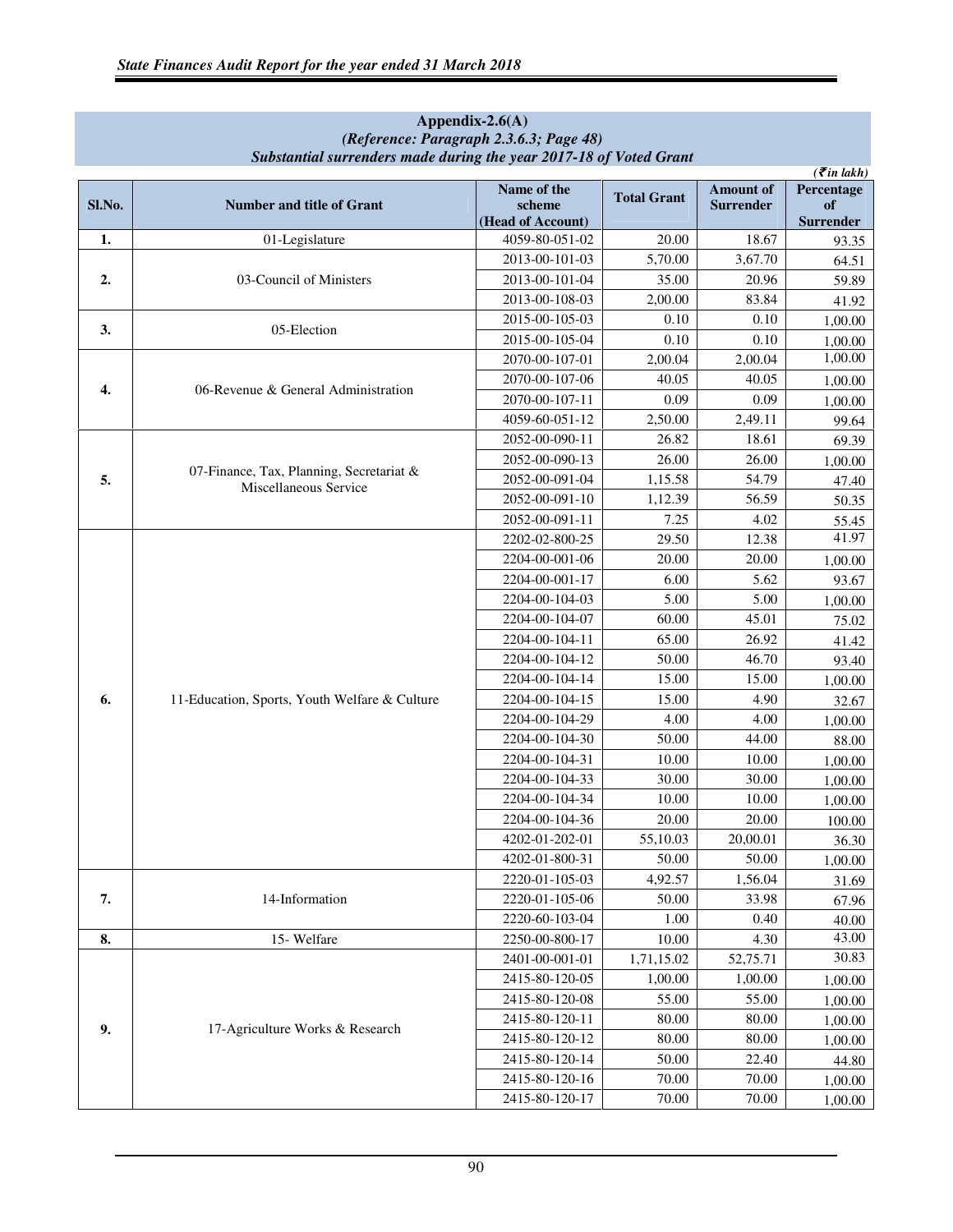| $($ <i>₹in lakh</i> $)$<br>Name of the<br><b>Amount of</b><br>Percentage<br><b>Total Grant</b><br>Sl.No.<br><b>Number and title of Grant</b><br>scheme<br><b>Surrender</b><br>of<br>(Head of Account)<br><b>Surrender</b><br>4059-80-051-02<br>01-Legislature<br>1.<br>20.00<br>18.67<br>93.35<br>2013-00-101-03<br>5,70.00<br>3,67.70<br>64.51<br>03-Council of Ministers<br>2013-00-101-04<br>35.00<br>20.96<br>2.<br>59.89<br>2,00.00<br>83.84<br>2013-00-108-03<br>41.92<br>2015-00-105-03<br>0.10<br>0.10<br>1,00.00<br>05-Election<br>3.<br>2015-00-105-04<br>0.10<br>0.10<br>1,00.00<br>1,00.00<br>2070-00-107-01<br>2,00.04<br>2,00.04<br>2070-00-107-06<br>40.05<br>40.05<br>1,00.00<br>06-Revenue & General Administration<br>4.<br>2070-00-107-11<br>0.09<br>0.09<br>1,00.00<br>4059-60-051-12<br>2,50.00<br>2,49.11<br>99.64<br>2052-00-090-11<br>26.82<br>18.61<br>69.39<br>2052-00-090-13<br>26.00<br>26.00<br>1,00.00<br>07-Finance, Tax, Planning, Secretariat &<br>2052-00-091-04<br>1,15.58<br>54.79<br>5.<br>47.40<br>Miscellaneous Service<br>2052-00-091-10<br>56.59<br>1,12.39<br>50.35<br>2052-00-091-11<br>7.25<br>4.02<br>55.45<br>41.97<br>29.50<br>12.38<br>2202-02-800-25<br>2204-00-001-06<br>20.00<br>20.00<br>1,00.00<br>2204-00-001-17<br>6.00<br>5.62<br>93.67<br>5.00<br>2204-00-104-03<br>5.00<br>1,00.00<br>2204-00-104-07<br>60.00<br>45.01<br>75.02<br>2204-00-104-11<br>65.00<br>26.92<br>41.42<br>46.70<br>2204-00-104-12<br>50.00<br>93.40<br>2204-00-104-14<br>15.00<br>15.00<br>1,00.00<br>2204-00-104-15<br>15.00<br>6.<br>11-Education, Sports, Youth Welfare & Culture<br>4.90<br>32.67<br>2204-00-104-29<br>4.00<br>4.00<br>1,00.00<br>50.00<br>44.00<br>2204-00-104-30<br>88.00<br>2204-00-104-31<br>10.00<br>10.00<br>1,00.00<br>2204-00-104-33<br>30.00<br>30.00<br>1,00.00<br>2204-00-104-34<br>10.00<br>10.00<br>1,00.00<br>2204-00-104-36<br>20.00<br>20.00<br>100.00<br>4202-01-202-01<br>55,10.03<br>20,00.01<br>36.30 |
|-------------------------------------------------------------------------------------------------------------------------------------------------------------------------------------------------------------------------------------------------------------------------------------------------------------------------------------------------------------------------------------------------------------------------------------------------------------------------------------------------------------------------------------------------------------------------------------------------------------------------------------------------------------------------------------------------------------------------------------------------------------------------------------------------------------------------------------------------------------------------------------------------------------------------------------------------------------------------------------------------------------------------------------------------------------------------------------------------------------------------------------------------------------------------------------------------------------------------------------------------------------------------------------------------------------------------------------------------------------------------------------------------------------------------------------------------------------------------------------------------------------------------------------------------------------------------------------------------------------------------------------------------------------------------------------------------------------------------------------------------------------------------------------------------------------------------------------------------------------------------------------------------------------------------------------------------------------------------------|
|                                                                                                                                                                                                                                                                                                                                                                                                                                                                                                                                                                                                                                                                                                                                                                                                                                                                                                                                                                                                                                                                                                                                                                                                                                                                                                                                                                                                                                                                                                                                                                                                                                                                                                                                                                                                                                                                                                                                                                               |
|                                                                                                                                                                                                                                                                                                                                                                                                                                                                                                                                                                                                                                                                                                                                                                                                                                                                                                                                                                                                                                                                                                                                                                                                                                                                                                                                                                                                                                                                                                                                                                                                                                                                                                                                                                                                                                                                                                                                                                               |
|                                                                                                                                                                                                                                                                                                                                                                                                                                                                                                                                                                                                                                                                                                                                                                                                                                                                                                                                                                                                                                                                                                                                                                                                                                                                                                                                                                                                                                                                                                                                                                                                                                                                                                                                                                                                                                                                                                                                                                               |
|                                                                                                                                                                                                                                                                                                                                                                                                                                                                                                                                                                                                                                                                                                                                                                                                                                                                                                                                                                                                                                                                                                                                                                                                                                                                                                                                                                                                                                                                                                                                                                                                                                                                                                                                                                                                                                                                                                                                                                               |
|                                                                                                                                                                                                                                                                                                                                                                                                                                                                                                                                                                                                                                                                                                                                                                                                                                                                                                                                                                                                                                                                                                                                                                                                                                                                                                                                                                                                                                                                                                                                                                                                                                                                                                                                                                                                                                                                                                                                                                               |
|                                                                                                                                                                                                                                                                                                                                                                                                                                                                                                                                                                                                                                                                                                                                                                                                                                                                                                                                                                                                                                                                                                                                                                                                                                                                                                                                                                                                                                                                                                                                                                                                                                                                                                                                                                                                                                                                                                                                                                               |
|                                                                                                                                                                                                                                                                                                                                                                                                                                                                                                                                                                                                                                                                                                                                                                                                                                                                                                                                                                                                                                                                                                                                                                                                                                                                                                                                                                                                                                                                                                                                                                                                                                                                                                                                                                                                                                                                                                                                                                               |
|                                                                                                                                                                                                                                                                                                                                                                                                                                                                                                                                                                                                                                                                                                                                                                                                                                                                                                                                                                                                                                                                                                                                                                                                                                                                                                                                                                                                                                                                                                                                                                                                                                                                                                                                                                                                                                                                                                                                                                               |
|                                                                                                                                                                                                                                                                                                                                                                                                                                                                                                                                                                                                                                                                                                                                                                                                                                                                                                                                                                                                                                                                                                                                                                                                                                                                                                                                                                                                                                                                                                                                                                                                                                                                                                                                                                                                                                                                                                                                                                               |
|                                                                                                                                                                                                                                                                                                                                                                                                                                                                                                                                                                                                                                                                                                                                                                                                                                                                                                                                                                                                                                                                                                                                                                                                                                                                                                                                                                                                                                                                                                                                                                                                                                                                                                                                                                                                                                                                                                                                                                               |
|                                                                                                                                                                                                                                                                                                                                                                                                                                                                                                                                                                                                                                                                                                                                                                                                                                                                                                                                                                                                                                                                                                                                                                                                                                                                                                                                                                                                                                                                                                                                                                                                                                                                                                                                                                                                                                                                                                                                                                               |
|                                                                                                                                                                                                                                                                                                                                                                                                                                                                                                                                                                                                                                                                                                                                                                                                                                                                                                                                                                                                                                                                                                                                                                                                                                                                                                                                                                                                                                                                                                                                                                                                                                                                                                                                                                                                                                                                                                                                                                               |
|                                                                                                                                                                                                                                                                                                                                                                                                                                                                                                                                                                                                                                                                                                                                                                                                                                                                                                                                                                                                                                                                                                                                                                                                                                                                                                                                                                                                                                                                                                                                                                                                                                                                                                                                                                                                                                                                                                                                                                               |
|                                                                                                                                                                                                                                                                                                                                                                                                                                                                                                                                                                                                                                                                                                                                                                                                                                                                                                                                                                                                                                                                                                                                                                                                                                                                                                                                                                                                                                                                                                                                                                                                                                                                                                                                                                                                                                                                                                                                                                               |
|                                                                                                                                                                                                                                                                                                                                                                                                                                                                                                                                                                                                                                                                                                                                                                                                                                                                                                                                                                                                                                                                                                                                                                                                                                                                                                                                                                                                                                                                                                                                                                                                                                                                                                                                                                                                                                                                                                                                                                               |
|                                                                                                                                                                                                                                                                                                                                                                                                                                                                                                                                                                                                                                                                                                                                                                                                                                                                                                                                                                                                                                                                                                                                                                                                                                                                                                                                                                                                                                                                                                                                                                                                                                                                                                                                                                                                                                                                                                                                                                               |
|                                                                                                                                                                                                                                                                                                                                                                                                                                                                                                                                                                                                                                                                                                                                                                                                                                                                                                                                                                                                                                                                                                                                                                                                                                                                                                                                                                                                                                                                                                                                                                                                                                                                                                                                                                                                                                                                                                                                                                               |
|                                                                                                                                                                                                                                                                                                                                                                                                                                                                                                                                                                                                                                                                                                                                                                                                                                                                                                                                                                                                                                                                                                                                                                                                                                                                                                                                                                                                                                                                                                                                                                                                                                                                                                                                                                                                                                                                                                                                                                               |
|                                                                                                                                                                                                                                                                                                                                                                                                                                                                                                                                                                                                                                                                                                                                                                                                                                                                                                                                                                                                                                                                                                                                                                                                                                                                                                                                                                                                                                                                                                                                                                                                                                                                                                                                                                                                                                                                                                                                                                               |
|                                                                                                                                                                                                                                                                                                                                                                                                                                                                                                                                                                                                                                                                                                                                                                                                                                                                                                                                                                                                                                                                                                                                                                                                                                                                                                                                                                                                                                                                                                                                                                                                                                                                                                                                                                                                                                                                                                                                                                               |
|                                                                                                                                                                                                                                                                                                                                                                                                                                                                                                                                                                                                                                                                                                                                                                                                                                                                                                                                                                                                                                                                                                                                                                                                                                                                                                                                                                                                                                                                                                                                                                                                                                                                                                                                                                                                                                                                                                                                                                               |
|                                                                                                                                                                                                                                                                                                                                                                                                                                                                                                                                                                                                                                                                                                                                                                                                                                                                                                                                                                                                                                                                                                                                                                                                                                                                                                                                                                                                                                                                                                                                                                                                                                                                                                                                                                                                                                                                                                                                                                               |
|                                                                                                                                                                                                                                                                                                                                                                                                                                                                                                                                                                                                                                                                                                                                                                                                                                                                                                                                                                                                                                                                                                                                                                                                                                                                                                                                                                                                                                                                                                                                                                                                                                                                                                                                                                                                                                                                                                                                                                               |
|                                                                                                                                                                                                                                                                                                                                                                                                                                                                                                                                                                                                                                                                                                                                                                                                                                                                                                                                                                                                                                                                                                                                                                                                                                                                                                                                                                                                                                                                                                                                                                                                                                                                                                                                                                                                                                                                                                                                                                               |
|                                                                                                                                                                                                                                                                                                                                                                                                                                                                                                                                                                                                                                                                                                                                                                                                                                                                                                                                                                                                                                                                                                                                                                                                                                                                                                                                                                                                                                                                                                                                                                                                                                                                                                                                                                                                                                                                                                                                                                               |
|                                                                                                                                                                                                                                                                                                                                                                                                                                                                                                                                                                                                                                                                                                                                                                                                                                                                                                                                                                                                                                                                                                                                                                                                                                                                                                                                                                                                                                                                                                                                                                                                                                                                                                                                                                                                                                                                                                                                                                               |
|                                                                                                                                                                                                                                                                                                                                                                                                                                                                                                                                                                                                                                                                                                                                                                                                                                                                                                                                                                                                                                                                                                                                                                                                                                                                                                                                                                                                                                                                                                                                                                                                                                                                                                                                                                                                                                                                                                                                                                               |
|                                                                                                                                                                                                                                                                                                                                                                                                                                                                                                                                                                                                                                                                                                                                                                                                                                                                                                                                                                                                                                                                                                                                                                                                                                                                                                                                                                                                                                                                                                                                                                                                                                                                                                                                                                                                                                                                                                                                                                               |
|                                                                                                                                                                                                                                                                                                                                                                                                                                                                                                                                                                                                                                                                                                                                                                                                                                                                                                                                                                                                                                                                                                                                                                                                                                                                                                                                                                                                                                                                                                                                                                                                                                                                                                                                                                                                                                                                                                                                                                               |
|                                                                                                                                                                                                                                                                                                                                                                                                                                                                                                                                                                                                                                                                                                                                                                                                                                                                                                                                                                                                                                                                                                                                                                                                                                                                                                                                                                                                                                                                                                                                                                                                                                                                                                                                                                                                                                                                                                                                                                               |
|                                                                                                                                                                                                                                                                                                                                                                                                                                                                                                                                                                                                                                                                                                                                                                                                                                                                                                                                                                                                                                                                                                                                                                                                                                                                                                                                                                                                                                                                                                                                                                                                                                                                                                                                                                                                                                                                                                                                                                               |
|                                                                                                                                                                                                                                                                                                                                                                                                                                                                                                                                                                                                                                                                                                                                                                                                                                                                                                                                                                                                                                                                                                                                                                                                                                                                                                                                                                                                                                                                                                                                                                                                                                                                                                                                                                                                                                                                                                                                                                               |
| 4202-01-800-31<br>50.00<br>50.00<br>1,00.00                                                                                                                                                                                                                                                                                                                                                                                                                                                                                                                                                                                                                                                                                                                                                                                                                                                                                                                                                                                                                                                                                                                                                                                                                                                                                                                                                                                                                                                                                                                                                                                                                                                                                                                                                                                                                                                                                                                                   |
| 4,92.57<br>2220-01-105-03<br>1,56.04<br>31.69                                                                                                                                                                                                                                                                                                                                                                                                                                                                                                                                                                                                                                                                                                                                                                                                                                                                                                                                                                                                                                                                                                                                                                                                                                                                                                                                                                                                                                                                                                                                                                                                                                                                                                                                                                                                                                                                                                                                 |
| 14-Information<br>2220-01-105-06<br>50.00<br>33.98<br>7.<br>67.96                                                                                                                                                                                                                                                                                                                                                                                                                                                                                                                                                                                                                                                                                                                                                                                                                                                                                                                                                                                                                                                                                                                                                                                                                                                                                                                                                                                                                                                                                                                                                                                                                                                                                                                                                                                                                                                                                                             |
| 2220-60-103-04<br>1.00<br>0.40<br>40.00<br>43.00<br>15- Welfare<br>2250-00-800-17                                                                                                                                                                                                                                                                                                                                                                                                                                                                                                                                                                                                                                                                                                                                                                                                                                                                                                                                                                                                                                                                                                                                                                                                                                                                                                                                                                                                                                                                                                                                                                                                                                                                                                                                                                                                                                                                                             |
| 8.<br>10.00<br>4.30<br>30.83<br>2401-00-001-01<br>1,71,15.02<br>52,75.71                                                                                                                                                                                                                                                                                                                                                                                                                                                                                                                                                                                                                                                                                                                                                                                                                                                                                                                                                                                                                                                                                                                                                                                                                                                                                                                                                                                                                                                                                                                                                                                                                                                                                                                                                                                                                                                                                                      |
| 2415-80-120-05<br>1,00.00<br>1,00.00                                                                                                                                                                                                                                                                                                                                                                                                                                                                                                                                                                                                                                                                                                                                                                                                                                                                                                                                                                                                                                                                                                                                                                                                                                                                                                                                                                                                                                                                                                                                                                                                                                                                                                                                                                                                                                                                                                                                          |
| 1,00.00<br>55.00<br>2415-80-120-08<br>55.00                                                                                                                                                                                                                                                                                                                                                                                                                                                                                                                                                                                                                                                                                                                                                                                                                                                                                                                                                                                                                                                                                                                                                                                                                                                                                                                                                                                                                                                                                                                                                                                                                                                                                                                                                                                                                                                                                                                                   |
| 1,00.00<br>80.00<br>80.00<br>2415-80-120-11<br>1,00.00                                                                                                                                                                                                                                                                                                                                                                                                                                                                                                                                                                                                                                                                                                                                                                                                                                                                                                                                                                                                                                                                                                                                                                                                                                                                                                                                                                                                                                                                                                                                                                                                                                                                                                                                                                                                                                                                                                                        |
| 9.<br>17-Agriculture Works & Research<br>2415-80-120-12<br>80.00<br>80.00<br>1,00.00                                                                                                                                                                                                                                                                                                                                                                                                                                                                                                                                                                                                                                                                                                                                                                                                                                                                                                                                                                                                                                                                                                                                                                                                                                                                                                                                                                                                                                                                                                                                                                                                                                                                                                                                                                                                                                                                                          |
| 50.00<br>22.40<br>2415-80-120-14<br>44.80                                                                                                                                                                                                                                                                                                                                                                                                                                                                                                                                                                                                                                                                                                                                                                                                                                                                                                                                                                                                                                                                                                                                                                                                                                                                                                                                                                                                                                                                                                                                                                                                                                                                                                                                                                                                                                                                                                                                     |
| 2415-80-120-16<br>70.00<br>70.00<br>1,00.00                                                                                                                                                                                                                                                                                                                                                                                                                                                                                                                                                                                                                                                                                                                                                                                                                                                                                                                                                                                                                                                                                                                                                                                                                                                                                                                                                                                                                                                                                                                                                                                                                                                                                                                                                                                                                                                                                                                                   |
| 70.00<br>2415-80-120-17<br>70.00<br>1,00.00                                                                                                                                                                                                                                                                                                                                                                                                                                                                                                                                                                                                                                                                                                                                                                                                                                                                                                                                                                                                                                                                                                                                                                                                                                                                                                                                                                                                                                                                                                                                                                                                                                                                                                                                                                                                                                                                                                                                   |

# **Appendix-2.6(A)**  *(Reference: Paragraph 2.3.6.3; Page 48)*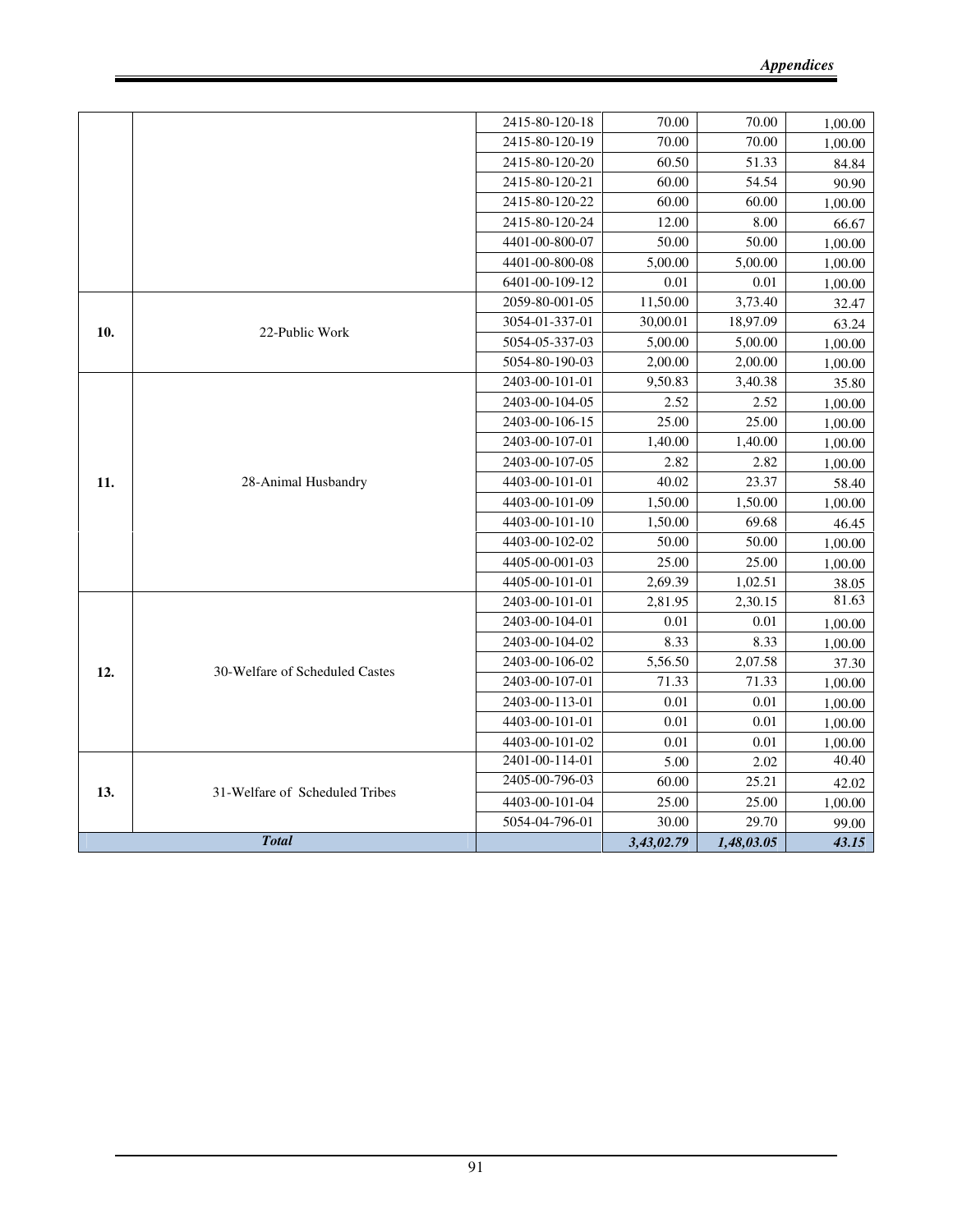|     |                                | 2415-80-120-18 | 70.00      | 70.00      | 1,00.00 |
|-----|--------------------------------|----------------|------------|------------|---------|
|     |                                | 2415-80-120-19 | 70.00      | 70.00      | 1,00.00 |
|     |                                | 2415-80-120-20 | 60.50      | 51.33      | 84.84   |
|     |                                | 2415-80-120-21 | 60.00      | 54.54      | 90.90   |
|     |                                | 2415-80-120-22 | 60.00      | 60.00      | 1,00.00 |
|     |                                | 2415-80-120-24 | 12.00      | 8.00       | 66.67   |
|     |                                | 4401-00-800-07 | 50.00      | 50.00      | 1,00.00 |
|     |                                | 4401-00-800-08 | 5,00.00    | 5,00.00    | 1,00.00 |
|     |                                | 6401-00-109-12 | 0.01       | 0.01       | 1,00.00 |
|     |                                | 2059-80-001-05 | 11,50.00   | 3,73.40    | 32.47   |
| 10. | 22-Public Work                 | 3054-01-337-01 | 30,00.01   | 18,97.09   | 63.24   |
|     |                                | 5054-05-337-03 | 5,00.00    | 5,00.00    | 1,00.00 |
|     |                                | 5054-80-190-03 | 2,00.00    | 2,00.00    | 1,00.00 |
|     |                                | 2403-00-101-01 | 9,50.83    | 3,40.38    | 35.80   |
|     |                                | 2403-00-104-05 | 2.52       | 2.52       | 1,00.00 |
|     | 28-Animal Husbandry            | 2403-00-106-15 | 25.00      | 25.00      | 1,00.00 |
|     |                                | 2403-00-107-01 | 1,40.00    | 1,40.00    | 1,00.00 |
|     |                                | 2403-00-107-05 | 2.82       | 2.82       | 1,00.00 |
| 11. |                                | 4403-00-101-01 | 40.02      | 23.37      | 58.40   |
|     |                                | 4403-00-101-09 | 1,50.00    | 1,50.00    | 1,00.00 |
|     |                                | 4403-00-101-10 | 1,50.00    | 69.68      | 46.45   |
|     |                                | 4403-00-102-02 | 50.00      | 50.00      | 1,00.00 |
|     |                                | 4405-00-001-03 | 25.00      | 25.00      | 1,00.00 |
|     |                                | 4405-00-101-01 | 2,69.39    | 1,02.51    | 38.05   |
|     |                                | 2403-00-101-01 | 2,81.95    | 2,30.15    | 81.63   |
|     |                                | 2403-00-104-01 | 0.01       | 0.01       | 1,00.00 |
|     |                                | 2403-00-104-02 | 8.33       | 8.33       | 1,00.00 |
|     |                                | 2403-00-106-02 | 5,56.50    | 2,07.58    | 37.30   |
| 12. | 30-Welfare of Scheduled Castes | 2403-00-107-01 | 71.33      | 71.33      | 1,00.00 |
|     |                                | 2403-00-113-01 | 0.01       | 0.01       | 1,00.00 |
|     |                                | 4403-00-101-01 | 0.01       | 0.01       | 1,00.00 |
|     |                                | 4403-00-101-02 | 0.01       | 0.01       | 1,00.00 |
|     |                                | 2401-00-114-01 | 5.00       | 2.02       | 40.40   |
|     |                                | 2405-00-796-03 | 60.00      | 25.21      | 42.02   |
| 13. | 31-Welfare of Scheduled Tribes | 4403-00-101-04 | 25.00      | 25.00      | 1,00.00 |
|     |                                | 5054-04-796-01 | 30.00      | 29.70      | 99.00   |
|     | <b>Total</b>                   |                | 3,43,02.79 | 1,48,03.05 | 43.15   |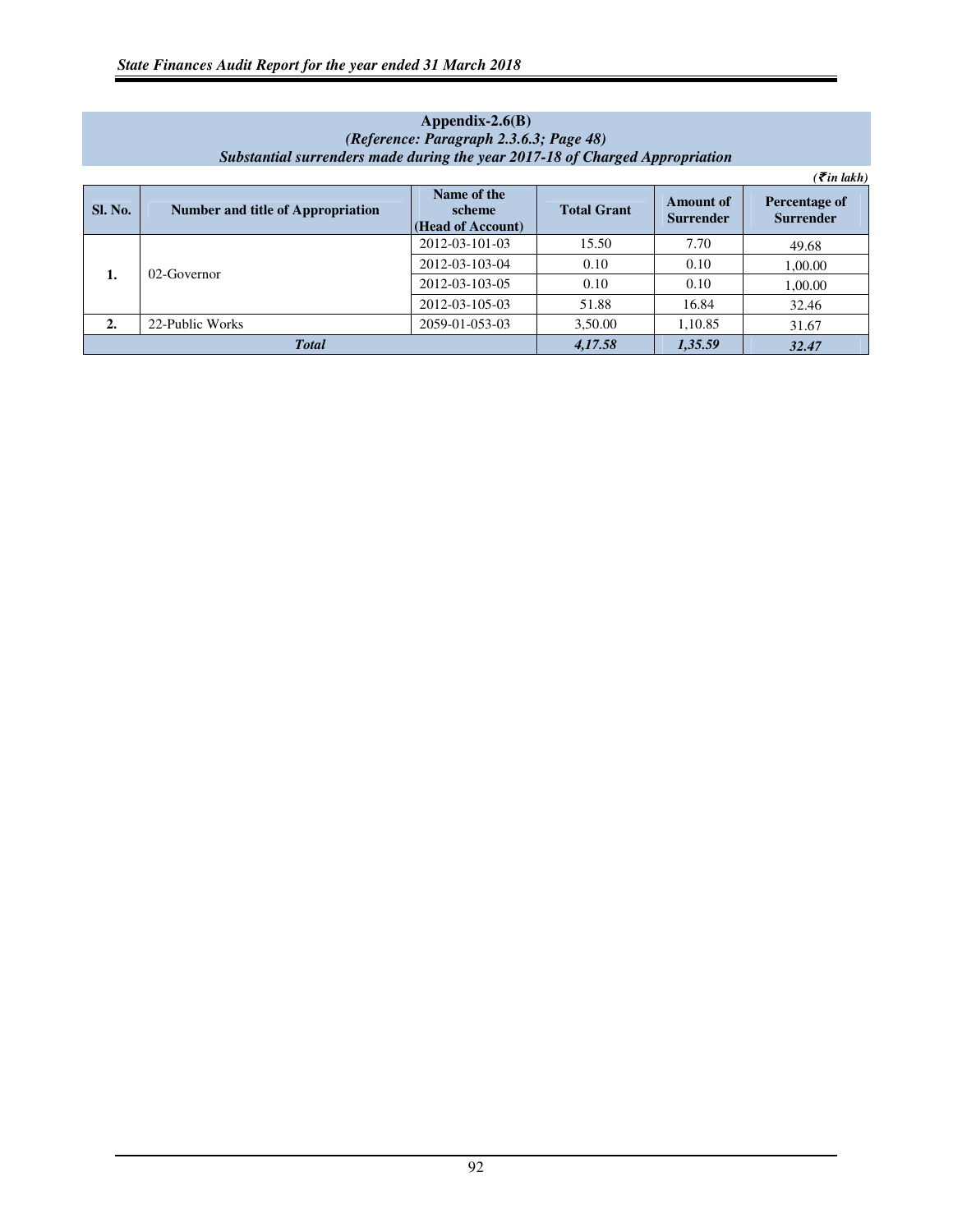|                  |                                          |                                            |                    |                               | $\left(\bar{\boldsymbol{\xi}}$ in lakh) |
|------------------|------------------------------------------|--------------------------------------------|--------------------|-------------------------------|-----------------------------------------|
| <b>Sl. No.</b>   | <b>Number and title of Appropriation</b> | Name of the<br>scheme<br>(Head of Account) | <b>Total Grant</b> | Amount of<br><b>Surrender</b> | Percentage of<br><b>Surrender</b>       |
| 1.               | 02-Governor                              | 2012-03-101-03                             | 15.50              | 7.70                          | 49.68                                   |
|                  |                                          | 2012-03-103-04                             | 0.10               | 0.10                          | 1.00.00                                 |
|                  |                                          | 2012-03-103-05                             | 0.10               | 0.10                          | 1,00.00                                 |
|                  |                                          | 2012-03-105-03                             | 51.88              | 16.84                         | 32.46                                   |
| $\overline{2}$ . | 22-Public Works                          | 2059-01-053-03                             | 3,50.00            | 1,10.85                       | 31.67                                   |
|                  | <b>Total</b>                             |                                            |                    | 1,35.59                       | 32.47                                   |

### **Appendix-2.6(B)**  *(Reference: Paragraph 2.3.6.3; Page 48) Substantial surrenders made during the year 2017-18 of Charged Appropriation*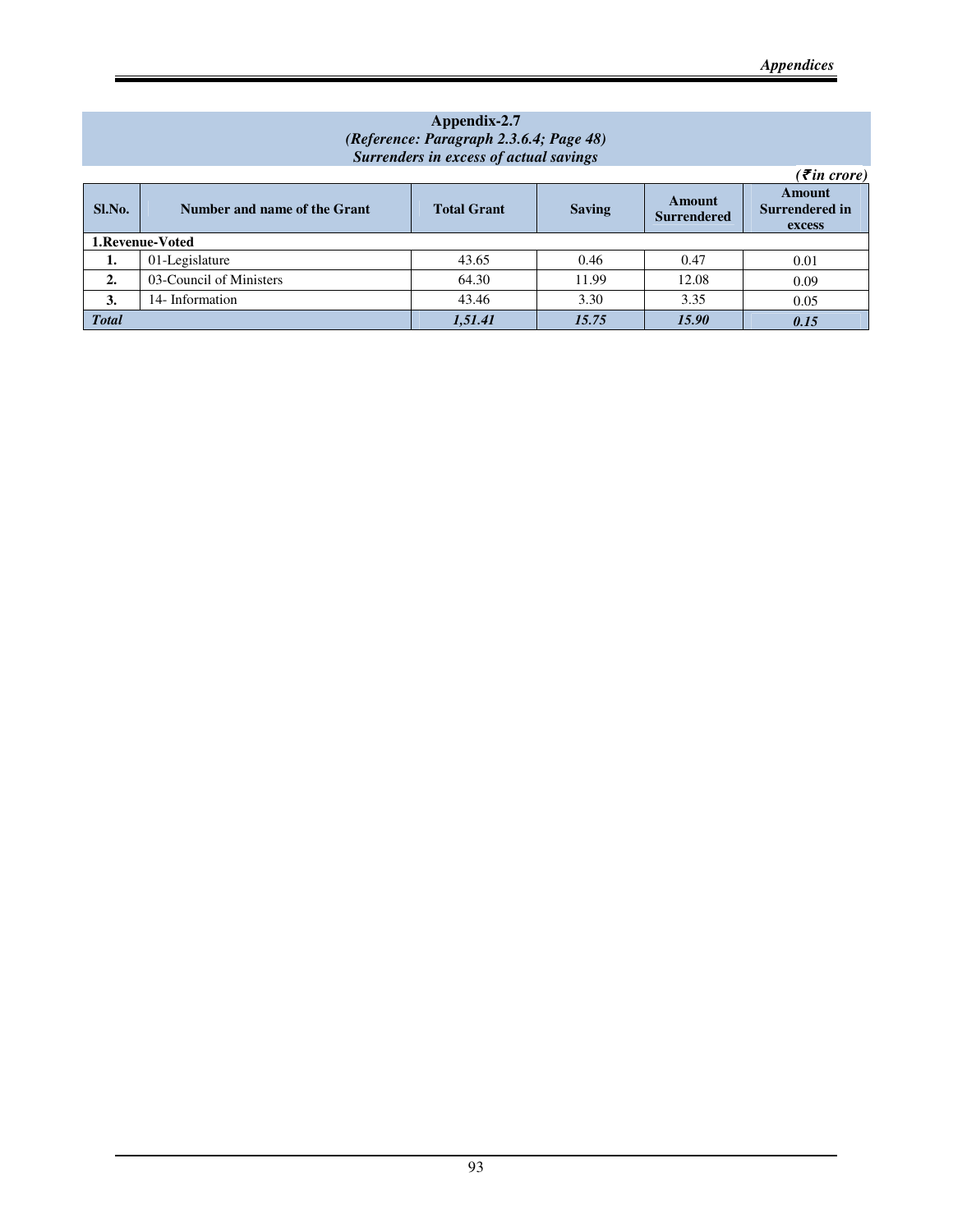### **Appendix-2.7**  *(Reference: Paragraph 2.3.6.4; Page 48) Surrenders in excess of actual savings*

|                  |                              |                    |               |                              | $( \bar{\mathbf{z}}$ in crore)            |  |
|------------------|------------------------------|--------------------|---------------|------------------------------|-------------------------------------------|--|
| Sl.No.           | Number and name of the Grant | <b>Total Grant</b> | <b>Saving</b> | Amount<br><b>Surrendered</b> | Amount<br><b>Surrendered in</b><br>excess |  |
| 1. Revenue-Voted |                              |                    |               |                              |                                           |  |
| ı.               | 01-Legislature               | 43.65              | 0.46          | 0.47                         | 0.01                                      |  |
| $\overline{2}$   | 03-Council of Ministers      | 64.30              | 11.99         | 12.08                        | 0.09                                      |  |
| 3.               | 14- Information              | 43.46              | 3.30          | 3.35                         | 0.05                                      |  |
| <b>Total</b>     |                              | 1,51.41            | 15.75         | 15.90                        | 0.15                                      |  |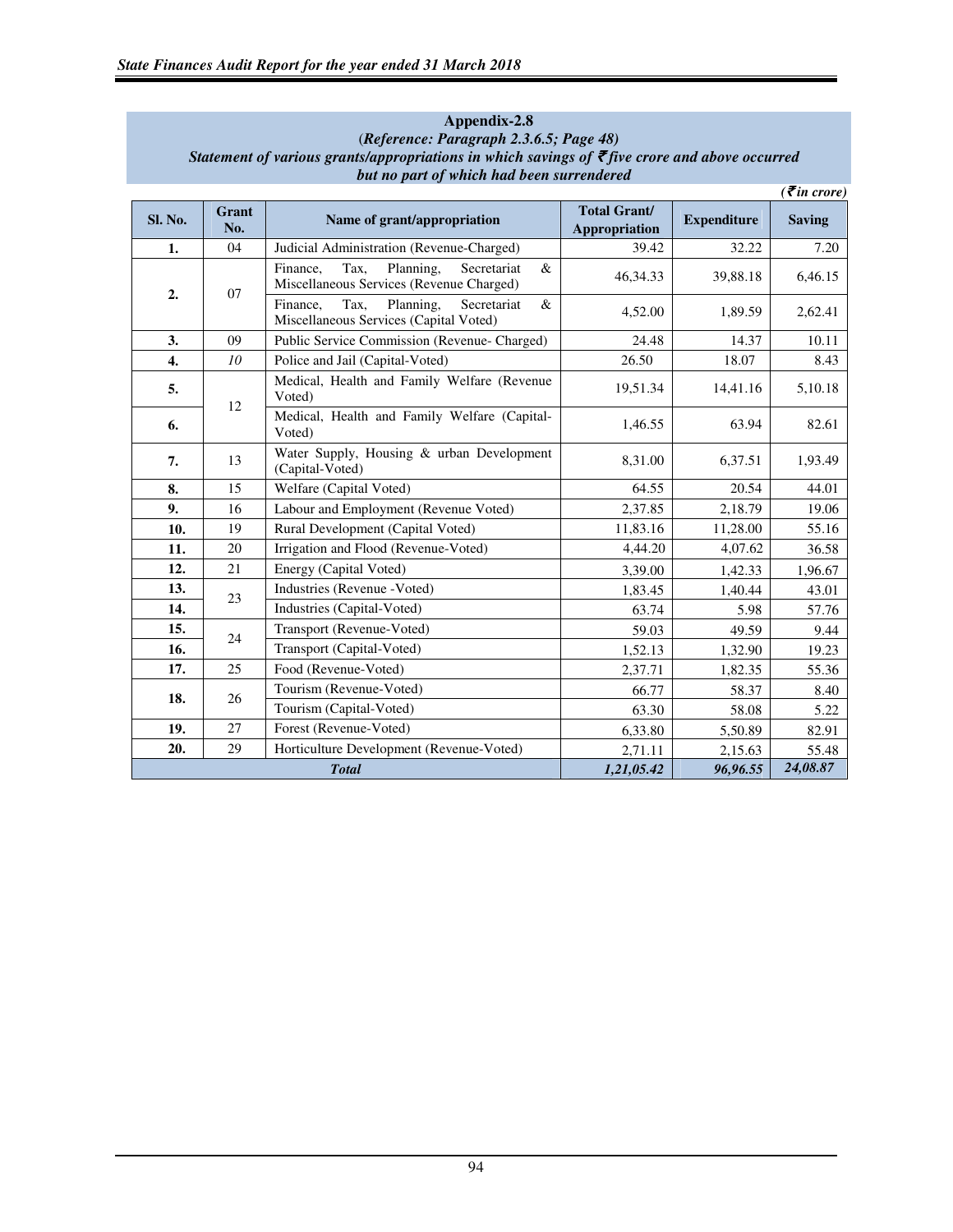### **Appendix-2.8**  (*Reference: Paragraph 2.3.6.5; Page 48) Statement of various grants/appropriations in which savings of ₹ five crore and above occurred but no part of which had been surrendered*

|                |                 |                                                                                               |                                             |                    | $( \bar{\mathbf{z}}$ in crore) |
|----------------|-----------------|-----------------------------------------------------------------------------------------------|---------------------------------------------|--------------------|--------------------------------|
| <b>Sl. No.</b> | Grant<br>No.    | Name of grant/appropriation                                                                   | <b>Total Grant/</b><br><b>Appropriation</b> | <b>Expenditure</b> | <b>Saving</b>                  |
| 1.             | 04              | Judicial Administration (Revenue-Charged)                                                     | 39.42                                       | 32.22              | 7.20                           |
|                | 07              | Planning,<br>Tax,<br>Secretariat<br>Finance.<br>&<br>Miscellaneous Services (Revenue Charged) | 46,34.33                                    | 39,88.18           | 6,46.15                        |
| 2.             |                 | Finance,<br>Planning,<br>Secretariat<br>&<br>Tax,<br>Miscellaneous Services (Capital Voted)   | 4,52.00                                     | 1,89.59            | 2,62.41                        |
| 3.             | 09              | Public Service Commission (Revenue- Charged)                                                  | 24.48                                       | 14.37              | 10.11                          |
| 4.             | 10 <sup>2</sup> | Police and Jail (Capital-Voted)                                                               | 26.50                                       | 18.07              | 8.43                           |
| 5.             | 12              | Medical, Health and Family Welfare (Revenue<br>Voted)                                         | 19,51.34                                    | 14,41.16           | 5,10.18                        |
| 6.             |                 | Medical, Health and Family Welfare (Capital-<br>Voted)                                        | 1,46.55                                     | 63.94              | 82.61                          |
| 7.             | 13              | Water Supply, Housing & urban Development<br>(Capital-Voted)                                  | 8,31.00                                     | 6,37.51            | 1,93.49                        |
| 8.             | 15              | Welfare (Capital Voted)                                                                       | 64.55                                       | 20.54              | 44.01                          |
| 9.             | 16              | Labour and Employment (Revenue Voted)                                                         | 2,37.85                                     | 2,18.79            | 19.06                          |
| 10.            | 19              | Rural Development (Capital Voted)                                                             | 11,83.16                                    | 11,28.00           | 55.16                          |
| 11.            | 20              | Irrigation and Flood (Revenue-Voted)                                                          | 4,44.20                                     | 4,07.62            | 36.58                          |
| 12.            | 21              | Energy (Capital Voted)                                                                        | 3,39.00                                     | 1,42.33            | 1,96.67                        |
| 13.            | 23              | Industries (Revenue - Voted)                                                                  | 1,83.45                                     | 1,40.44            | 43.01                          |
| 14.            |                 | Industries (Capital-Voted)                                                                    | 63.74                                       | 5.98               | 57.76                          |
| 15.            | 24              | Transport (Revenue-Voted)                                                                     | 59.03                                       | 49.59              | 9.44                           |
| 16.            |                 | Transport (Capital-Voted)                                                                     | 1,52.13                                     | 1,32.90            | 19.23                          |
| 17.            | 25              | Food (Revenue-Voted)                                                                          | 2,37.71                                     | 1,82.35            | 55.36                          |
| 18.            | 26              | Tourism (Revenue-Voted)                                                                       | 66.77                                       | 58.37              | 8.40                           |
|                |                 | Tourism (Capital-Voted)                                                                       | 63.30                                       | 58.08              | 5.22                           |
| 19.            | 27              | Forest (Revenue-Voted)                                                                        | 6,33.80                                     | 5,50.89            | 82.91                          |
| 20.            | 29              | Horticulture Development (Revenue-Voted)                                                      | 2,71.11                                     | 2,15.63            | 55.48                          |
|                |                 | <b>Total</b>                                                                                  | 1,21,05.42                                  | 96,96.55           | 24,08.87                       |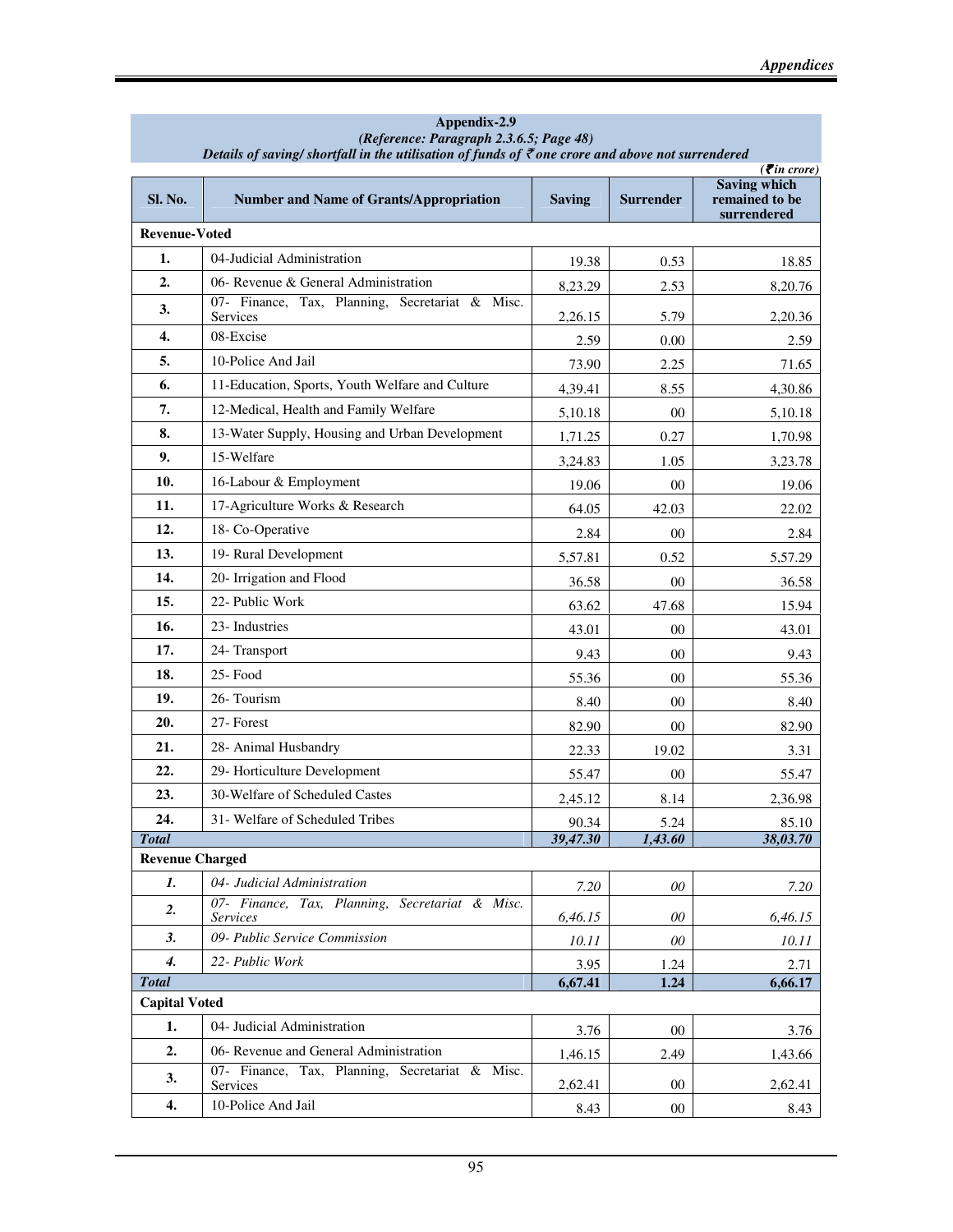| Appendix-2.9<br>(Reference: Paragraph 2.3.6.5; Page 48) |                                                                                                             |               |                  |                                                                                                   |
|---------------------------------------------------------|-------------------------------------------------------------------------------------------------------------|---------------|------------------|---------------------------------------------------------------------------------------------------|
|                                                         | Details of saving/shortfall in the utilisation of funds of $\bar{\tau}$ one crore and above not surrendered |               |                  |                                                                                                   |
| Sl. No.                                                 | <b>Number and Name of Grants/Appropriation</b>                                                              | <b>Saving</b> | <b>Surrender</b> | $\left( \bar{\boldsymbol{\xi}}$ in crore)<br><b>Saving which</b><br>remained to be<br>surrendered |
| <b>Revenue-Voted</b>                                    |                                                                                                             |               |                  |                                                                                                   |
| 1.                                                      | 04-Judicial Administration                                                                                  | 19.38         | 0.53             | 18.85                                                                                             |
| 2.                                                      | 06- Revenue & General Administration                                                                        | 8,23.29       | 2.53             | 8,20.76                                                                                           |
| 3.                                                      | 07- Finance, Tax, Planning, Secretariat & Misc.<br>Services                                                 | 2,26.15       | 5.79             | 2,20.36                                                                                           |
| 4.                                                      | 08-Excise                                                                                                   | 2.59          | 0.00             | 2.59                                                                                              |
| 5.                                                      | 10-Police And Jail                                                                                          | 73.90         | 2.25             | 71.65                                                                                             |
| 6.                                                      | 11-Education, Sports, Youth Welfare and Culture                                                             | 4,39.41       | 8.55             | 4,30.86                                                                                           |
| 7.                                                      | 12-Medical, Health and Family Welfare                                                                       | 5,10.18       | 00               | 5,10.18                                                                                           |
| 8.                                                      | 13-Water Supply, Housing and Urban Development                                                              | 1,71.25       | 0.27             | 1,70.98                                                                                           |
| 9.                                                      | 15-Welfare                                                                                                  | 3,24.83       | 1.05             | 3,23.78                                                                                           |
| 10.                                                     | 16-Labour & Employment                                                                                      | 19.06         | $00\,$           | 19.06                                                                                             |
| 11.                                                     | 17-Agriculture Works & Research                                                                             | 64.05         | 42.03            | 22.02                                                                                             |
| 12.                                                     | 18- Co-Operative                                                                                            | 2.84          | $00\,$           | 2.84                                                                                              |
| 13.                                                     | 19- Rural Development                                                                                       | 5,57.81       | 0.52             | 5,57.29                                                                                           |
| 14.                                                     | 20- Irrigation and Flood                                                                                    | 36.58         | $00\,$           | 36.58                                                                                             |
| 15.                                                     | 22- Public Work                                                                                             | 63.62         | 47.68            | 15.94                                                                                             |
| 16.                                                     | 23- Industries                                                                                              | 43.01         | $00\,$           | 43.01                                                                                             |
| 17.                                                     | 24- Transport                                                                                               | 9.43          | $00\,$           | 9.43                                                                                              |
| 18.                                                     | 25-Food                                                                                                     | 55.36         | 00               | 55.36                                                                                             |
| 19.                                                     | 26-Tourism                                                                                                  | 8.40          | 00               | 8.40                                                                                              |
| 20.                                                     | 27- Forest                                                                                                  | 82.90         | $00\,$           | 82.90                                                                                             |
| 21.                                                     | 28- Animal Husbandry                                                                                        | 22.33         | 19.02            | 3.31                                                                                              |
| 22.                                                     | 29- Horticulture Development                                                                                | 55.47         | $00\,$           | 55.47                                                                                             |
| 23.                                                     | 30-Welfare of Scheduled Castes                                                                              | 2,45.12       | 8.14             | 2,36.98                                                                                           |
| 24.                                                     | 31- Welfare of Scheduled Tribes                                                                             | 90.34         | 5.24             | 85.10                                                                                             |
| <b>Total</b>                                            |                                                                                                             | 39,47.30      | 1,43.60          | 38,03.70                                                                                          |
| <b>Revenue Charged</b>                                  |                                                                                                             |               |                  |                                                                                                   |
| 1.                                                      | 04- Judicial Administration                                                                                 | 7.20          | 00               | 7.20                                                                                              |
| 2.                                                      | 07- Finance, Tax, Planning, Secretariat & Misc.<br>Services                                                 | 6,46.15       | 00               | 6,46.15                                                                                           |
| 3.                                                      | 09- Public Service Commission                                                                               | 10.11         | 00               | 10.11                                                                                             |
| $\boldsymbol{4}$                                        | 22- Public Work                                                                                             | 3.95          | 1.24             | 2.71                                                                                              |
| <b>Total</b><br>6,67.41<br>1.24<br>6,66.17              |                                                                                                             |               |                  |                                                                                                   |
| <b>Capital Voted</b>                                    |                                                                                                             |               |                  |                                                                                                   |
| 1.                                                      | 04- Judicial Administration                                                                                 | 3.76          | 00               | 3.76                                                                                              |
| 2.                                                      | 06- Revenue and General Administration                                                                      | 1,46.15       | 2.49             | 1,43.66                                                                                           |
| 3.                                                      | 07- Finance, Tax, Planning, Secretariat & Misc.<br>Services                                                 | 2,62.41       | $00\,$           | 2,62.41                                                                                           |
| 4.                                                      | 10-Police And Jail                                                                                          | 8.43          | $00\,$           | 8.43                                                                                              |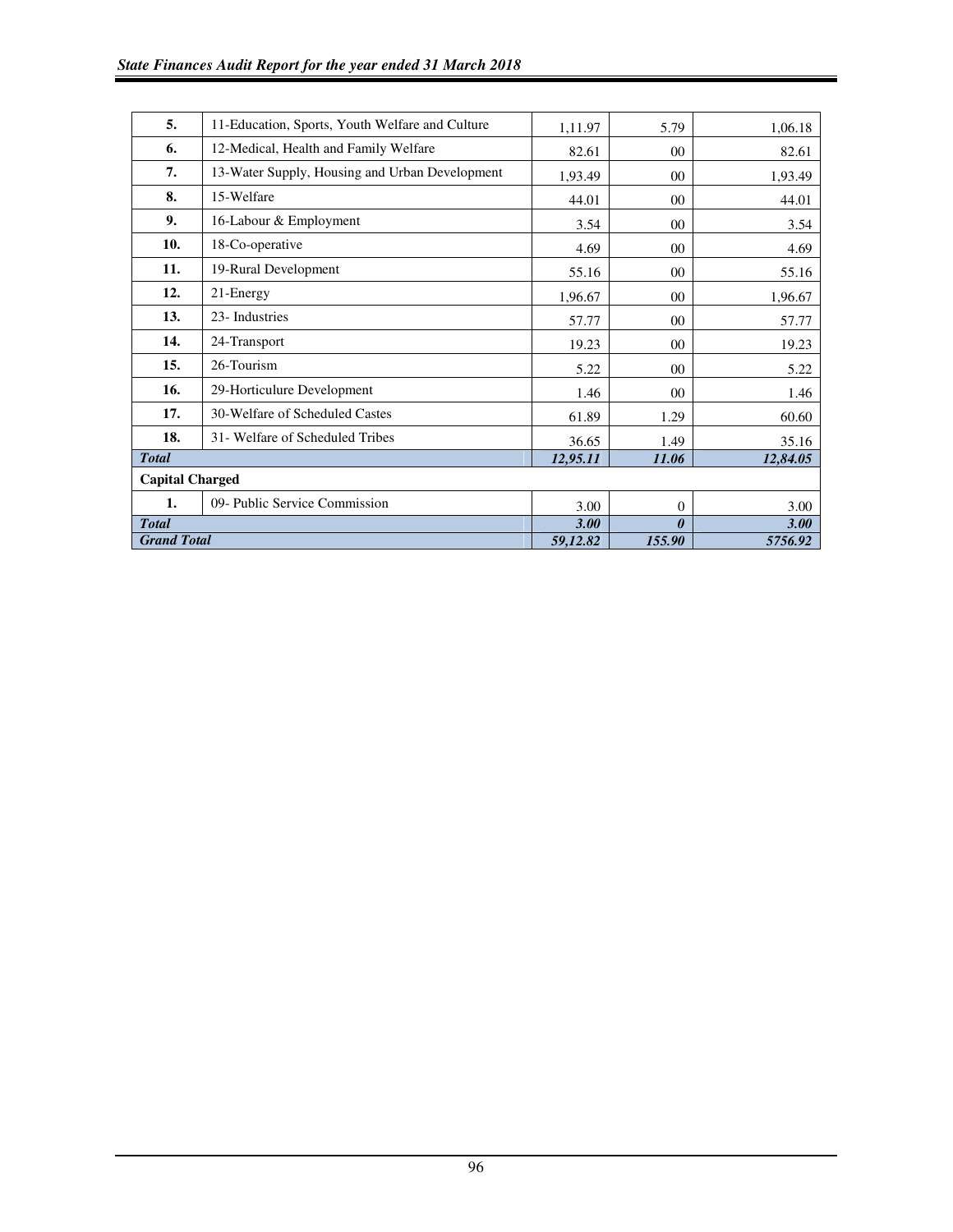| 5.                     | 11-Education, Sports, Youth Welfare and Culture | 1,11.97  | 5.79                  | 1,06.18     |
|------------------------|-------------------------------------------------|----------|-----------------------|-------------|
| 6.                     | 12-Medical, Health and Family Welfare           | 82.61    | 00 <sup>2</sup>       | 82.61       |
| 7.                     | 13-Water Supply, Housing and Urban Development  | 1,93.49  | $00\,$                | 1,93.49     |
| 8.                     | 15-Welfare                                      | 44.01    | 0 <sub>0</sub>        | 44.01       |
| 9.                     | 16-Labour & Employment                          | 3.54     | $00\,$                | 3.54        |
| 10.                    | 18-Co-operative                                 | 4.69     | $00\,$                | 4.69        |
| 11.                    | 19-Rural Development                            | 55.16    | $00\,$                | 55.16       |
| 12.                    | 21-Energy                                       | 1,96.67  | $00\,$                | 1,96.67     |
| 13.                    | 23- Industries                                  | 57.77    | 0 <sub>0</sub>        | 57.77       |
| 14.                    | 24-Transport                                    | 19.23    | 0 <sub>0</sub>        | 19.23       |
| 15.                    | 26-Tourism                                      | 5.22     | 00 <sup>2</sup>       | 5.22        |
| 16.                    | 29-Horticulure Development                      | 1.46     | 0 <sub>0</sub>        | 1.46        |
| 17.                    | 30-Welfare of Scheduled Castes                  | 61.89    | 1.29                  | 60.60       |
| 18.                    | 31- Welfare of Scheduled Tribes                 | 36.65    | 1.49                  | 35.16       |
| <b>Total</b>           |                                                 | 12,95.11 | 11.06                 | 12,84.05    |
| <b>Capital Charged</b> |                                                 |          |                       |             |
| 1.                     | 09- Public Service Commission                   | 3.00     | $\Omega$              | 3.00        |
| <b>Total</b>           |                                                 | 3.00     | $\boldsymbol{\theta}$ | <b>3.00</b> |
|                        | <b>Grand Total</b><br>155.90<br>59,12.82        |          |                       | 5756.92     |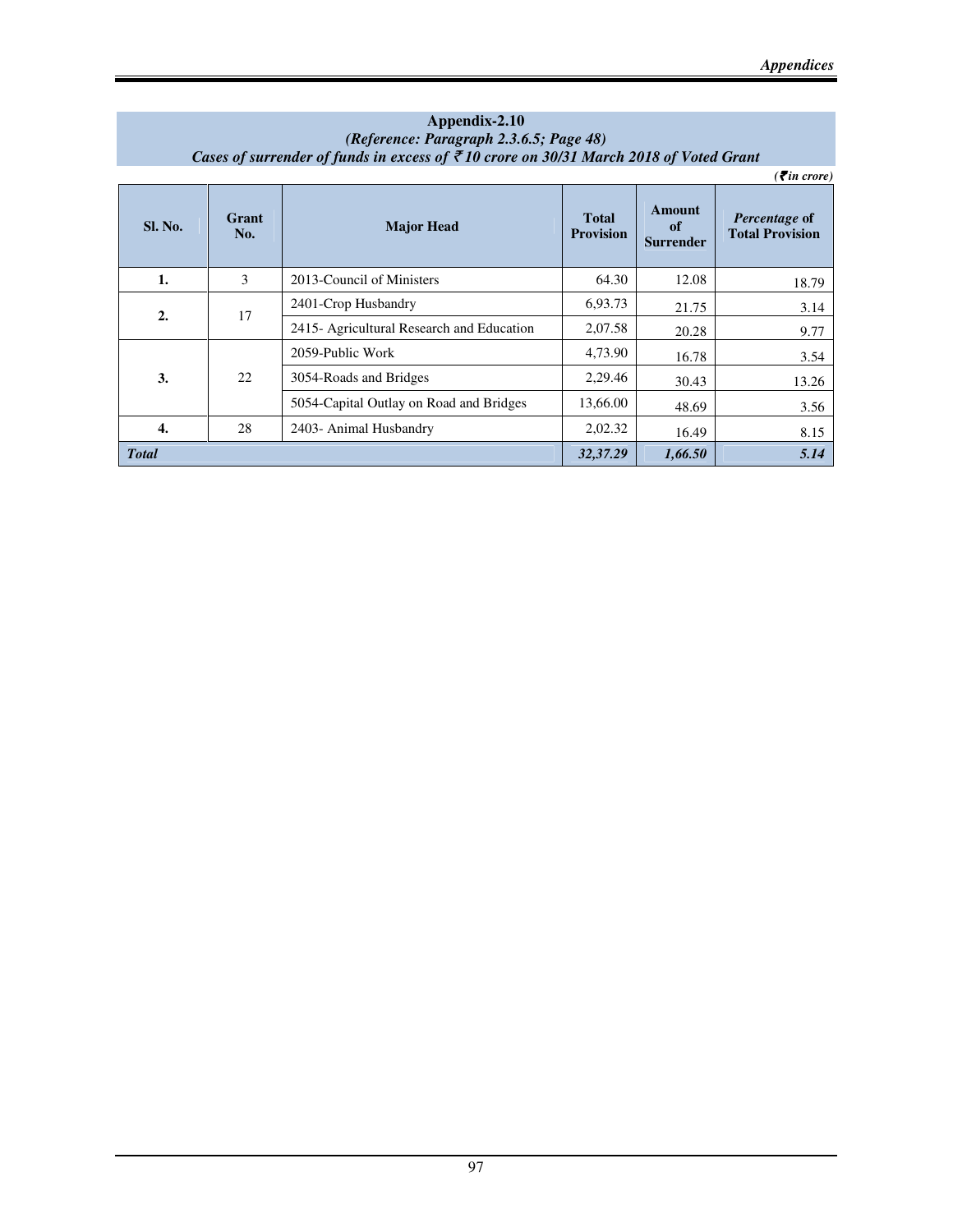| Appendix-2.10<br>(Reference: Paragraph 2.3.6.5; Page 48)<br>Cases of surrender of funds in excess of $\bar{\xi}$ 10 crore on 30/31 March 2018 of Voted Grant |              |                                           |                                  |                                         |                                                                                |
|--------------------------------------------------------------------------------------------------------------------------------------------------------------|--------------|-------------------------------------------|----------------------------------|-----------------------------------------|--------------------------------------------------------------------------------|
| <b>SI. No.</b>                                                                                                                                               | Grant<br>No. | <b>Major Head</b>                         | <b>Total</b><br><b>Provision</b> | <b>Amount</b><br>of<br><b>Surrender</b> | $\left( \mathbf{\bar{z}}$ in crore)<br>Percentage of<br><b>Total Provision</b> |
| 1.                                                                                                                                                           | 3            | 2013-Council of Ministers                 | 64.30                            | 12.08                                   | 18.79                                                                          |
| $\overline{2}$ .                                                                                                                                             | 17           | 2401-Crop Husbandry                       | 6,93.73                          | 21.75                                   | 3.14                                                                           |
|                                                                                                                                                              |              | 2415- Agricultural Research and Education | 2,07.58                          | 20.28                                   | 9.77                                                                           |
| 3.                                                                                                                                                           | 22           | 2059-Public Work                          | 4,73.90                          | 16.78                                   | 3.54                                                                           |
|                                                                                                                                                              |              | 3054-Roads and Bridges                    | 2,29.46                          | 30.43                                   | 13.26                                                                          |
|                                                                                                                                                              |              | 5054-Capital Outlay on Road and Bridges   | 13,66.00                         | 48.69                                   | 3.56                                                                           |
| 4.                                                                                                                                                           | 28           | 2403- Animal Husbandry                    | 2,02.32                          | 16.49                                   | 8.15                                                                           |
| <b>Total</b>                                                                                                                                                 |              |                                           | 32,37.29                         | 1,66.50                                 | 5.14                                                                           |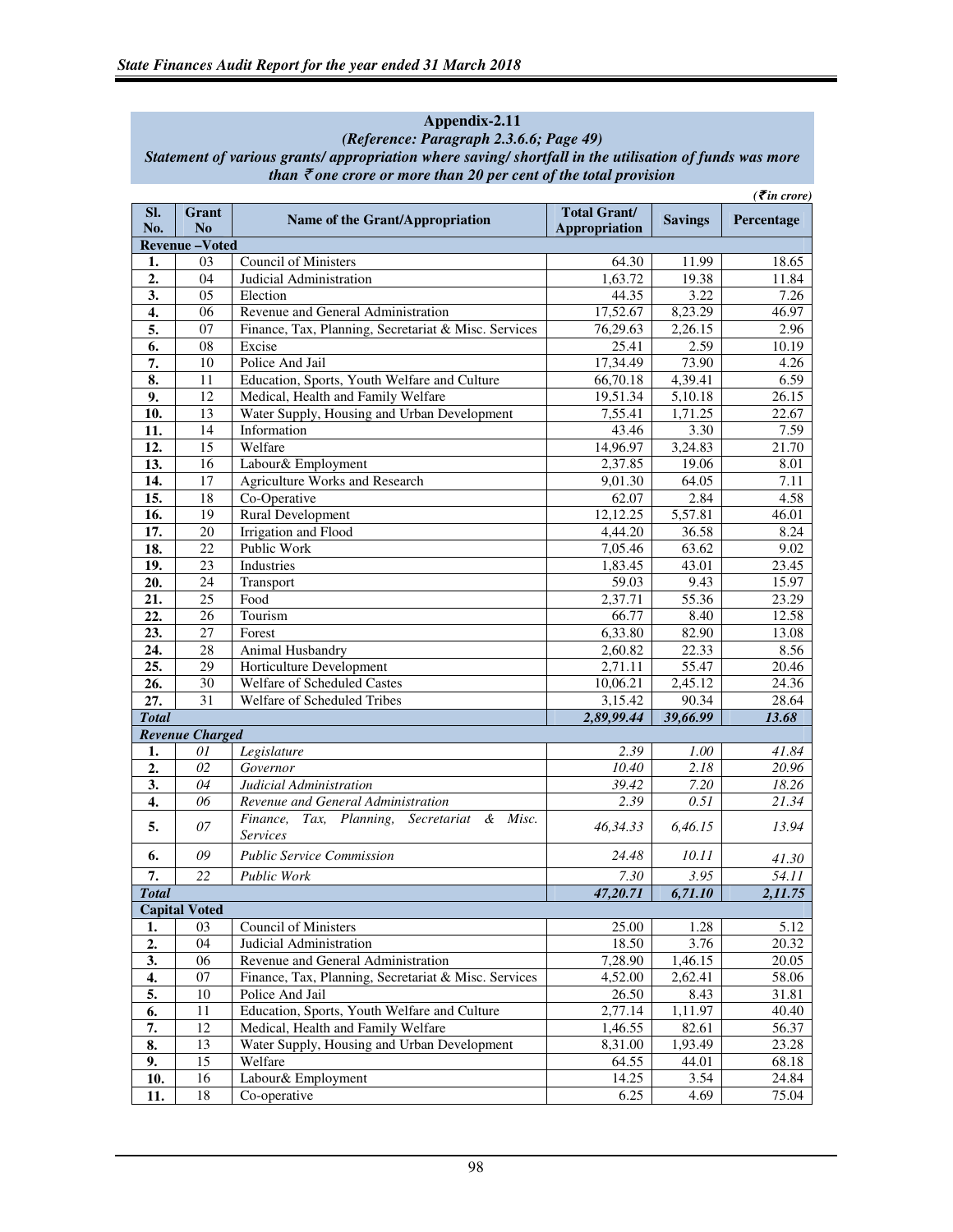|                    |                                        |                                                                   |                      |                   | $( \bar{\mathbf{z}}$ in crore) |
|--------------------|----------------------------------------|-------------------------------------------------------------------|----------------------|-------------------|--------------------------------|
| SI.                | Grant                                  | Name of the Grant/Appropriation                                   | <b>Total Grant/</b>  | <b>Savings</b>    | Percentage                     |
| No.                | N <sub>0</sub><br><b>Revenue-Voted</b> |                                                                   | <b>Appropriation</b> |                   |                                |
| 1.                 | 03                                     | Council of Ministers                                              | 64.30                | 11.99             | 18.65                          |
| 2.                 | 04                                     | Judicial Administration                                           | 1,63.72              | 19.38             | 11.84                          |
| 3.                 | 05                                     | Election                                                          | 44.35                | 3.22              | 7.26                           |
| $\boldsymbol{4}$ . | 06                                     | Revenue and General Administration                                | 17,52.67             | 8,23.29           | 46.97                          |
| 5.                 | 07                                     | Finance, Tax, Planning, Secretariat & Misc. Services              | 76,29.63             | 2,26.15           | 2.96                           |
| 6.                 | 08                                     | Excise                                                            | 25.41                | 2.59              | 10.19                          |
| 7.                 | 10                                     | Police And Jail                                                   | 17,34.49             | 73.90             | 4.26                           |
| 8.                 | 11                                     | Education, Sports, Youth Welfare and Culture                      | 66,70.18             | 4,39.41           | 6.59                           |
| 9.                 | 12                                     | Medical, Health and Family Welfare                                | 19,51.34             | 5,10.18           | 26.15                          |
| 10.                | 13                                     | Water Supply, Housing and Urban Development                       | 7,55.41              | 1,71.25           | 22.67                          |
| 11.                | 14                                     | Information                                                       | 43.46                | 3.30              | 7.59                           |
| 12.                | 15                                     | Welfare                                                           | 14,96.97             | 3,24.83           | 21.70                          |
| 13.                | 16                                     | Labour& Employment                                                | 2,37.85              | 19.06             | 8.01                           |
| 14.                | 17                                     | <b>Agriculture Works and Research</b>                             | 9,01.30              | 64.05             | 7.11                           |
| 15.                | 18                                     | Co-Operative                                                      | 62.07                | 2.84              | 4.58                           |
| 16.                | 19                                     | Rural Development                                                 | 12,12.25             | 5,57.81           | 46.01                          |
| 17.                | 20                                     | Irrigation and Flood                                              | 4.44.20              | 36.58             | 8.24                           |
| 18.                | 22                                     | Public Work                                                       | 7,05.46              | 63.62             | 9.02                           |
| 19.                | 23                                     | Industries                                                        | 1,83.45              | 43.01             | 23.45                          |
| 20.                | 24                                     | Transport                                                         | 59.03                | 9.43              | 15.97                          |
| 21.                | $\overline{25}$                        | Food                                                              | 2,37.71              | 55.36             | 23.29                          |
| 22.                | 26                                     | Tourism                                                           | 66.77                | 8.40              | 12.58                          |
| 23.                | 27                                     | Forest                                                            | 6,33.80              | 82.90             | 13.08                          |
| 24.                | 28                                     | Animal Husbandry                                                  | 2,60.82              | 22.33             | 8.56                           |
| 25.                | 29                                     | Horticulture Development                                          | 2,71.11              | 55.47             | 20.46                          |
| 26.                | 30                                     | Welfare of Scheduled Castes                                       | 10,06.21             | 2,45.12           | 24.36                          |
| 27.                | 31                                     | Welfare of Scheduled Tribes                                       | 3.15.42              | 90.34             | 28.64                          |
| <b>Total</b>       |                                        |                                                                   | 2,89,99.44           | 39,66.99          | 13.68                          |
|                    | <b>Revenue Charged</b>                 |                                                                   |                      |                   |                                |
| 1.                 | 01                                     | Legislature                                                       | 2.39                 | 1.00              | 41.84                          |
| 2.                 | 02                                     | Governor                                                          | 10.40                | 2.18              | 20.96                          |
| 3.                 | 04                                     | Judicial Administration                                           | 39.42                | 7.20              | 18.26                          |
| 4.                 | 06                                     | Revenue and General Administration                                | 2.39                 | $\overline{0.51}$ | 21.34                          |
| 5.                 | 07                                     | Finance,<br>Tax, Planning, Secretariat & Misc.<br><b>Services</b> | 46,34.33             | 6,46.15           | 13.94                          |
| 6.                 | 09                                     | <b>Public Service Commission</b>                                  | 24.48                | 10.11             | 41.30                          |
| 7.                 | 22                                     | Public Work                                                       | 7.30                 | 3.95              | 54.11                          |
| <b>Total</b>       |                                        |                                                                   | 47,20.71             | 6,71.10           | 2,11.75                        |
|                    | <b>Capital Voted</b>                   |                                                                   |                      |                   |                                |
| 1.                 | 03                                     | Council of Ministers                                              | 25.00                | 1.28              | 5.12                           |
| $\overline{2}$ .   | 04                                     | Judicial Administration                                           | 18.50                | 3.76              | 20.32                          |
| 3.                 | 06                                     | Revenue and General Administration                                | 7,28.90              | 1,46.15           | 20.05                          |
| 4.                 | 07                                     | Finance, Tax, Planning, Secretariat & Misc. Services              | 4,52.00              | 2,62.41           | 58.06                          |
| 5.                 | 10                                     | Police And Jail                                                   | 26.50                | 8.43              | 31.81                          |
| 6.                 | 11                                     | Education, Sports, Youth Welfare and Culture                      | 2,77.14              | 1,11.97           | 40.40                          |
| 7.                 | 12                                     | Medical, Health and Family Welfare                                | 1,46.55              | 82.61             | 56.37                          |
| 8.                 | 13                                     | Water Supply, Housing and Urban Development                       | 8,31.00              | 1,93.49           | 23.28                          |
| 9.                 | 15                                     | Welfare                                                           | 64.55                | 44.01             | 68.18                          |
| 10.                | 16                                     | Labour& Employment                                                | 14.25                | 3.54              | 24.84                          |
| 11.                | 18                                     | Co-operative                                                      | 6.25                 | 4.69              | 75.04                          |

### *(Reference: Paragraph 2.3.6.6; Page 49) Statement of various grants/ appropriation where saving/ shortfall in the utilisation of funds was more than*  $\bar{\tau}$  *one crore or more than 20 per cent of the total provision*

**Appendix-2.11**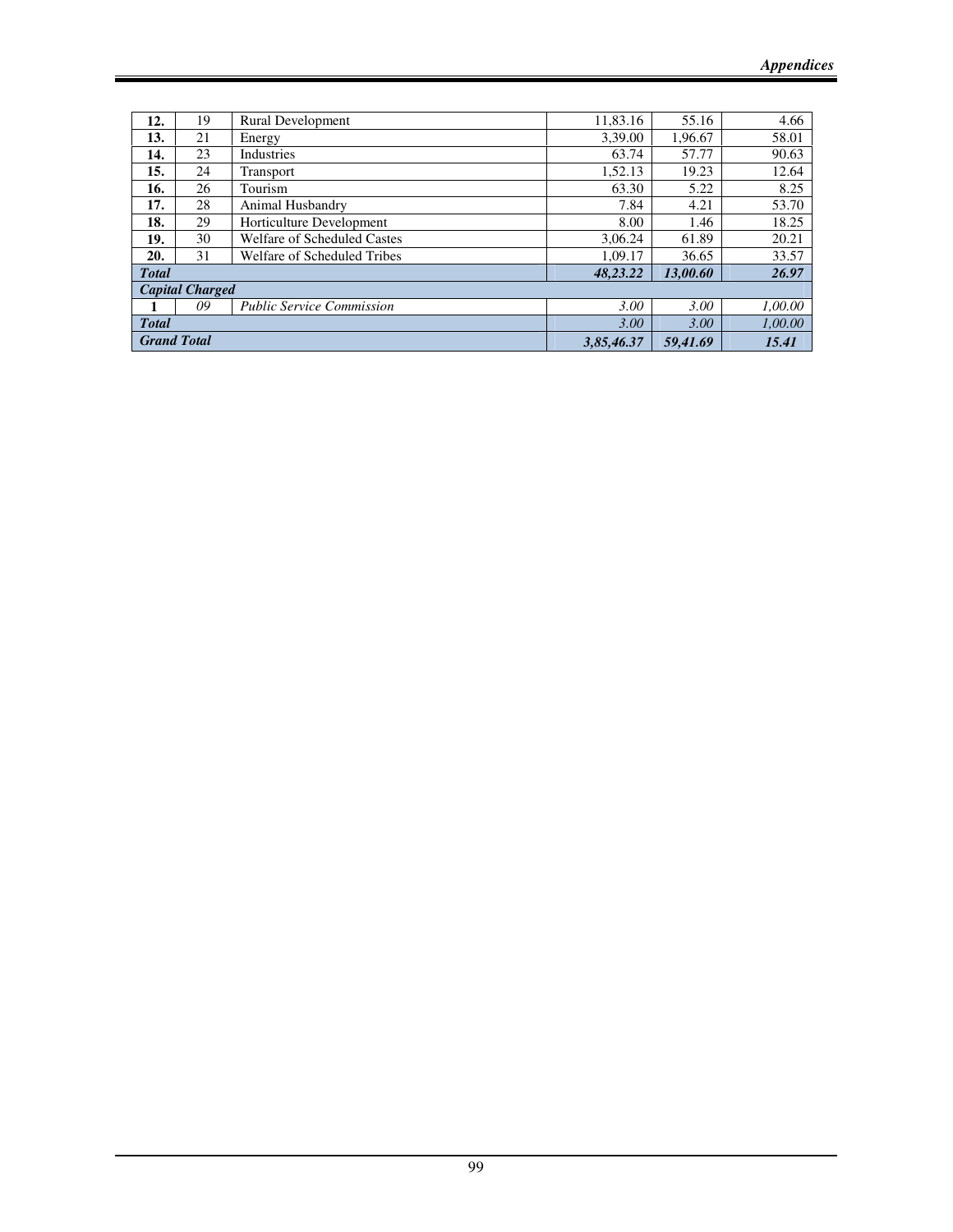| 12.                    | 19                 | <b>Rural Development</b>           | 11,83.16   | 55.16    | 4.66    |
|------------------------|--------------------|------------------------------------|------------|----------|---------|
| 13.                    | 21                 | Energy                             | 3,39.00    | 1,96.67  | 58.01   |
| 14.                    | 23                 | Industries                         | 63.74      | 57.77    | 90.63   |
| 15.                    | 24                 | Transport                          | 1,52.13    | 19.23    | 12.64   |
| 16.                    | 26                 | Tourism                            | 63.30      | 5.22     | 8.25    |
| 17.                    | 28                 | Animal Husbandry                   | 7.84       | 4.21     | 53.70   |
| 18.                    | 29                 | Horticulture Development           | 8.00       | 1.46     | 18.25   |
| 19.                    | 30                 | <b>Welfare of Scheduled Castes</b> | 3.06.24    | 61.89    | 20.21   |
| 20.                    | 31                 | Welfare of Scheduled Tribes        | 1.09.17    | 36.65    | 33.57   |
| <b>Total</b>           |                    |                                    | 48,23.22   | 13,00.60 | 26.97   |
| <b>Capital Charged</b> |                    |                                    |            |          |         |
|                        | 09                 | <b>Public Service Commission</b>   | 3.00       | 3.00     | 1,00.00 |
| <b>Total</b>           |                    |                                    | 3.00       | 3.00     | 1,00.00 |
|                        | <b>Grand Total</b> |                                    | 3.85,46.37 | 59.41.69 | 15.41   |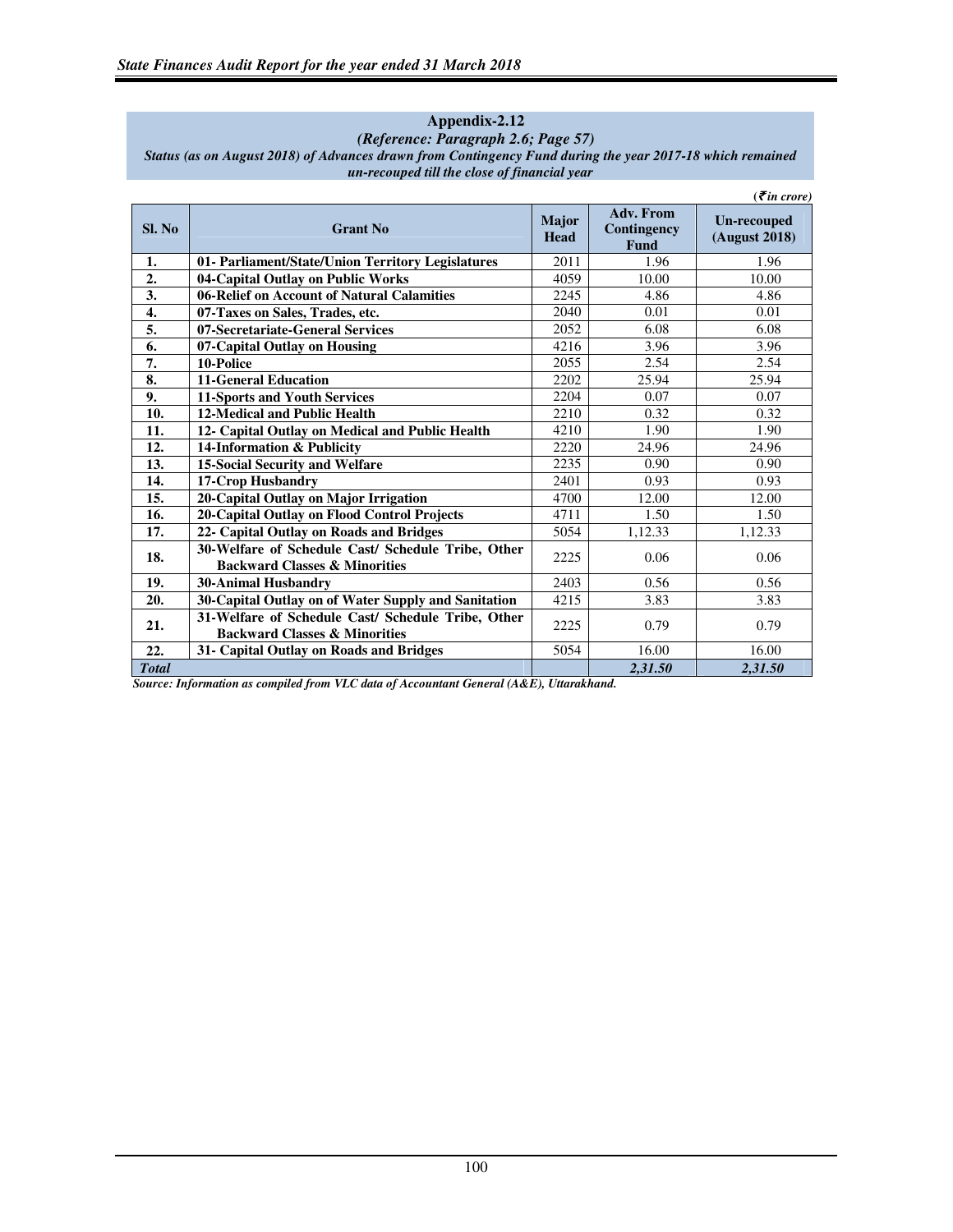### **Appendix-2.12**

| (Reference: Paragraph 2.6; Page 57)                                                                       |
|-----------------------------------------------------------------------------------------------------------|
| Status (as on August 2018) of Advances drawn from Contingency Fund during the year 2017-18 which remained |
| un-recouped till the close of financial year                                                              |

|              |                                                                                                |                      |                                                | $\left( \bar{\tau}$ in crore)       |
|--------------|------------------------------------------------------------------------------------------------|----------------------|------------------------------------------------|-------------------------------------|
| Sl. No       | <b>Grant No</b>                                                                                | Major<br><b>Head</b> | <b>Adv. From</b><br>Contingency<br><b>Fund</b> | <b>Un-recouped</b><br>(August 2018) |
| 1.           | 01- Parliament/State/Union Territory Legislatures                                              | 2011                 | 1.96                                           | 1.96                                |
| 2.           | 04-Capital Outlay on Public Works                                                              | 4059                 | 10.00                                          | 10.00                               |
| 3.           | 06-Relief on Account of Natural Calamities                                                     | 2245                 | 4.86                                           | 4.86                                |
| 4.           | 07-Taxes on Sales, Trades, etc.                                                                | 2040                 | 0.01                                           | 0.01                                |
| 5.           | 07-Secretariate-General Services                                                               | 2052                 | 6.08                                           | 6.08                                |
| 6.           | 07-Capital Outlay on Housing                                                                   | 4216                 | 3.96                                           | 3.96                                |
| 7.           | 10-Police                                                                                      | 2055                 | 2.54                                           | 2.54                                |
| 8.           | <b>11-General Education</b>                                                                    | 2202                 | 25.94                                          | 25.94                               |
| 9.           | 11-Sports and Youth Services                                                                   | 2204                 | 0.07                                           | 0.07                                |
| 10.          | <b>12-Medical and Public Health</b>                                                            | 2210                 | 0.32                                           | 0.32                                |
| 11.          | 12- Capital Outlay on Medical and Public Health                                                | 4210                 | 1.90                                           | 1.90                                |
| 12.          | 14-Information & Publicity                                                                     | 2220                 | 24.96                                          | 24.96                               |
| 13.          | <b>15-Social Security and Welfare</b>                                                          | 2235                 | 0.90                                           | 0.90                                |
| 14.          | 17-Crop Husbandry                                                                              | 2401                 | 0.93                                           | 0.93                                |
| 15.          | 20-Capital Outlay on Major Irrigation                                                          | 4700                 | 12.00                                          | 12.00                               |
| 16.          | 20-Capital Outlay on Flood Control Projects                                                    | 4711                 | 1.50                                           | 1.50                                |
| 17.          | 22- Capital Outlay on Roads and Bridges                                                        | 5054                 | 1,12.33                                        | 1,12.33                             |
| 18.          | 30-Welfare of Schedule Cast/ Schedule Tribe, Other<br><b>Backward Classes &amp; Minorities</b> | 2225                 | 0.06                                           | 0.06                                |
| 19.          | <b>30-Animal Husbandry</b>                                                                     | 2403                 | 0.56                                           | 0.56                                |
| 20.          | 30-Capital Outlay on of Water Supply and Sanitation                                            | 4215                 | 3.83                                           | 3.83                                |
| 21.          | 31-Welfare of Schedule Cast/ Schedule Tribe, Other<br><b>Backward Classes &amp; Minorities</b> | 2225                 | 0.79                                           | 0.79                                |
| 22.          | 31- Capital Outlay on Roads and Bridges                                                        | 5054                 | 16.00                                          | 16.00                               |
| <b>Total</b> |                                                                                                |                      | 2,31.50                                        | 2,31.50                             |

*Source: Information as compiled from VLC data of Accountant General (A&E), Uttarakhand.*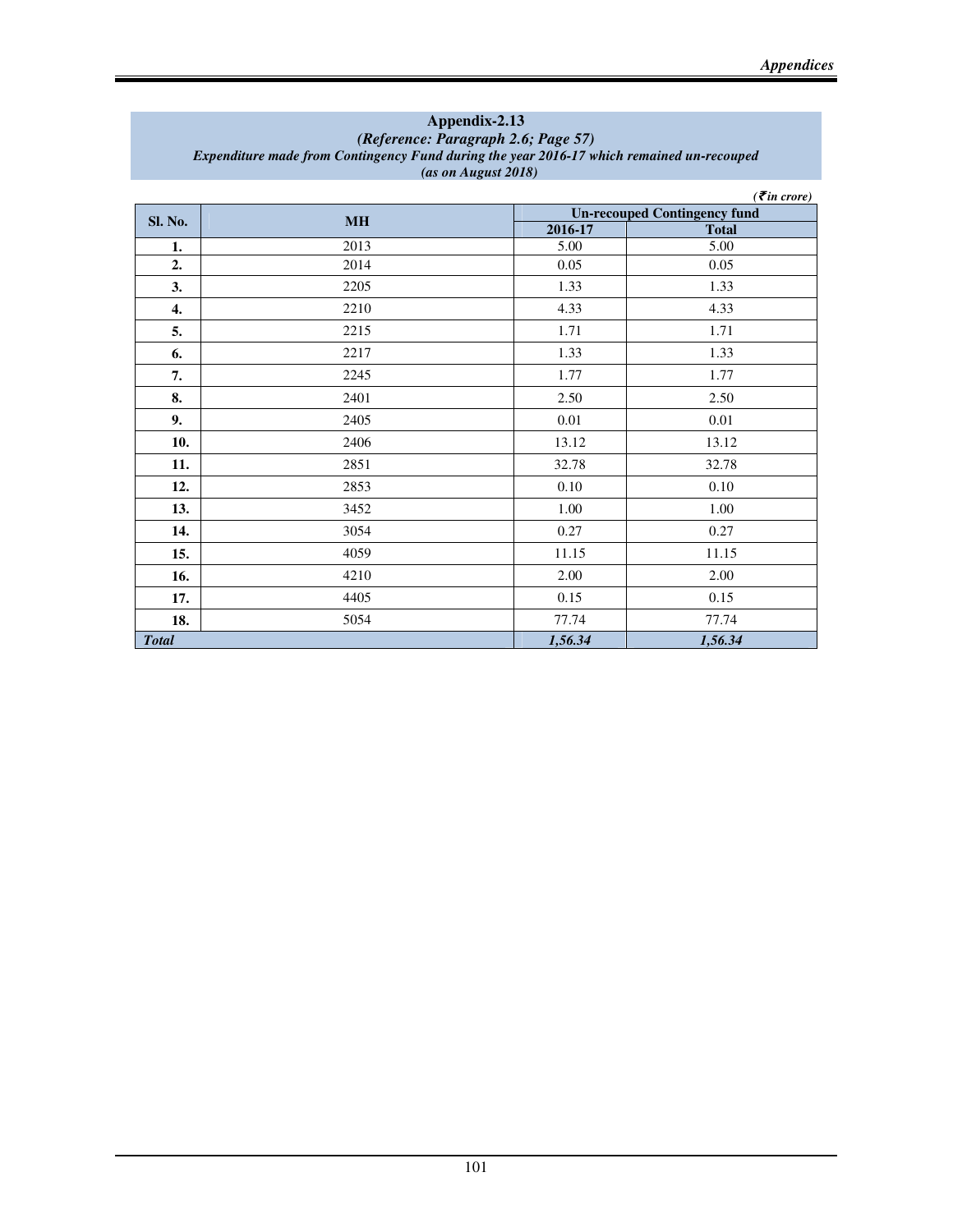### **Appendix-2.13**

#### *(Reference: Paragraph 2.6; Page 57) Expenditure made from Contingency Fund during the year 2016-17 which remained un-recouped (as on August 2018)*

|                |               |         | $(5\pi)$ crore)                     |  |  |
|----------------|---------------|---------|-------------------------------------|--|--|
| <b>Sl. No.</b> | $\mathbf{MH}$ |         | <b>Un-recouped Contingency fund</b> |  |  |
|                |               | 2016-17 | <b>Total</b>                        |  |  |
| 1.             | 2013          | 5.00    | $\overline{5.00}$                   |  |  |
| 2.             | 2014          | 0.05    | 0.05                                |  |  |
| 3.             | 2205          | 1.33    | 1.33                                |  |  |
| 4.             | 2210          | 4.33    | 4.33                                |  |  |
| 5.             | 2215          | 1.71    | 1.71                                |  |  |
| 6.             | 2217          | 1.33    | 1.33                                |  |  |
| 7.             | 2245          | 1.77    | 1.77                                |  |  |
| 8.             | 2401          | 2.50    | 2.50                                |  |  |
| 9.             | 2405          | 0.01    | 0.01                                |  |  |
| 10.            | 2406          | 13.12   | 13.12                               |  |  |
| 11.            | 2851          | 32.78   | 32.78                               |  |  |
| 12.            | 2853          | 0.10    | 0.10                                |  |  |
| 13.            | 3452          | 1.00    | 1.00                                |  |  |
| 14.            | 3054          | 0.27    | 0.27                                |  |  |
| 15.            | 4059          | 11.15   | 11.15                               |  |  |
| 16.            | 4210          | 2.00    | 2.00                                |  |  |
| 17.            | 4405          | 0.15    | 0.15                                |  |  |
| 18.            | 5054          | 77.74   | 77.74                               |  |  |
| <b>Total</b>   |               | 1,56.34 | 1,56.34                             |  |  |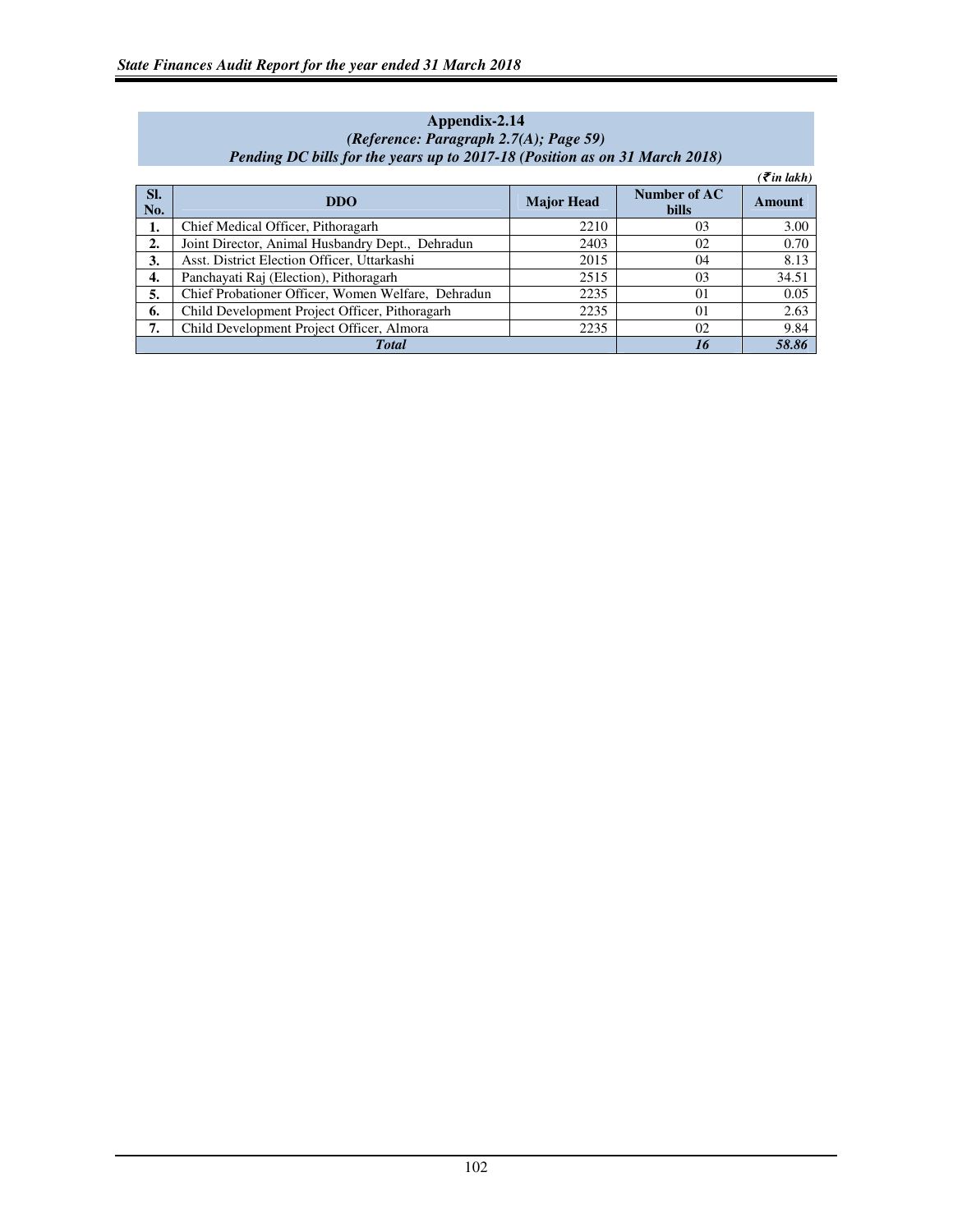| Pending DC bills for the years up to 2017-18 (Position as on 31 March 2018) |                                                    |                   |                              |                              |
|-----------------------------------------------------------------------------|----------------------------------------------------|-------------------|------------------------------|------------------------------|
|                                                                             |                                                    |                   |                              | $\left( \bar{\tau}$ in lakh) |
| SI.<br>No.                                                                  | <b>DDO</b>                                         | <b>Major Head</b> | Number of AC<br><b>bills</b> | Amount                       |
| 1.                                                                          | Chief Medical Officer, Pithoragarh                 | 2210              | 03                           | 3.00                         |
| 2.                                                                          | Joint Director, Animal Husbandry Dept., Dehradun   | 2403              | 02                           | 0.70                         |
| 3.                                                                          | Asst. District Election Officer, Uttarkashi        | 2015              | 04                           | 8.13                         |
| 4.                                                                          | Panchayati Raj (Election), Pithoragarh             | 2515              | 03                           | 34.51                        |
| 5.                                                                          | Chief Probationer Officer, Women Welfare, Dehradun | 2235              | 01                           | 0.05                         |
| 6.                                                                          | Child Development Project Officer, Pithoragarh     | 2235              | 01                           | 2.63                         |
| 7.                                                                          | Child Development Project Officer, Almora          | 2235              | 02                           | 9.84                         |
|                                                                             | <b>Total</b>                                       | 16                | 58.86                        |                              |

# **Appendix-2.14**  *(Reference: Paragraph 2.7(A); Page 59)*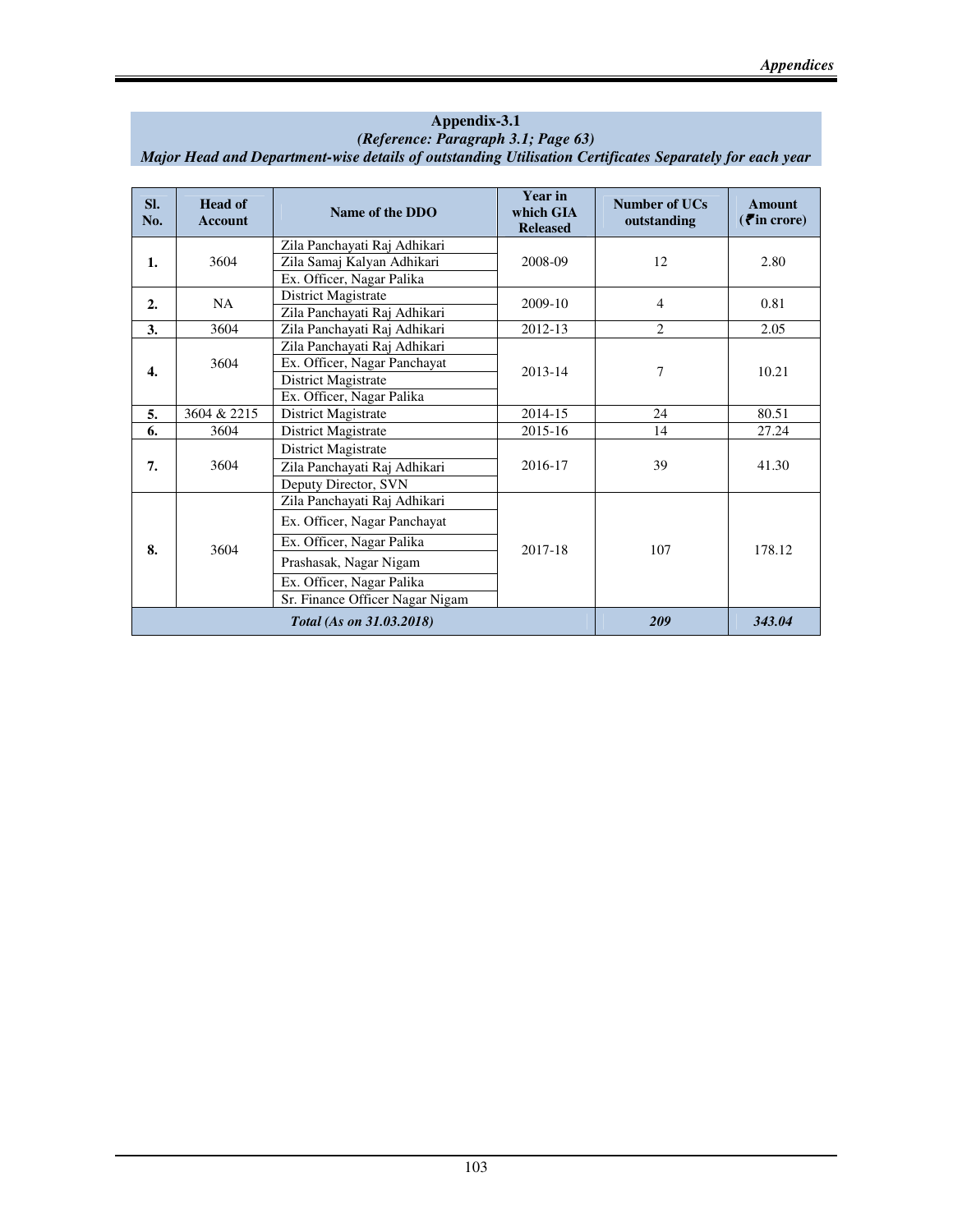## **Appendix-3.1**

### *(Reference: Paragraph 3.1; Page 63)*

### *Major Head and Department-wise details of outstanding Utilisation Certificates Separately for each year*

| SI.<br>No. | <b>Head of</b><br><b>Account</b> | Name of the DDO                 | <b>Year in</b><br>which GIA<br><b>Released</b> | Number of UCs<br>outstanding | <b>Amount</b><br>$($ <b>₹</b> in crore) |
|------------|----------------------------------|---------------------------------|------------------------------------------------|------------------------------|-----------------------------------------|
|            |                                  | Zila Panchayati Raj Adhikari    |                                                |                              |                                         |
| 1.         | 3604                             | Zila Samaj Kalyan Adhikari      | 2008-09                                        | 12                           | 2.80                                    |
|            |                                  | Ex. Officer, Nagar Palika       |                                                |                              |                                         |
| 2.         | NA.                              | District Magistrate             | 2009-10                                        | $\overline{4}$               | 0.81                                    |
|            |                                  | Zila Panchayati Raj Adhikari    |                                                |                              |                                         |
| 3.         | 3604                             | Zila Panchayati Raj Adhikari    | 2012-13                                        | 2                            | 2.05                                    |
|            |                                  | Zila Panchayati Raj Adhikari    |                                                | 7                            | 10.21                                   |
| 4.         | 3604                             | Ex. Officer, Nagar Panchayat    | 2013-14                                        |                              |                                         |
|            |                                  | District Magistrate             |                                                |                              |                                         |
|            |                                  | Ex. Officer, Nagar Palika       |                                                |                              |                                         |
| 5.         | 3604 & 2215                      | District Magistrate             | 2014-15                                        | 24                           | 80.51                                   |
| 6.         | 3604                             | District Magistrate             | 2015-16                                        | 14                           | 27.24                                   |
|            | 3604                             | District Magistrate             |                                                | 39                           | 41.30                                   |
| 7.         |                                  | Zila Panchayati Raj Adhikari    | 2016-17                                        |                              |                                         |
|            |                                  | Deputy Director, SVN            |                                                |                              |                                         |
|            | 3604                             | Zila Panchayati Raj Adhikari    |                                                | 107                          | 178.12                                  |
|            |                                  | Ex. Officer, Nagar Panchayat    |                                                |                              |                                         |
| 8.         |                                  | Ex. Officer, Nagar Palika       | 2017-18                                        |                              |                                         |
|            |                                  | Prashasak, Nagar Nigam          |                                                |                              |                                         |
|            |                                  | Ex. Officer, Nagar Palika       |                                                |                              |                                         |
|            |                                  | Sr. Finance Officer Nagar Nigam |                                                |                              |                                         |
|            |                                  | Total (As on 31.03.2018)        | 209                                            | 343.04                       |                                         |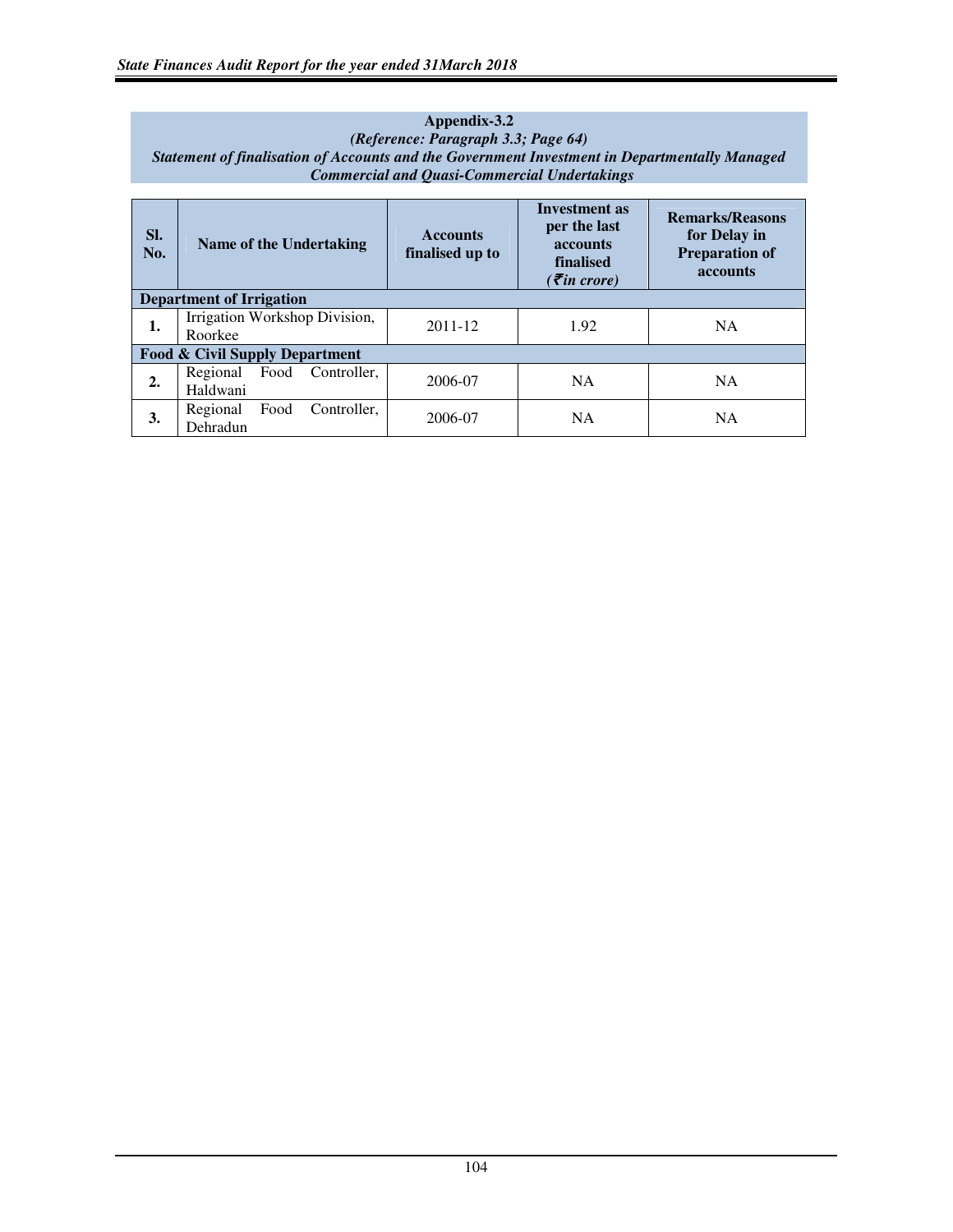### **Appendix-3.2**  *(Reference: Paragraph 3.3; Page 64) Statement of finalisation of Accounts and the Government Investment in Departmentally Managed Commercial and Quasi-Commercial Undertakings*

| SI.<br>No.                                | Name of the Undertaking                     | <b>Accounts</b><br>finalised up to | <b>Investment</b> as<br>per the last<br><b>accounts</b><br>finalised<br>$( \bar{z}$ in crore) | <b>Remarks/Reasons</b><br>for Delay in<br><b>Preparation of</b><br>accounts |
|-------------------------------------------|---------------------------------------------|------------------------------------|-----------------------------------------------------------------------------------------------|-----------------------------------------------------------------------------|
| <b>Department of Irrigation</b>           |                                             |                                    |                                                                                               |                                                                             |
| 1.                                        | Irrigation Workshop Division,<br>Roorkee    | 2011-12                            | 1.92                                                                                          | <b>NA</b>                                                                   |
| <b>Food &amp; Civil Supply Department</b> |                                             |                                    |                                                                                               |                                                                             |
| 2.                                        | Regional<br>Food<br>Controller.<br>Haldwani | 2006-07                            | <b>NA</b>                                                                                     | <b>NA</b>                                                                   |
| 3.                                        | Regional<br>Controller.<br>Food<br>Dehradun | 2006-07                            | <b>NA</b>                                                                                     | <b>NA</b>                                                                   |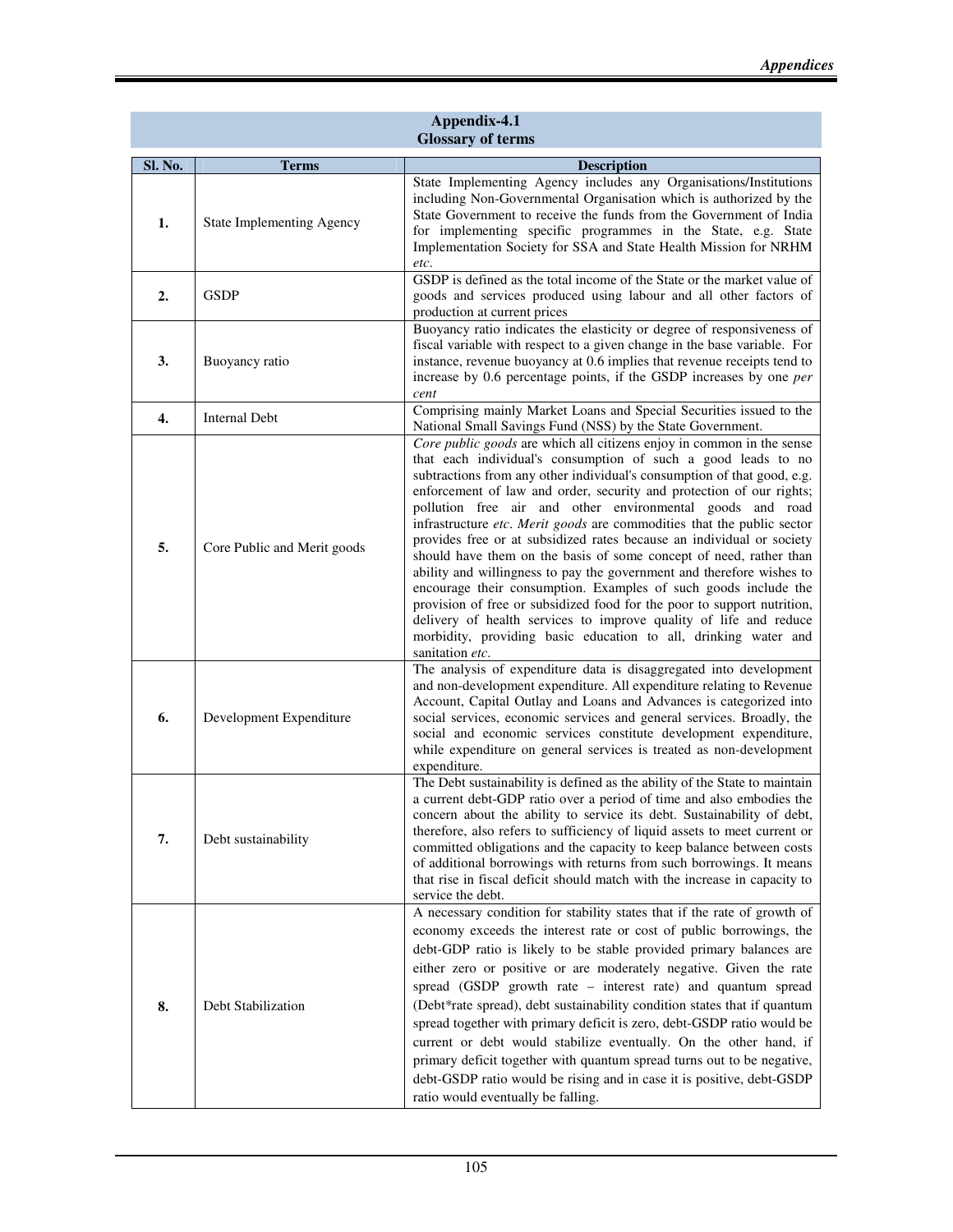| Appendix-4.1<br><b>Glossary of terms</b> |                                  |                                                                                                                                                                                                                                                                                                                                                                                                                                                                                                                                                                                                                                                                                                                                                                                                                                                                                                                                                                   |  |
|------------------------------------------|----------------------------------|-------------------------------------------------------------------------------------------------------------------------------------------------------------------------------------------------------------------------------------------------------------------------------------------------------------------------------------------------------------------------------------------------------------------------------------------------------------------------------------------------------------------------------------------------------------------------------------------------------------------------------------------------------------------------------------------------------------------------------------------------------------------------------------------------------------------------------------------------------------------------------------------------------------------------------------------------------------------|--|
| Sl. No.                                  | <b>Terms</b>                     | <b>Description</b>                                                                                                                                                                                                                                                                                                                                                                                                                                                                                                                                                                                                                                                                                                                                                                                                                                                                                                                                                |  |
| 1.                                       | <b>State Implementing Agency</b> | State Implementing Agency includes any Organisations/Institutions<br>including Non-Governmental Organisation which is authorized by the<br>State Government to receive the funds from the Government of India<br>for implementing specific programmes in the State, e.g. State<br>Implementation Society for SSA and State Health Mission for NRHM<br>etc.                                                                                                                                                                                                                                                                                                                                                                                                                                                                                                                                                                                                        |  |
| 2.                                       | <b>GSDP</b>                      | GSDP is defined as the total income of the State or the market value of<br>goods and services produced using labour and all other factors of<br>production at current prices                                                                                                                                                                                                                                                                                                                                                                                                                                                                                                                                                                                                                                                                                                                                                                                      |  |
| 3.                                       | Buoyancy ratio                   | Buoyancy ratio indicates the elasticity or degree of responsiveness of<br>fiscal variable with respect to a given change in the base variable. For<br>instance, revenue buoyancy at 0.6 implies that revenue receipts tend to<br>increase by 0.6 percentage points, if the GSDP increases by one per<br>cent                                                                                                                                                                                                                                                                                                                                                                                                                                                                                                                                                                                                                                                      |  |
| 4.                                       | <b>Internal Debt</b>             | Comprising mainly Market Loans and Special Securities issued to the<br>National Small Savings Fund (NSS) by the State Government.                                                                                                                                                                                                                                                                                                                                                                                                                                                                                                                                                                                                                                                                                                                                                                                                                                 |  |
| 5.                                       | Core Public and Merit goods      | Core public goods are which all citizens enjoy in common in the sense<br>that each individual's consumption of such a good leads to no<br>subtractions from any other individual's consumption of that good, e.g.<br>enforcement of law and order, security and protection of our rights;<br>pollution free air and other environmental goods and road<br>infrastructure etc. Merit goods are commodities that the public sector<br>provides free or at subsidized rates because an individual or society<br>should have them on the basis of some concept of need, rather than<br>ability and willingness to pay the government and therefore wishes to<br>encourage their consumption. Examples of such goods include the<br>provision of free or subsidized food for the poor to support nutrition,<br>delivery of health services to improve quality of life and reduce<br>morbidity, providing basic education to all, drinking water and<br>sanitation etc. |  |
| 6.                                       | Development Expenditure          | The analysis of expenditure data is disaggregated into development<br>and non-development expenditure. All expenditure relating to Revenue<br>Account, Capital Outlay and Loans and Advances is categorized into<br>social services, economic services and general services. Broadly, the<br>social and economic services constitute development expenditure,<br>while expenditure on general services is treated as non-development<br>expenditure.                                                                                                                                                                                                                                                                                                                                                                                                                                                                                                              |  |
| 7.                                       | Debt sustainability              | The Debt sustainability is defined as the ability of the State to maintain<br>a current debt-GDP ratio over a period of time and also embodies the<br>concern about the ability to service its debt. Sustainability of debt,<br>therefore, also refers to sufficiency of liquid assets to meet current or<br>committed obligations and the capacity to keep balance between costs<br>of additional borrowings with returns from such borrowings. It means<br>that rise in fiscal deficit should match with the increase in capacity to<br>service the debt.                                                                                                                                                                                                                                                                                                                                                                                                       |  |
| 8.                                       | Debt Stabilization               | A necessary condition for stability states that if the rate of growth of<br>economy exceeds the interest rate or cost of public borrowings, the<br>debt-GDP ratio is likely to be stable provided primary balances are<br>either zero or positive or are moderately negative. Given the rate<br>spread (GSDP growth rate - interest rate) and quantum spread<br>(Debt*rate spread), debt sustainability condition states that if quantum<br>spread together with primary deficit is zero, debt-GSDP ratio would be<br>current or debt would stabilize eventually. On the other hand, if<br>primary deficit together with quantum spread turns out to be negative,<br>debt-GSDP ratio would be rising and in case it is positive, debt-GSDP<br>ratio would eventually be falling.                                                                                                                                                                                  |  |